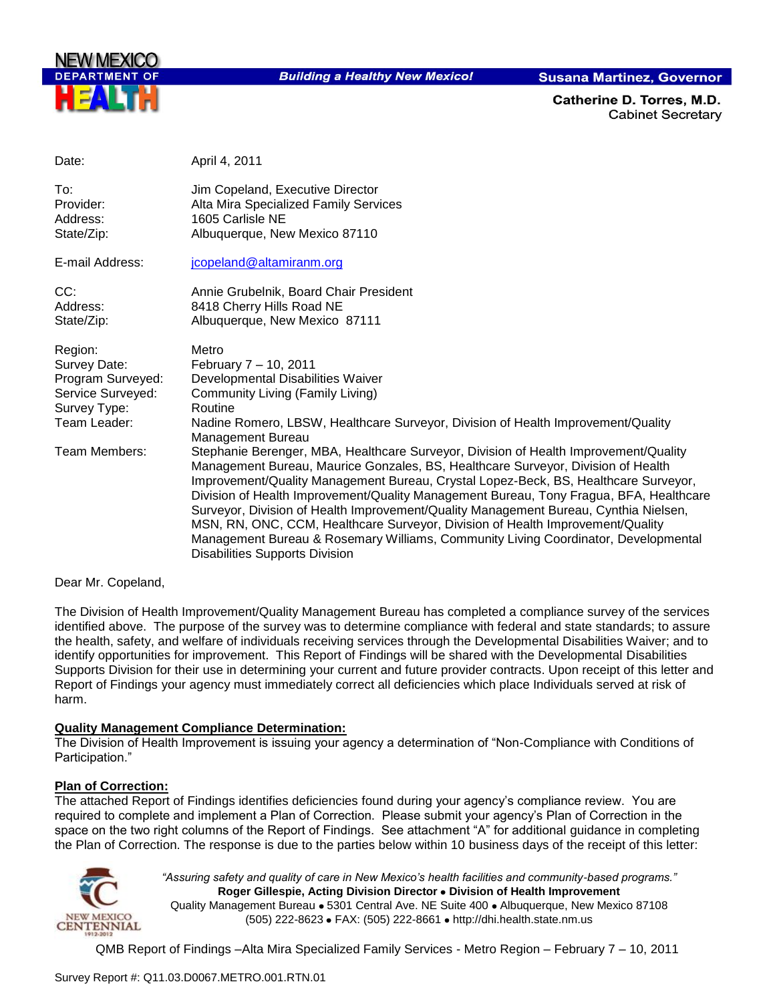

**Building a Healthy New Mexico!** 

**Susana Martinez, Governor** 

Catherine D. Torres. M.D. **Cabinet Secretary** 

| Date:             | April 4, 2011                                                                                                                                                                                                                                                                                                                                                                                                                                                                                                                                                                                                                                                      |
|-------------------|--------------------------------------------------------------------------------------------------------------------------------------------------------------------------------------------------------------------------------------------------------------------------------------------------------------------------------------------------------------------------------------------------------------------------------------------------------------------------------------------------------------------------------------------------------------------------------------------------------------------------------------------------------------------|
| To:               | Jim Copeland, Executive Director                                                                                                                                                                                                                                                                                                                                                                                                                                                                                                                                                                                                                                   |
| Provider:         | Alta Mira Specialized Family Services                                                                                                                                                                                                                                                                                                                                                                                                                                                                                                                                                                                                                              |
| Address:          | 1605 Carlisle NE                                                                                                                                                                                                                                                                                                                                                                                                                                                                                                                                                                                                                                                   |
| State/Zip:        | Albuquerque, New Mexico 87110                                                                                                                                                                                                                                                                                                                                                                                                                                                                                                                                                                                                                                      |
| E-mail Address:   | jcopeland@altamiranm.org                                                                                                                                                                                                                                                                                                                                                                                                                                                                                                                                                                                                                                           |
| CC:               | Annie Grubelnik, Board Chair President                                                                                                                                                                                                                                                                                                                                                                                                                                                                                                                                                                                                                             |
| Address:          | 8418 Cherry Hills Road NE                                                                                                                                                                                                                                                                                                                                                                                                                                                                                                                                                                                                                                          |
| State/Zip:        | Albuquerque, New Mexico 87111                                                                                                                                                                                                                                                                                                                                                                                                                                                                                                                                                                                                                                      |
| Region:           | Metro                                                                                                                                                                                                                                                                                                                                                                                                                                                                                                                                                                                                                                                              |
| Survey Date:      | February 7 - 10, 2011                                                                                                                                                                                                                                                                                                                                                                                                                                                                                                                                                                                                                                              |
| Program Surveyed: | Developmental Disabilities Waiver                                                                                                                                                                                                                                                                                                                                                                                                                                                                                                                                                                                                                                  |
| Service Surveyed: | Community Living (Family Living)                                                                                                                                                                                                                                                                                                                                                                                                                                                                                                                                                                                                                                   |
| Survey Type:      | Routine                                                                                                                                                                                                                                                                                                                                                                                                                                                                                                                                                                                                                                                            |
| Team Leader:      | Nadine Romero, LBSW, Healthcare Surveyor, Division of Health Improvement/Quality                                                                                                                                                                                                                                                                                                                                                                                                                                                                                                                                                                                   |
| Team Members:     | Management Bureau                                                                                                                                                                                                                                                                                                                                                                                                                                                                                                                                                                                                                                                  |
|                   | Stephanie Berenger, MBA, Healthcare Surveyor, Division of Health Improvement/Quality<br>Management Bureau, Maurice Gonzales, BS, Healthcare Surveyor, Division of Health<br>Improvement/Quality Management Bureau, Crystal Lopez-Beck, BS, Healthcare Surveyor,<br>Division of Health Improvement/Quality Management Bureau, Tony Fragua, BFA, Healthcare<br>Surveyor, Division of Health Improvement/Quality Management Bureau, Cynthia Nielsen,<br>MSN, RN, ONC, CCM, Healthcare Surveyor, Division of Health Improvement/Quality<br>Management Bureau & Rosemary Williams, Community Living Coordinator, Developmental<br><b>Disabilities Supports Division</b> |

#### Dear Mr. Copeland,

The Division of Health Improvement/Quality Management Bureau has completed a compliance survey of the services identified above. The purpose of the survey was to determine compliance with federal and state standards; to assure the health, safety, and welfare of individuals receiving services through the Developmental Disabilities Waiver; and to identify opportunities for improvement. This Report of Findings will be shared with the Developmental Disabilities Supports Division for their use in determining your current and future provider contracts. Upon receipt of this letter and Report of Findings your agency must immediately correct all deficiencies which place Individuals served at risk of harm.

#### **Quality Management Compliance Determination:**

The Division of Health Improvement is issuing your agency a determination of "Non-Compliance with Conditions of Participation."

#### **Plan of Correction:**

The attached Report of Findings identifies deficiencies found during your agency"s compliance review. You are required to complete and implement a Plan of Correction. Please submit your agency"s Plan of Correction in the space on the two right columns of the Report of Findings. See attachment "A" for additional guidance in completing the Plan of Correction. The response is due to the parties below within 10 business days of the receipt of this letter:



*"Assuring safety and quality of care in New Mexico's health facilities and community-based programs."* **Roger Gillespie, Acting Division Director • Division of Health Improvement** Quality Management Bureau • 5301 Central Ave. NE Suite 400 • Albuquerque, New Mexico 87108 (505) 222-8623 • FAX: (505) 222-8661 • http://dhi.health.state.nm.us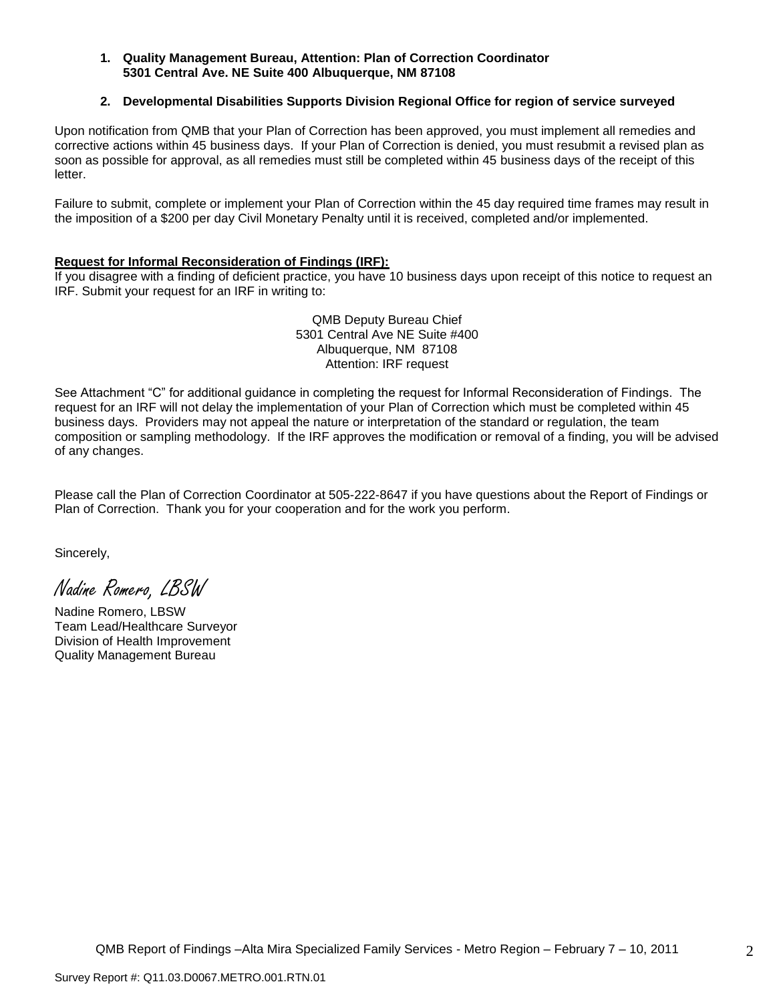#### **1. Quality Management Bureau, Attention: Plan of Correction Coordinator 5301 Central Ave. NE Suite 400 Albuquerque, NM 87108**

#### **2. Developmental Disabilities Supports Division Regional Office for region of service surveyed**

Upon notification from QMB that your Plan of Correction has been approved, you must implement all remedies and corrective actions within 45 business days. If your Plan of Correction is denied, you must resubmit a revised plan as soon as possible for approval, as all remedies must still be completed within 45 business days of the receipt of this letter.

Failure to submit, complete or implement your Plan of Correction within the 45 day required time frames may result in the imposition of a \$200 per day Civil Monetary Penalty until it is received, completed and/or implemented.

#### **Request for Informal Reconsideration of Findings (IRF):**

If you disagree with a finding of deficient practice, you have 10 business days upon receipt of this notice to request an IRF. Submit your request for an IRF in writing to:

> QMB Deputy Bureau Chief 5301 Central Ave NE Suite #400 Albuquerque, NM 87108 Attention: IRF request

See Attachment "C" for additional guidance in completing the request for Informal Reconsideration of Findings. The request for an IRF will not delay the implementation of your Plan of Correction which must be completed within 45 business days. Providers may not appeal the nature or interpretation of the standard or regulation, the team composition or sampling methodology. If the IRF approves the modification or removal of a finding, you will be advised of any changes.

Please call the Plan of Correction Coordinator at 505-222-8647 if you have questions about the Report of Findings or Plan of Correction. Thank you for your cooperation and for the work you perform.

Sincerely,

Nadine Romero, LBSW

Nadine Romero, LBSW Team Lead/Healthcare Surveyor Division of Health Improvement Quality Management Bureau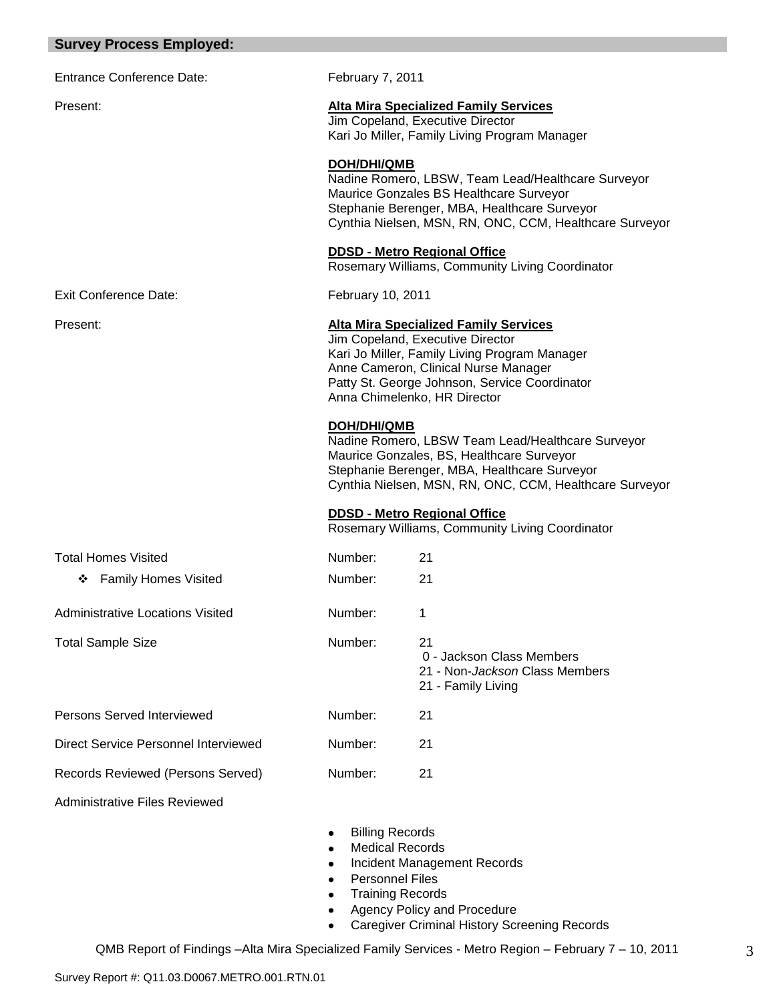|  | <b>Survey Process Employed:</b> |  |  |
|--|---------------------------------|--|--|
|--|---------------------------------|--|--|

| <b>Entrance Conference Date:</b>        | February 7, 2011                                                                                                                                                                                                                                           |                                                                                                                                                                                                          |
|-----------------------------------------|------------------------------------------------------------------------------------------------------------------------------------------------------------------------------------------------------------------------------------------------------------|----------------------------------------------------------------------------------------------------------------------------------------------------------------------------------------------------------|
| Present:                                |                                                                                                                                                                                                                                                            | <b>Alta Mira Specialized Family Services</b><br>Jim Copeland, Executive Director<br>Kari Jo Miller, Family Living Program Manager                                                                        |
|                                         | DOH/DHI/QMB                                                                                                                                                                                                                                                | Nadine Romero, LBSW, Team Lead/Healthcare Surveyor<br>Maurice Gonzales BS Healthcare Surveyor<br>Stephanie Berenger, MBA, Healthcare Surveyor<br>Cynthia Nielsen, MSN, RN, ONC, CCM, Healthcare Surveyor |
|                                         |                                                                                                                                                                                                                                                            | <b>DDSD - Metro Regional Office</b><br>Rosemary Williams, Community Living Coordinator                                                                                                                   |
| Exit Conference Date:                   | February 10, 2011                                                                                                                                                                                                                                          |                                                                                                                                                                                                          |
| Present:                                | <b>Alta Mira Specialized Family Services</b><br>Jim Copeland, Executive Director<br>Kari Jo Miller, Family Living Program Manager<br>Anne Cameron, Clinical Nurse Manager<br>Patty St. George Johnson, Service Coordinator<br>Anna Chimelenko, HR Director |                                                                                                                                                                                                          |
|                                         | DOH/DHI/QMB<br>Nadine Romero, LBSW Team Lead/Healthcare Surveyor<br>Maurice Gonzales, BS, Healthcare Surveyor<br>Stephanie Berenger, MBA, Healthcare Surveyor<br>Cynthia Nielsen, MSN, RN, ONC, CCM, Healthcare Surveyor                                   |                                                                                                                                                                                                          |
|                                         |                                                                                                                                                                                                                                                            | <b>DDSD - Metro Regional Office</b><br>Rosemary Williams, Community Living Coordinator                                                                                                                   |
| <b>Total Homes Visited</b>              | Number:                                                                                                                                                                                                                                                    | 21                                                                                                                                                                                                       |
| ❖ Family Homes Visited                  | Number:                                                                                                                                                                                                                                                    | 21                                                                                                                                                                                                       |
| <b>Administrative Locations Visited</b> | Number:                                                                                                                                                                                                                                                    | 1                                                                                                                                                                                                        |
| <b>Total Sample Size</b>                | Number:                                                                                                                                                                                                                                                    | 21<br>0 - Jackson Class Members<br>21 - Non-Jackson Class Members<br>21 - Family Living                                                                                                                  |
| Persons Served Interviewed              | Number:                                                                                                                                                                                                                                                    | 21                                                                                                                                                                                                       |
| Direct Service Personnel Interviewed    | Number:                                                                                                                                                                                                                                                    | 21                                                                                                                                                                                                       |
| Records Reviewed (Persons Served)       | Number:                                                                                                                                                                                                                                                    | 21                                                                                                                                                                                                       |
| <b>Administrative Files Reviewed</b>    |                                                                                                                                                                                                                                                            |                                                                                                                                                                                                          |
|                                         | Dillia a Daosada                                                                                                                                                                                                                                           |                                                                                                                                                                                                          |

- Billing Records  $\bullet$
- $\bullet$ Medical Records
- Incident Management Records  $\bullet$
- Personnel Files
- Training Records  $\bullet$
- Agency Policy and Procedure  $\bullet$
- Caregiver Criminal History Screening Records  $\bullet$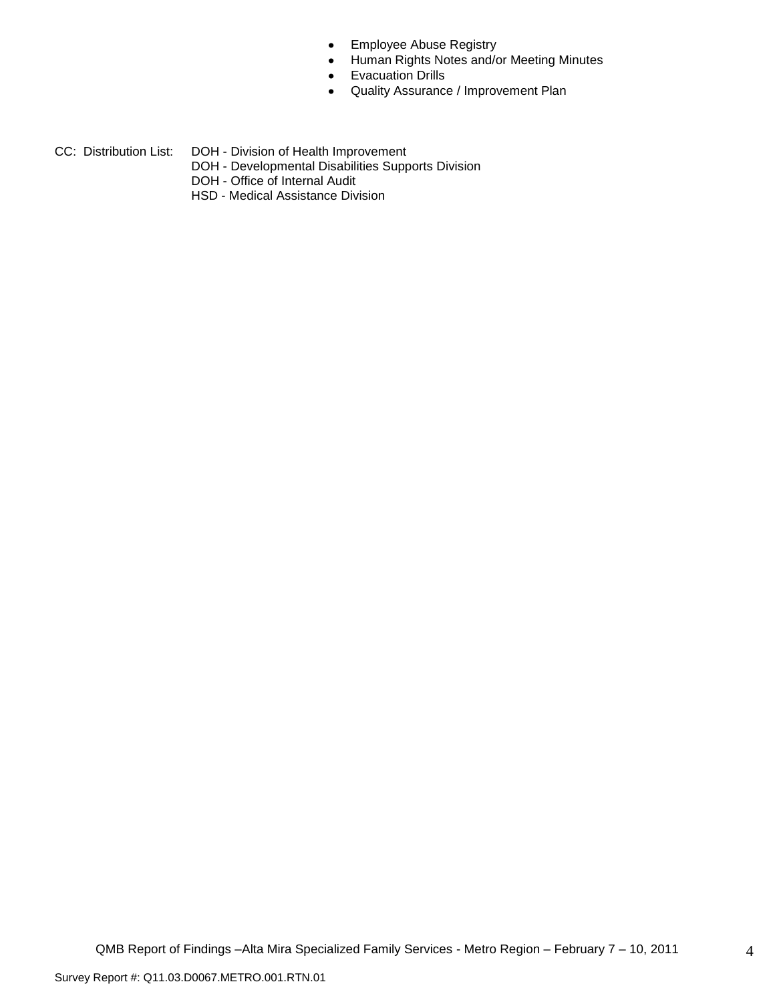- Employee Abuse Registry  $\bullet$
- Human Rights Notes and/or Meeting Minutes  $\bullet$
- Evacuation Drills  $\bullet$
- Quality Assurance / Improvement Plan  $\bullet$
- CC: Distribution List: DOH Division of Health Improvement
	- DOH Developmental Disabilities Supports Division
	- DOH Office of Internal Audit
	- HSD Medical Assistance Division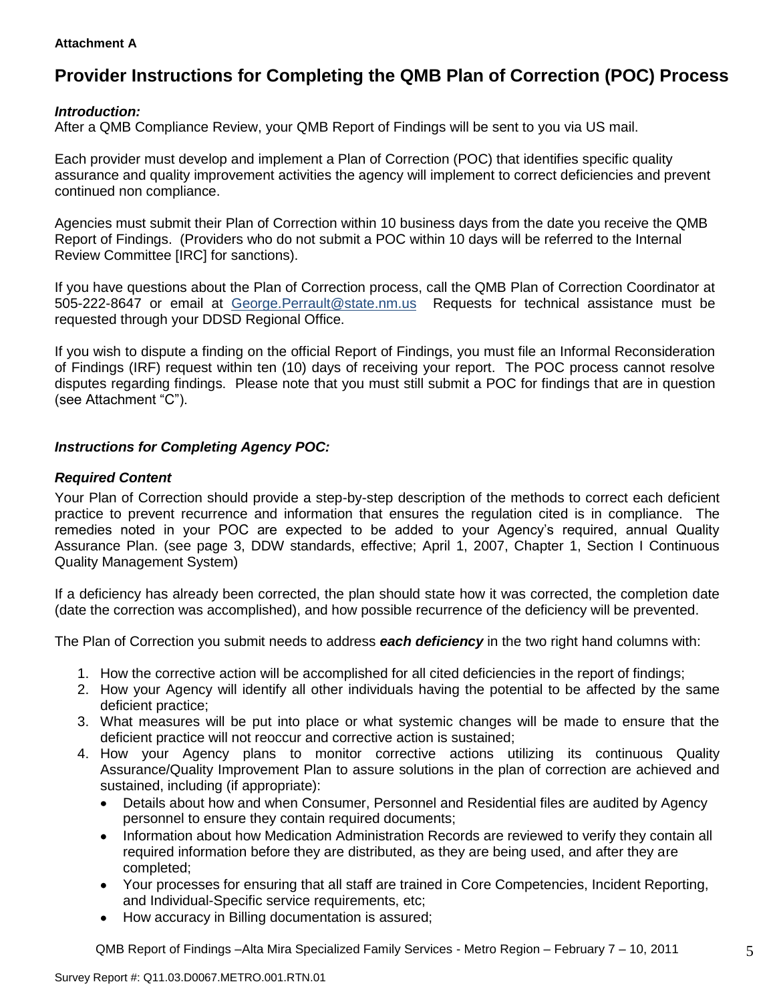#### **Attachment A**

# **Provider Instructions for Completing the QMB Plan of Correction (POC) Process**

## *Introduction:*

After a QMB Compliance Review, your QMB Report of Findings will be sent to you via US mail.

Each provider must develop and implement a Plan of Correction (POC) that identifies specific quality assurance and quality improvement activities the agency will implement to correct deficiencies and prevent continued non compliance.

Agencies must submit their Plan of Correction within 10 business days from the date you receive the QMB Report of Findings. (Providers who do not submit a POC within 10 days will be referred to the Internal Review Committee [IRC] for sanctions).

If you have questions about the Plan of Correction process, call the QMB Plan of Correction Coordinator at 505-222-8647 or email at George.Perrault@state.nm.us Requests for technical assistance must be requested through your DDSD Regional Office.

If you wish to dispute a finding on the official Report of Findings, you must file an Informal Reconsideration of Findings (IRF) request within ten (10) days of receiving your report. The POC process cannot resolve disputes regarding findings. Please note that you must still submit a POC for findings that are in question (see Attachment "C").

## *Instructions for Completing Agency POC:*

### *Required Content*

Your Plan of Correction should provide a step-by-step description of the methods to correct each deficient practice to prevent recurrence and information that ensures the regulation cited is in compliance. The remedies noted in your POC are expected to be added to your Agency"s required, annual Quality Assurance Plan. (see page 3, DDW standards, effective; April 1, 2007, Chapter 1, Section I Continuous Quality Management System)

If a deficiency has already been corrected, the plan should state how it was corrected, the completion date (date the correction was accomplished), and how possible recurrence of the deficiency will be prevented.

The Plan of Correction you submit needs to address *each deficiency* in the two right hand columns with:

- 1. How the corrective action will be accomplished for all cited deficiencies in the report of findings;
- 2. How your Agency will identify all other individuals having the potential to be affected by the same deficient practice;
- 3. What measures will be put into place or what systemic changes will be made to ensure that the deficient practice will not reoccur and corrective action is sustained;
- 4. How your Agency plans to monitor corrective actions utilizing its continuous Quality Assurance/Quality Improvement Plan to assure solutions in the plan of correction are achieved and sustained, including (if appropriate):
	- Details about how and when Consumer, Personnel and Residential files are audited by Agency  $\bullet$ personnel to ensure they contain required documents;
	- Information about how Medication Administration Records are reviewed to verify they contain all  $\bullet$ required information before they are distributed, as they are being used, and after they are completed;
	- Your processes for ensuring that all staff are trained in Core Competencies, Incident Reporting, and Individual-Specific service requirements, etc;
	- How accuracy in Billing documentation is assured;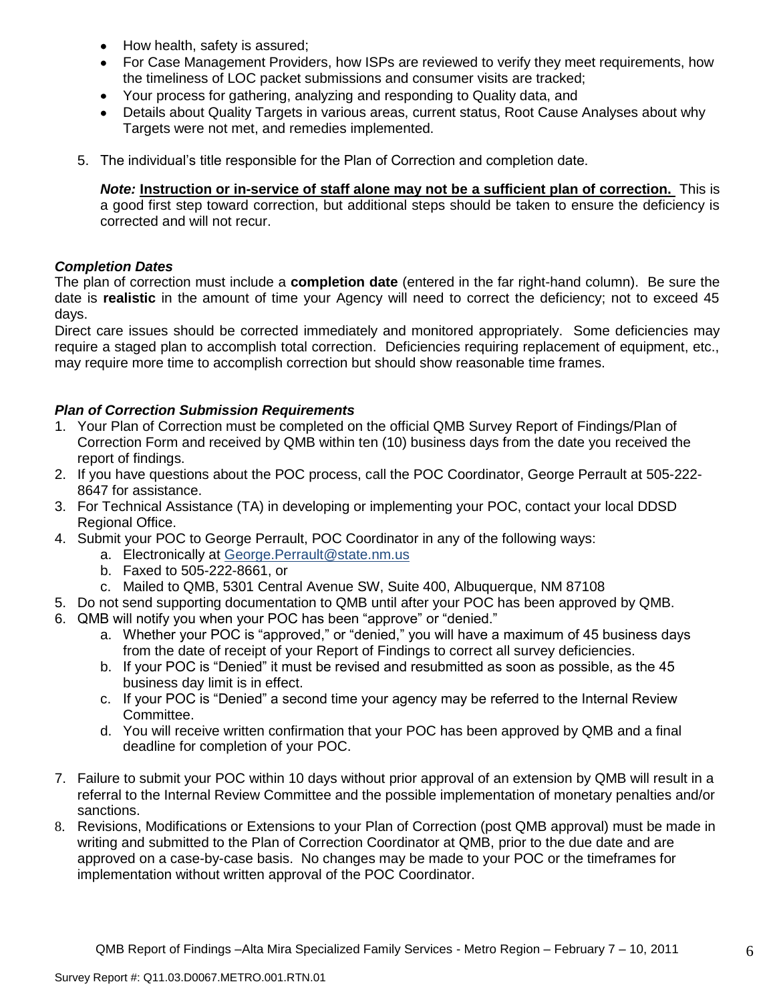- How health, safety is assured;  $\bullet$
- For Case Management Providers, how ISPs are reviewed to verify they meet requirements, how the timeliness of LOC packet submissions and consumer visits are tracked;
- $\bullet$ Your process for gathering, analyzing and responding to Quality data, and
- Details about Quality Targets in various areas, current status, Root Cause Analyses about why Targets were not met, and remedies implemented.
- 5. The individual"s title responsible for the Plan of Correction and completion date.

*Note:* **Instruction or in-service of staff alone may not be a sufficient plan of correction.** This is a good first step toward correction, but additional steps should be taken to ensure the deficiency is corrected and will not recur.

### *Completion Dates*

The plan of correction must include a **completion date** (entered in the far right-hand column). Be sure the date is **realistic** in the amount of time your Agency will need to correct the deficiency; not to exceed 45 days.

Direct care issues should be corrected immediately and monitored appropriately. Some deficiencies may require a staged plan to accomplish total correction. Deficiencies requiring replacement of equipment, etc., may require more time to accomplish correction but should show reasonable time frames.

## *Plan of Correction Submission Requirements*

- 1. Your Plan of Correction must be completed on the official QMB Survey Report of Findings/Plan of Correction Form and received by QMB within ten (10) business days from the date you received the report of findings.
- 2. If you have questions about the POC process, call the POC Coordinator, George Perrault at 505-222- 8647 for assistance.
- 3. For Technical Assistance (TA) in developing or implementing your POC, contact your local DDSD Regional Office.
- 4. Submit your POC to George Perrault, POC Coordinator in any of the following ways:
	- a. Electronically at [George.Perrault@state.nm.us](mailto:George.Perrault@state.nm.us)
	- b. Faxed to 505-222-8661, or
	- c. Mailed to QMB, 5301 Central Avenue SW, Suite 400, Albuquerque, NM 87108
- 5. Do not send supporting documentation to QMB until after your POC has been approved by QMB.
- 6. QMB will notify you when your POC has been "approve" or "denied."
	- a. Whether your POC is "approved," or "denied," you will have a maximum of 45 business days from the date of receipt of your Report of Findings to correct all survey deficiencies.
	- b. If your POC is "Denied" it must be revised and resubmitted as soon as possible, as the 45 business day limit is in effect.
	- c. If your POC is "Denied" a second time your agency may be referred to the Internal Review Committee.
	- d. You will receive written confirmation that your POC has been approved by QMB and a final deadline for completion of your POC.
- 7. Failure to submit your POC within 10 days without prior approval of an extension by QMB will result in a referral to the Internal Review Committee and the possible implementation of monetary penalties and/or sanctions.
- 8. Revisions, Modifications or Extensions to your Plan of Correction (post QMB approval) must be made in writing and submitted to the Plan of Correction Coordinator at QMB, prior to the due date and are approved on a case-by-case basis. No changes may be made to your POC or the timeframes for implementation without written approval of the POC Coordinator.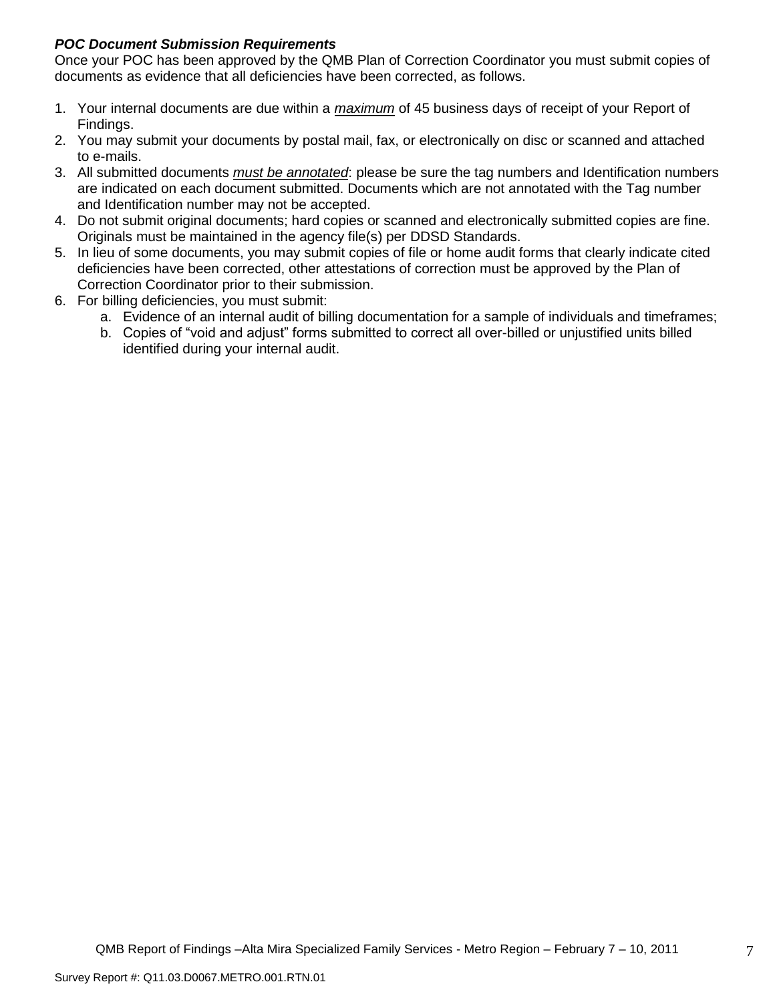## *POC Document Submission Requirements*

Once your POC has been approved by the QMB Plan of Correction Coordinator you must submit copies of documents as evidence that all deficiencies have been corrected, as follows.

- 1. Your internal documents are due within a *maximum* of 45 business days of receipt of your Report of Findings.
- 2. You may submit your documents by postal mail, fax, or electronically on disc or scanned and attached to e-mails.
- 3. All submitted documents *must be annotated*: please be sure the tag numbers and Identification numbers are indicated on each document submitted. Documents which are not annotated with the Tag number and Identification number may not be accepted.
- 4. Do not submit original documents; hard copies or scanned and electronically submitted copies are fine. Originals must be maintained in the agency file(s) per DDSD Standards.
- 5. In lieu of some documents, you may submit copies of file or home audit forms that clearly indicate cited deficiencies have been corrected, other attestations of correction must be approved by the Plan of Correction Coordinator prior to their submission.
- 6. For billing deficiencies, you must submit:
	- a. Evidence of an internal audit of billing documentation for a sample of individuals and timeframes;
	- b. Copies of "void and adjust" forms submitted to correct all over-billed or unjustified units billed identified during your internal audit.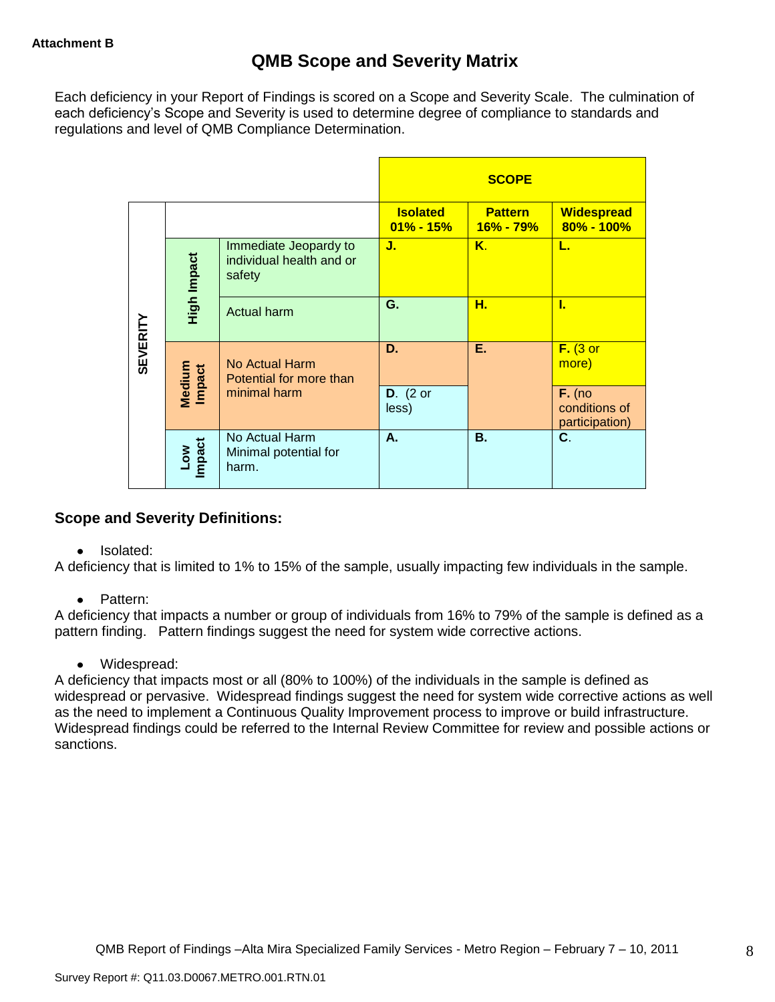Each deficiency in your Report of Findings is scored on a Scope and Severity Scale. The culmination of each deficiency"s Scope and Severity is used to determine degree of compliance to standards and regulations and level of QMB Compliance Determination.

|                 |                      |                                                             |                                  | <b>SCOPE</b>                |                                             |
|-----------------|----------------------|-------------------------------------------------------------|----------------------------------|-----------------------------|---------------------------------------------|
|                 |                      |                                                             | <b>Isolated</b><br>$01\% - 15\%$ | <b>Pattern</b><br>16% - 79% | <b>Widespread</b><br>80% - 100%             |
|                 | High Impact          | Immediate Jeopardy to<br>individual health and or<br>safety | J.                               | Κ.                          | L.                                          |
|                 |                      | <b>Actual harm</b>                                          | G.                               | н.                          | L                                           |
| <b>SEVERITY</b> | Medium<br>Impact     | No Actual Harm<br>Potential for more than                   | D.                               | Ε.                          | $F.$ (3 or<br>more)                         |
|                 |                      | minimal harm                                                | $D.$ (2 or<br>less)              |                             | $F.$ (no<br>conditions of<br>participation) |
|                 | <b>Impact</b><br>Low | No Actual Harm<br>Minimal potential for<br>harm.            | А.                               | <b>B.</b>                   | C.                                          |

## **Scope and Severity Definitions:**

• Isolated:

A deficiency that is limited to 1% to 15% of the sample, usually impacting few individuals in the sample.

• Pattern:

A deficiency that impacts a number or group of individuals from 16% to 79% of the sample is defined as a pattern finding. Pattern findings suggest the need for system wide corrective actions.

• Widespread:

A deficiency that impacts most or all (80% to 100%) of the individuals in the sample is defined as widespread or pervasive. Widespread findings suggest the need for system wide corrective actions as well as the need to implement a Continuous Quality Improvement process to improve or build infrastructure. Widespread findings could be referred to the Internal Review Committee for review and possible actions or sanctions.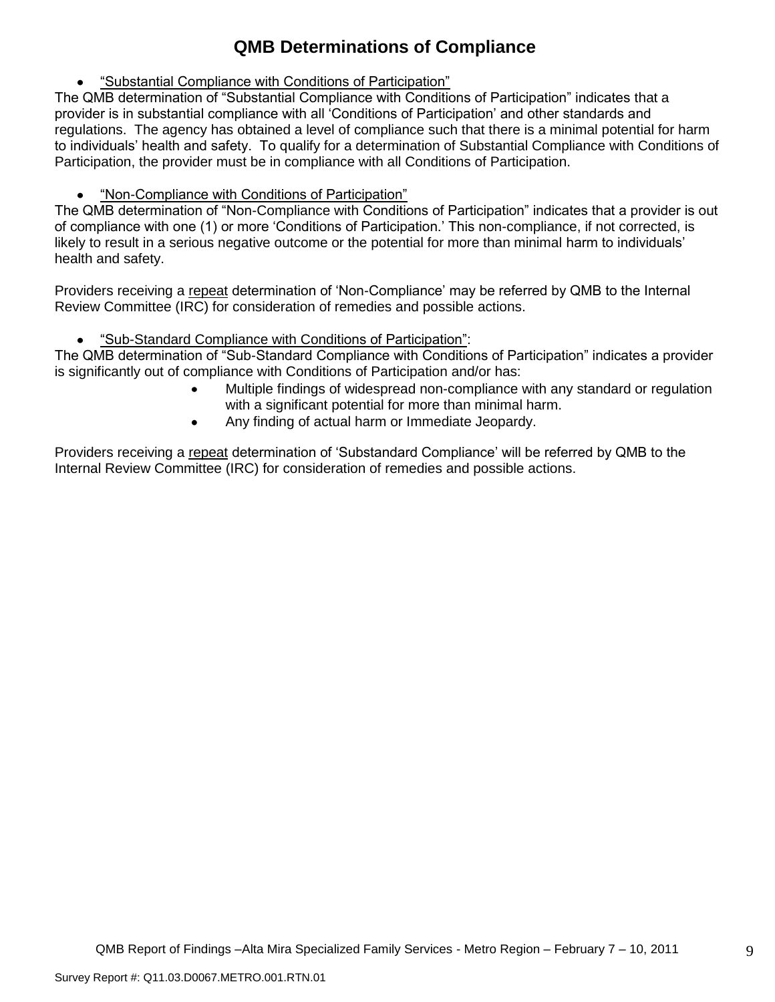# **QMB Determinations of Compliance**

"Substantial Compliance with Conditions of Participation"

The QMB determination of "Substantial Compliance with Conditions of Participation" indicates that a provider is in substantial compliance with all "Conditions of Participation" and other standards and regulations. The agency has obtained a level of compliance such that there is a minimal potential for harm to individuals" health and safety. To qualify for a determination of Substantial Compliance with Conditions of Participation, the provider must be in compliance with all Conditions of Participation.

"Non-Compliance with Conditions of Participation"

The QMB determination of "Non-Compliance with Conditions of Participation" indicates that a provider is out of compliance with one (1) or more "Conditions of Participation." This non-compliance, if not corrected, is likely to result in a serious negative outcome or the potential for more than minimal harm to individuals' health and safety.

Providers receiving a repeat determination of 'Non-Compliance' may be referred by QMB to the Internal Review Committee (IRC) for consideration of remedies and possible actions.

"Sub-Standard Compliance with Conditions of Participation":

The QMB determination of "Sub-Standard Compliance with Conditions of Participation" indicates a provider is significantly out of compliance with Conditions of Participation and/or has:

- Multiple findings of widespread non-compliance with any standard or regulation with a significant potential for more than minimal harm.
- Any finding of actual harm or Immediate Jeopardy.

Providers receiving a repeat determination of 'Substandard Compliance' will be referred by QMB to the Internal Review Committee (IRC) for consideration of remedies and possible actions.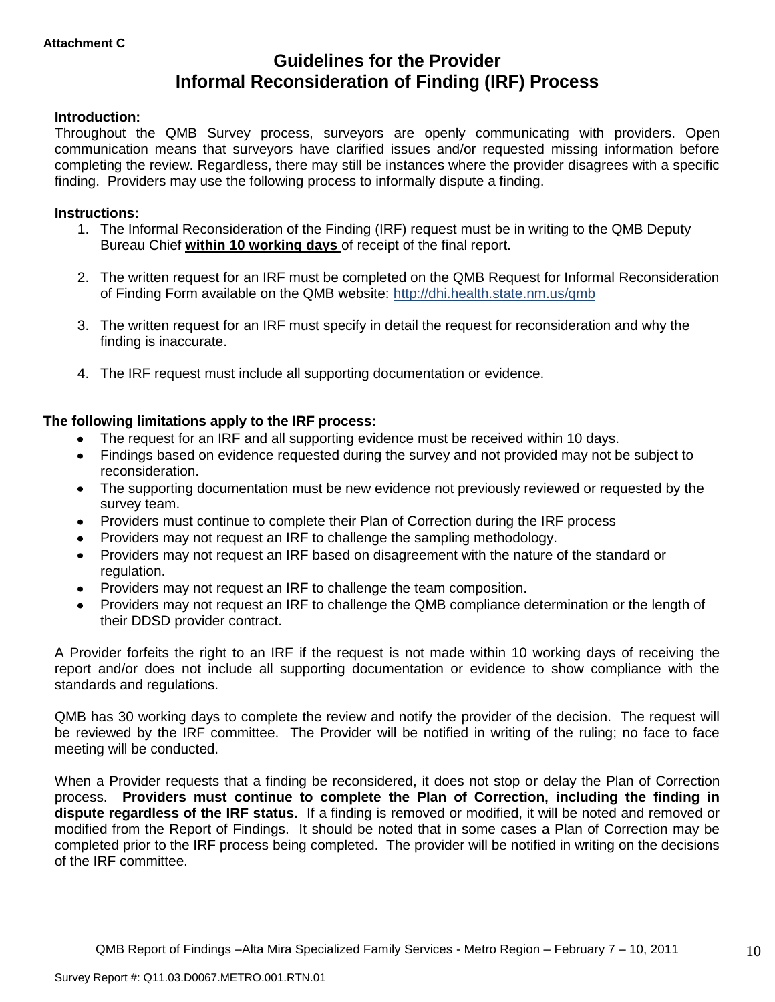## **Guidelines for the Provider Informal Reconsideration of Finding (IRF) Process**

### **Introduction:**

Throughout the QMB Survey process, surveyors are openly communicating with providers. Open communication means that surveyors have clarified issues and/or requested missing information before completing the review. Regardless, there may still be instances where the provider disagrees with a specific finding. Providers may use the following process to informally dispute a finding.

#### **Instructions:**

- 1. The Informal Reconsideration of the Finding (IRF) request must be in writing to the QMB Deputy Bureau Chief **within 10 working days** of receipt of the final report.
- 2. The written request for an IRF must be completed on the QMB Request for Informal Reconsideration of Finding Form available on the QMB website: <http://dhi.health.state.nm.us/qmb>
- 3. The written request for an IRF must specify in detail the request for reconsideration and why the finding is inaccurate.
- 4. The IRF request must include all supporting documentation or evidence.

### **The following limitations apply to the IRF process:**

- The request for an IRF and all supporting evidence must be received within 10 days.
- Findings based on evidence requested during the survey and not provided may not be subject to reconsideration.
- The supporting documentation must be new evidence not previously reviewed or requested by the survey team.
- Providers must continue to complete their Plan of Correction during the IRF process  $\bullet$
- Providers may not request an IRF to challenge the sampling methodology.
- Providers may not request an IRF based on disagreement with the nature of the standard or  $\bullet$ regulation.
- Providers may not request an IRF to challenge the team composition.
- Providers may not request an IRF to challenge the QMB compliance determination or the length of  $\bullet$ their DDSD provider contract.

A Provider forfeits the right to an IRF if the request is not made within 10 working days of receiving the report and/or does not include all supporting documentation or evidence to show compliance with the standards and regulations.

QMB has 30 working days to complete the review and notify the provider of the decision. The request will be reviewed by the IRF committee. The Provider will be notified in writing of the ruling; no face to face meeting will be conducted.

When a Provider requests that a finding be reconsidered, it does not stop or delay the Plan of Correction process. **Providers must continue to complete the Plan of Correction, including the finding in dispute regardless of the IRF status.** If a finding is removed or modified, it will be noted and removed or modified from the Report of Findings. It should be noted that in some cases a Plan of Correction may be completed prior to the IRF process being completed. The provider will be notified in writing on the decisions of the IRF committee.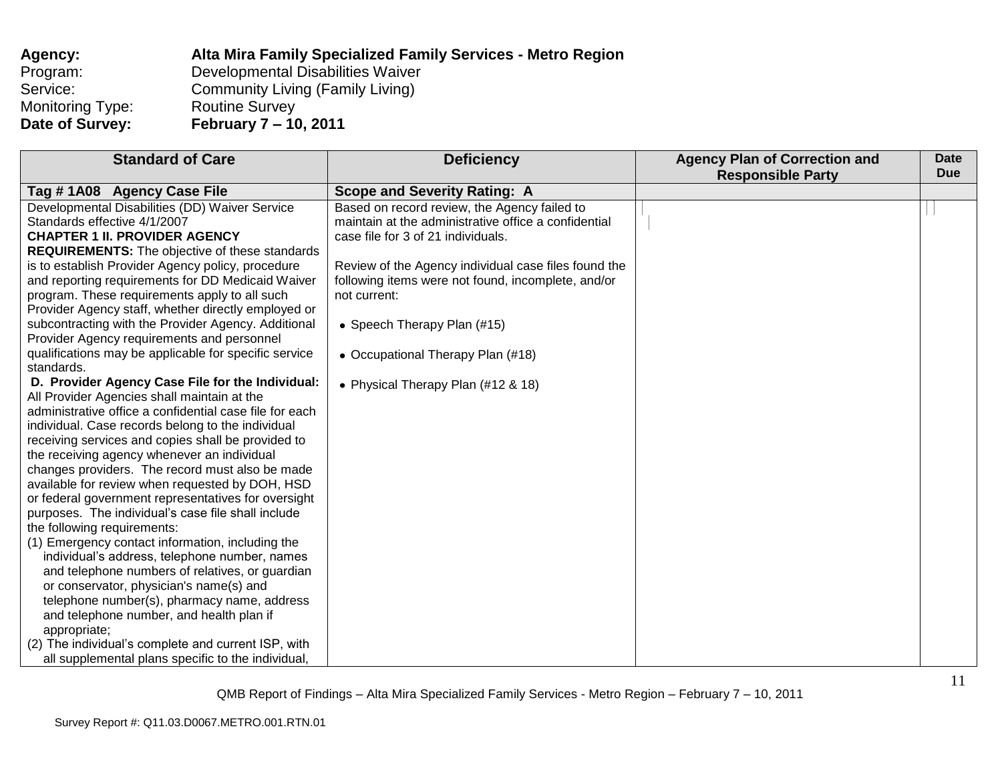| Agency:          | Alta Mira Family Specialized Family Services - Metro Region |
|------------------|-------------------------------------------------------------|
| Program:         | Developmental Disabilities Waiver                           |
| Service:         | Community Living (Family Living)                            |
| Monitoring Type: | <b>Routine Survey</b>                                       |
| Date of Survey:  | February 7 – 10, 2011                                       |

| <b>Standard of Care</b>                                 | <b>Deficiency</b>                                    | <b>Agency Plan of Correction and</b> | <b>Date</b> |
|---------------------------------------------------------|------------------------------------------------------|--------------------------------------|-------------|
|                                                         |                                                      | <b>Responsible Party</b>             | <b>Due</b>  |
| Tag #1A08 Agency Case File                              | <b>Scope and Severity Rating: A</b>                  |                                      |             |
| Developmental Disabilities (DD) Waiver Service          | Based on record review, the Agency failed to         |                                      |             |
| Standards effective 4/1/2007                            | maintain at the administrative office a confidential |                                      |             |
| <b>CHAPTER 1 II. PROVIDER AGENCY</b>                    | case file for 3 of 21 individuals.                   |                                      |             |
| <b>REQUIREMENTS:</b> The objective of these standards   |                                                      |                                      |             |
| is to establish Provider Agency policy, procedure       | Review of the Agency individual case files found the |                                      |             |
| and reporting requirements for DD Medicaid Waiver       | following items were not found, incomplete, and/or   |                                      |             |
| program. These requirements apply to all such           | not current:                                         |                                      |             |
| Provider Agency staff, whether directly employed or     |                                                      |                                      |             |
| subcontracting with the Provider Agency. Additional     | • Speech Therapy Plan (#15)                          |                                      |             |
| Provider Agency requirements and personnel              |                                                      |                                      |             |
| qualifications may be applicable for specific service   | • Occupational Therapy Plan (#18)                    |                                      |             |
| standards.                                              |                                                      |                                      |             |
| D. Provider Agency Case File for the Individual:        | • Physical Therapy Plan (#12 & 18)                   |                                      |             |
| All Provider Agencies shall maintain at the             |                                                      |                                      |             |
| administrative office a confidential case file for each |                                                      |                                      |             |
| individual. Case records belong to the individual       |                                                      |                                      |             |
| receiving services and copies shall be provided to      |                                                      |                                      |             |
| the receiving agency whenever an individual             |                                                      |                                      |             |
| changes providers. The record must also be made         |                                                      |                                      |             |
| available for review when requested by DOH, HSD         |                                                      |                                      |             |
| or federal government representatives for oversight     |                                                      |                                      |             |
| purposes. The individual's case file shall include      |                                                      |                                      |             |
| the following requirements:                             |                                                      |                                      |             |
| (1) Emergency contact information, including the        |                                                      |                                      |             |
| individual's address, telephone number, names           |                                                      |                                      |             |
| and telephone numbers of relatives, or guardian         |                                                      |                                      |             |
| or conservator, physician's name(s) and                 |                                                      |                                      |             |
| telephone number(s), pharmacy name, address             |                                                      |                                      |             |
| and telephone number, and health plan if                |                                                      |                                      |             |
| appropriate;                                            |                                                      |                                      |             |
| (2) The individual's complete and current ISP, with     |                                                      |                                      |             |
| all supplemental plans specific to the individual,      |                                                      |                                      |             |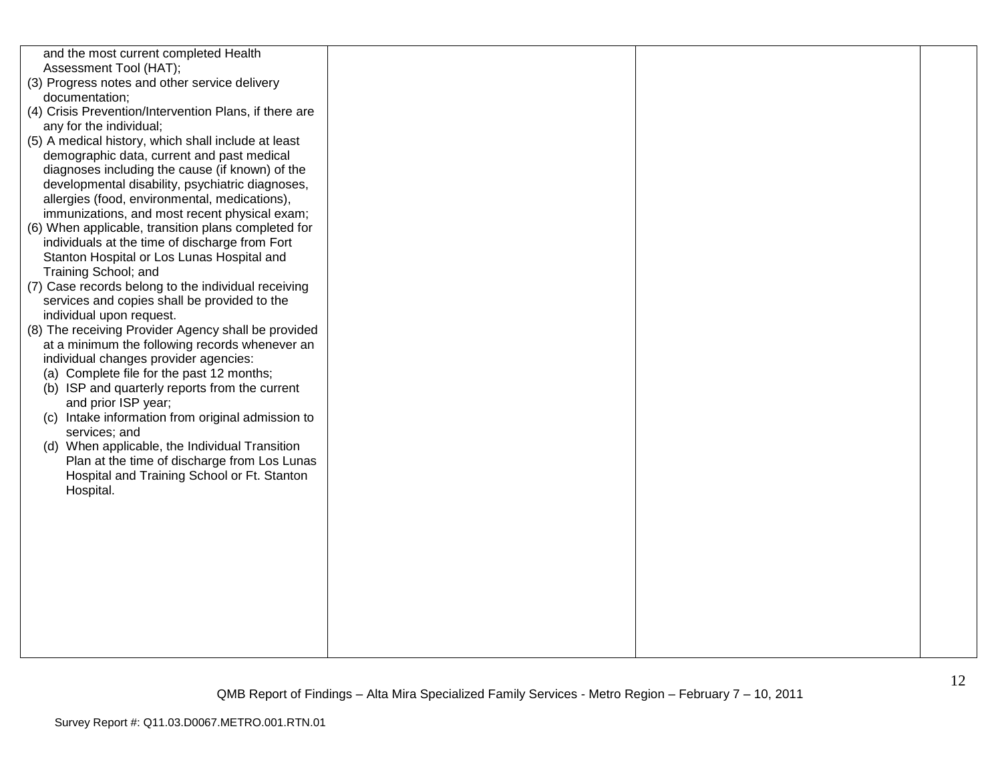| and the most current completed Health<br>Assessment Tool (HAT);<br>(3) Progress notes and other service delivery<br>documentation;<br>(4) Crisis Prevention/Intervention Plans, if there are<br>any for the individual;<br>(5) A medical history, which shall include at least<br>demographic data, current and past medical<br>diagnoses including the cause (if known) of the<br>developmental disability, psychiatric diagnoses,<br>allergies (food, environmental, medications),<br>immunizations, and most recent physical exam;<br>(6) When applicable, transition plans completed for<br>individuals at the time of discharge from Fort<br>Stanton Hospital or Los Lunas Hospital and<br>Training School; and<br>(7) Case records belong to the individual receiving<br>services and copies shall be provided to the<br>individual upon request.<br>(8) The receiving Provider Agency shall be provided<br>at a minimum the following records whenever an<br>individual changes provider agencies:<br>(a) Complete file for the past 12 months;<br>(b) ISP and quarterly reports from the current<br>and prior ISP year;<br>(c) Intake information from original admission to<br>services; and<br>(d) When applicable, the Individual Transition<br>Plan at the time of discharge from Los Lunas<br>Hospital and Training School or Ft. Stanton<br>Hospital. |  |  |
|---------------------------------------------------------------------------------------------------------------------------------------------------------------------------------------------------------------------------------------------------------------------------------------------------------------------------------------------------------------------------------------------------------------------------------------------------------------------------------------------------------------------------------------------------------------------------------------------------------------------------------------------------------------------------------------------------------------------------------------------------------------------------------------------------------------------------------------------------------------------------------------------------------------------------------------------------------------------------------------------------------------------------------------------------------------------------------------------------------------------------------------------------------------------------------------------------------------------------------------------------------------------------------------------------------------------------------------------------------------------|--|--|
|                                                                                                                                                                                                                                                                                                                                                                                                                                                                                                                                                                                                                                                                                                                                                                                                                                                                                                                                                                                                                                                                                                                                                                                                                                                                                                                                                                     |  |  |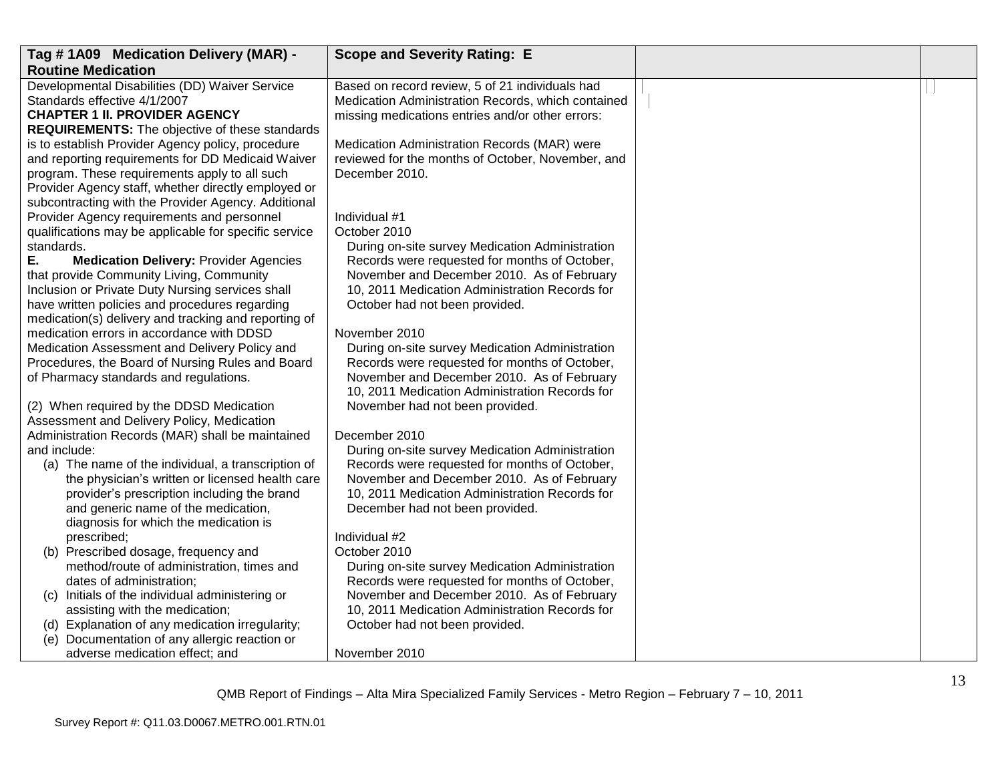| Tag #1A09 Medication Delivery (MAR) -                                 | <b>Scope and Severity Rating: E</b>                                                              |  |
|-----------------------------------------------------------------------|--------------------------------------------------------------------------------------------------|--|
| <b>Routine Medication</b>                                             |                                                                                                  |  |
| Developmental Disabilities (DD) Waiver Service                        | Based on record review, 5 of 21 individuals had                                                  |  |
| Standards effective 4/1/2007                                          | Medication Administration Records, which contained                                               |  |
| <b>CHAPTER 1 II. PROVIDER AGENCY</b>                                  | missing medications entries and/or other errors:                                                 |  |
| <b>REQUIREMENTS:</b> The objective of these standards                 |                                                                                                  |  |
| is to establish Provider Agency policy, procedure                     | Medication Administration Records (MAR) were                                                     |  |
| and reporting requirements for DD Medicaid Waiver                     | reviewed for the months of October, November, and                                                |  |
| program. These requirements apply to all such                         | December 2010.                                                                                   |  |
| Provider Agency staff, whether directly employed or                   |                                                                                                  |  |
| subcontracting with the Provider Agency. Additional                   |                                                                                                  |  |
| Provider Agency requirements and personnel                            | Individual #1                                                                                    |  |
| qualifications may be applicable for specific service                 | October 2010                                                                                     |  |
| standards.                                                            | During on-site survey Medication Administration                                                  |  |
| Е.<br><b>Medication Delivery: Provider Agencies</b>                   | Records were requested for months of October,                                                    |  |
| that provide Community Living, Community                              | November and December 2010. As of February                                                       |  |
| Inclusion or Private Duty Nursing services shall                      | 10, 2011 Medication Administration Records for                                                   |  |
| have written policies and procedures regarding                        | October had not been provided.                                                                   |  |
| medication(s) delivery and tracking and reporting of                  |                                                                                                  |  |
| medication errors in accordance with DDSD                             | November 2010                                                                                    |  |
| Medication Assessment and Delivery Policy and                         | During on-site survey Medication Administration                                                  |  |
| Procedures, the Board of Nursing Rules and Board                      | Records were requested for months of October,                                                    |  |
| of Pharmacy standards and regulations.                                | November and December 2010. As of February                                                       |  |
|                                                                       | 10, 2011 Medication Administration Records for                                                   |  |
| (2) When required by the DDSD Medication                              | November had not been provided.                                                                  |  |
| Assessment and Delivery Policy, Medication                            |                                                                                                  |  |
| Administration Records (MAR) shall be maintained                      | December 2010                                                                                    |  |
| and include:                                                          | During on-site survey Medication Administration                                                  |  |
| (a) The name of the individual, a transcription of                    | Records were requested for months of October,                                                    |  |
| the physician's written or licensed health care                       | November and December 2010. As of February                                                       |  |
| provider's prescription including the brand                           | 10, 2011 Medication Administration Records for                                                   |  |
| and generic name of the medication,                                   | December had not been provided.                                                                  |  |
| diagnosis for which the medication is                                 | Individual #2                                                                                    |  |
| prescribed;                                                           | October 2010                                                                                     |  |
| (b) Prescribed dosage, frequency and                                  |                                                                                                  |  |
| method/route of administration, times and<br>dates of administration; | During on-site survey Medication Administration<br>Records were requested for months of October, |  |
| (c) Initials of the individual administering or                       | November and December 2010. As of February                                                       |  |
| assisting with the medication;                                        | 10, 2011 Medication Administration Records for                                                   |  |
| (d) Explanation of any medication irregularity;                       | October had not been provided.                                                                   |  |
| (e) Documentation of any allergic reaction or                         |                                                                                                  |  |
| adverse medication effect; and                                        | November 2010                                                                                    |  |
|                                                                       |                                                                                                  |  |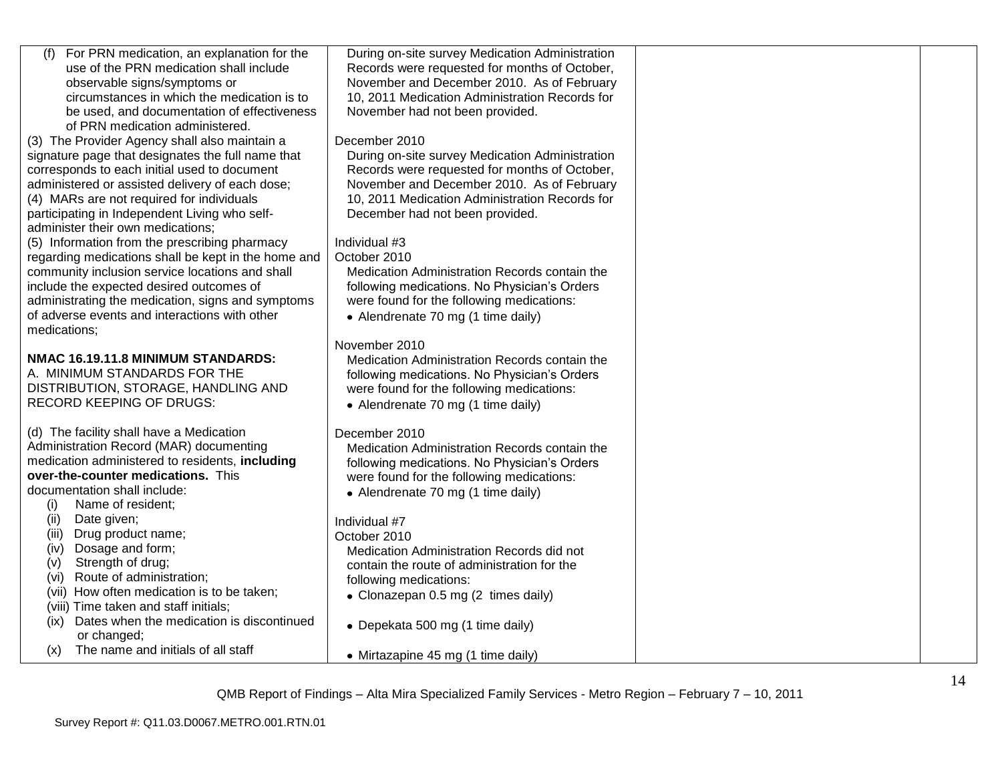| (f)<br>For PRN medication, an explanation for the   | During on-site survey Medication Administration                                           |  |
|-----------------------------------------------------|-------------------------------------------------------------------------------------------|--|
| use of the PRN medication shall include             | Records were requested for months of October,                                             |  |
| observable signs/symptoms or                        | November and December 2010. As of February                                                |  |
| circumstances in which the medication is to         | 10, 2011 Medication Administration Records for                                            |  |
| be used, and documentation of effectiveness         | November had not been provided.                                                           |  |
| of PRN medication administered.                     |                                                                                           |  |
| (3) The Provider Agency shall also maintain a       | December 2010                                                                             |  |
| signature page that designates the full name that   | During on-site survey Medication Administration                                           |  |
| corresponds to each initial used to document        | Records were requested for months of October,                                             |  |
| administered or assisted delivery of each dose;     | November and December 2010. As of February                                                |  |
| (4) MARs are not required for individuals           | 10, 2011 Medication Administration Records for                                            |  |
| participating in Independent Living who self-       | December had not been provided.                                                           |  |
| administer their own medications;                   |                                                                                           |  |
| (5) Information from the prescribing pharmacy       | Individual #3                                                                             |  |
| regarding medications shall be kept in the home and | October 2010                                                                              |  |
| community inclusion service locations and shall     | Medication Administration Records contain the                                             |  |
| include the expected desired outcomes of            | following medications. No Physician's Orders                                              |  |
| administrating the medication, signs and symptoms   | were found for the following medications:                                                 |  |
| of adverse events and interactions with other       | • Alendrenate 70 mg (1 time daily)                                                        |  |
| medications:                                        |                                                                                           |  |
|                                                     | November 2010                                                                             |  |
| NMAC 16.19.11.8 MINIMUM STANDARDS:                  | Medication Administration Records contain the                                             |  |
| A. MINIMUM STANDARDS FOR THE                        | following medications. No Physician's Orders                                              |  |
| DISTRIBUTION, STORAGE, HANDLING AND                 | were found for the following medications:                                                 |  |
| <b>RECORD KEEPING OF DRUGS:</b>                     | • Alendrenate 70 mg (1 time daily)                                                        |  |
| (d) The facility shall have a Medication            | December 2010                                                                             |  |
| Administration Record (MAR) documenting             | Medication Administration Records contain the                                             |  |
| medication administered to residents, including     |                                                                                           |  |
| over-the-counter medications. This                  | following medications. No Physician's Orders<br>were found for the following medications: |  |
| documentation shall include:                        |                                                                                           |  |
| Name of resident;<br>(i)                            | • Alendrenate 70 mg (1 time daily)                                                        |  |
| Date given;<br>(ii)                                 | Individual #7                                                                             |  |
| Drug product name;<br>(iii)                         | October 2010                                                                              |  |
| Dosage and form;<br>(iv)                            | Medication Administration Records did not                                                 |  |
| Strength of drug;<br>(v)                            | contain the route of administration for the                                               |  |
| (vi) Route of administration;                       | following medications:                                                                    |  |
| (vii) How often medication is to be taken;          | • Clonazepan 0.5 mg (2 times daily)                                                       |  |
| (viii) Time taken and staff initials;               |                                                                                           |  |
| Dates when the medication is discontinued<br>(ix)   |                                                                                           |  |
| or changed;                                         | • Depekata 500 mg (1 time daily)                                                          |  |
| The name and initials of all staff<br>(x)           |                                                                                           |  |
|                                                     | • Mirtazapine 45 mg (1 time daily)                                                        |  |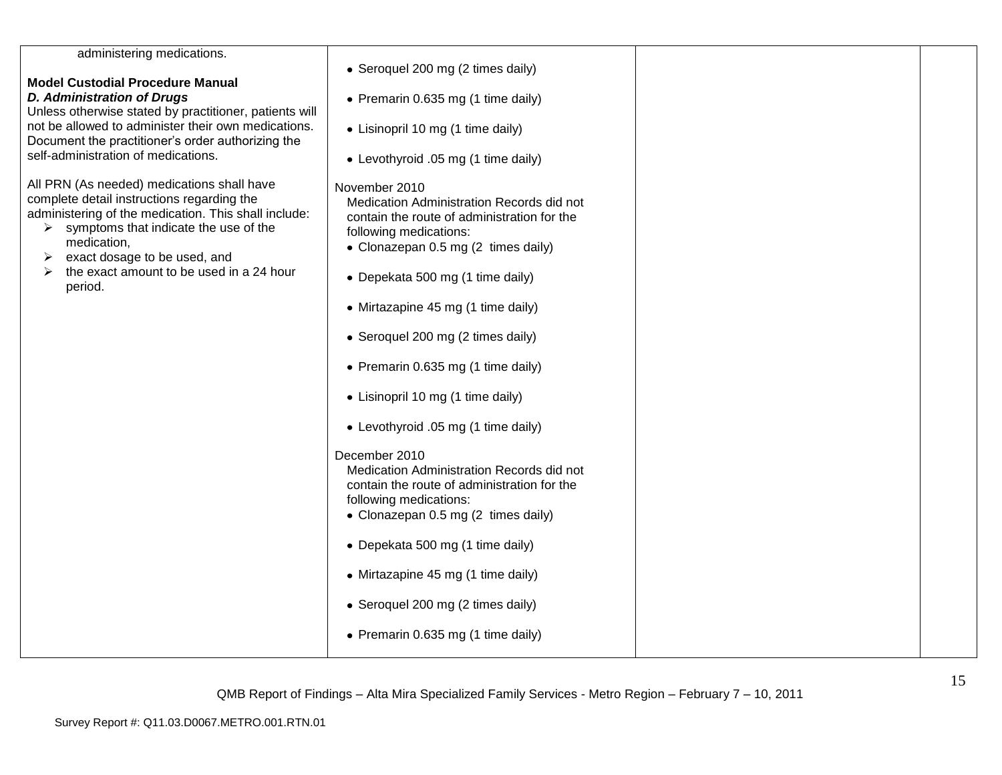| administering medications.                                                                                                                                                                                                                                                                                                         | • Seroquel 200 mg (2 times daily)                                                                                                                                                                                                                                                         |  |
|------------------------------------------------------------------------------------------------------------------------------------------------------------------------------------------------------------------------------------------------------------------------------------------------------------------------------------|-------------------------------------------------------------------------------------------------------------------------------------------------------------------------------------------------------------------------------------------------------------------------------------------|--|
| <b>Model Custodial Procedure Manual</b>                                                                                                                                                                                                                                                                                            |                                                                                                                                                                                                                                                                                           |  |
| <b>D. Administration of Drugs</b><br>Unless otherwise stated by practitioner, patients will                                                                                                                                                                                                                                        | • Premarin 0.635 mg (1 time daily)                                                                                                                                                                                                                                                        |  |
| not be allowed to administer their own medications.<br>Document the practitioner's order authorizing the                                                                                                                                                                                                                           | • Lisinopril 10 mg (1 time daily)                                                                                                                                                                                                                                                         |  |
| self-administration of medications.                                                                                                                                                                                                                                                                                                | • Levothyroid .05 mg (1 time daily)                                                                                                                                                                                                                                                       |  |
| All PRN (As needed) medications shall have<br>complete detail instructions regarding the<br>administering of the medication. This shall include:<br>symptoms that indicate the use of the<br>≻<br>medication,<br>exact dosage to be used, and<br>➤<br>the exact amount to be used in a 24 hour<br>$\blacktriangleright$<br>period. | November 2010<br>Medication Administration Records did not<br>contain the route of administration for the<br>following medications:<br>• Clonazepan 0.5 mg (2 times daily)<br>• Depekata 500 mg (1 time daily)<br>• Mirtazapine 45 mg (1 time daily)<br>• Seroquel 200 mg (2 times daily) |  |
|                                                                                                                                                                                                                                                                                                                                    | • Premarin 0.635 mg (1 time daily)                                                                                                                                                                                                                                                        |  |
|                                                                                                                                                                                                                                                                                                                                    | • Lisinopril 10 mg (1 time daily)                                                                                                                                                                                                                                                         |  |
|                                                                                                                                                                                                                                                                                                                                    | • Levothyroid .05 mg (1 time daily)                                                                                                                                                                                                                                                       |  |
|                                                                                                                                                                                                                                                                                                                                    | December 2010<br>Medication Administration Records did not<br>contain the route of administration for the<br>following medications:<br>• Clonazepan 0.5 mg (2 times daily)                                                                                                                |  |
|                                                                                                                                                                                                                                                                                                                                    | • Depekata 500 mg (1 time daily)                                                                                                                                                                                                                                                          |  |
|                                                                                                                                                                                                                                                                                                                                    | • Mirtazapine 45 mg (1 time daily)                                                                                                                                                                                                                                                        |  |
|                                                                                                                                                                                                                                                                                                                                    | • Seroquel 200 mg (2 times daily)                                                                                                                                                                                                                                                         |  |
|                                                                                                                                                                                                                                                                                                                                    | • Premarin 0.635 mg (1 time daily)                                                                                                                                                                                                                                                        |  |
|                                                                                                                                                                                                                                                                                                                                    |                                                                                                                                                                                                                                                                                           |  |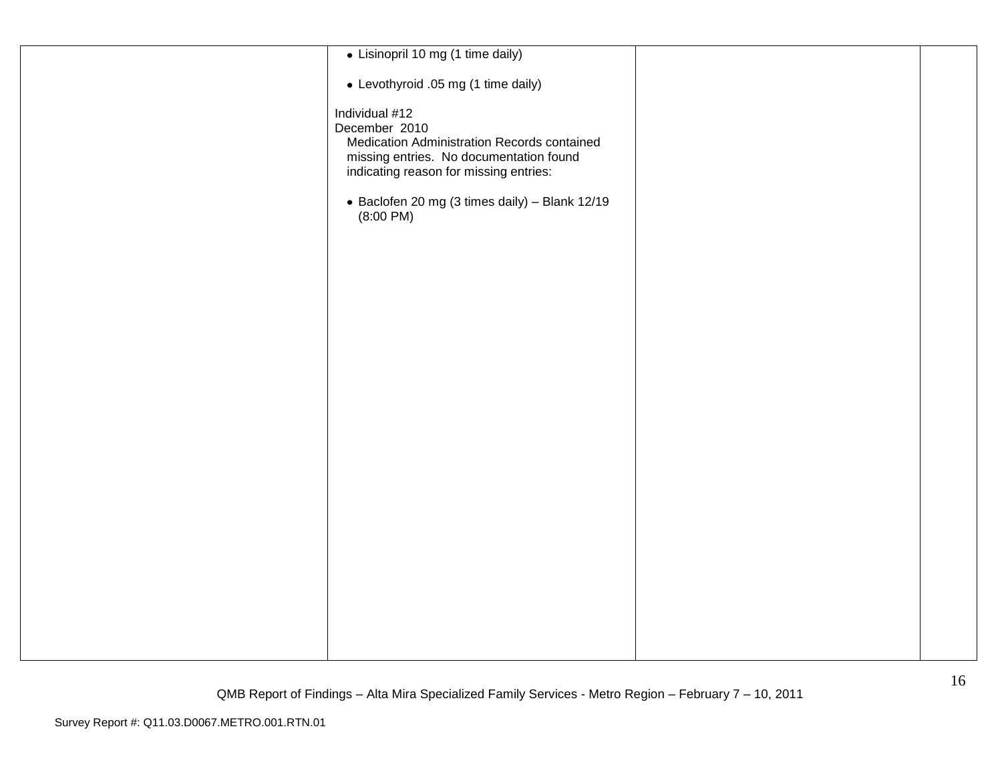| · Lisinopril 10 mg (1 time daily)              |  |
|------------------------------------------------|--|
| • Levothyroid .05 mg (1 time daily)            |  |
| Individual #12                                 |  |
| December 2010                                  |  |
| Medication Administration Records contained    |  |
| missing entries. No documentation found        |  |
| indicating reason for missing entries:         |  |
| • Baclofen 20 mg (3 times daily) - Blank 12/19 |  |
| (8:00 P M)                                     |  |
|                                                |  |
|                                                |  |
|                                                |  |
|                                                |  |
|                                                |  |
|                                                |  |
|                                                |  |
|                                                |  |
|                                                |  |
|                                                |  |
|                                                |  |
|                                                |  |
|                                                |  |
|                                                |  |
|                                                |  |
|                                                |  |
|                                                |  |
|                                                |  |
|                                                |  |
|                                                |  |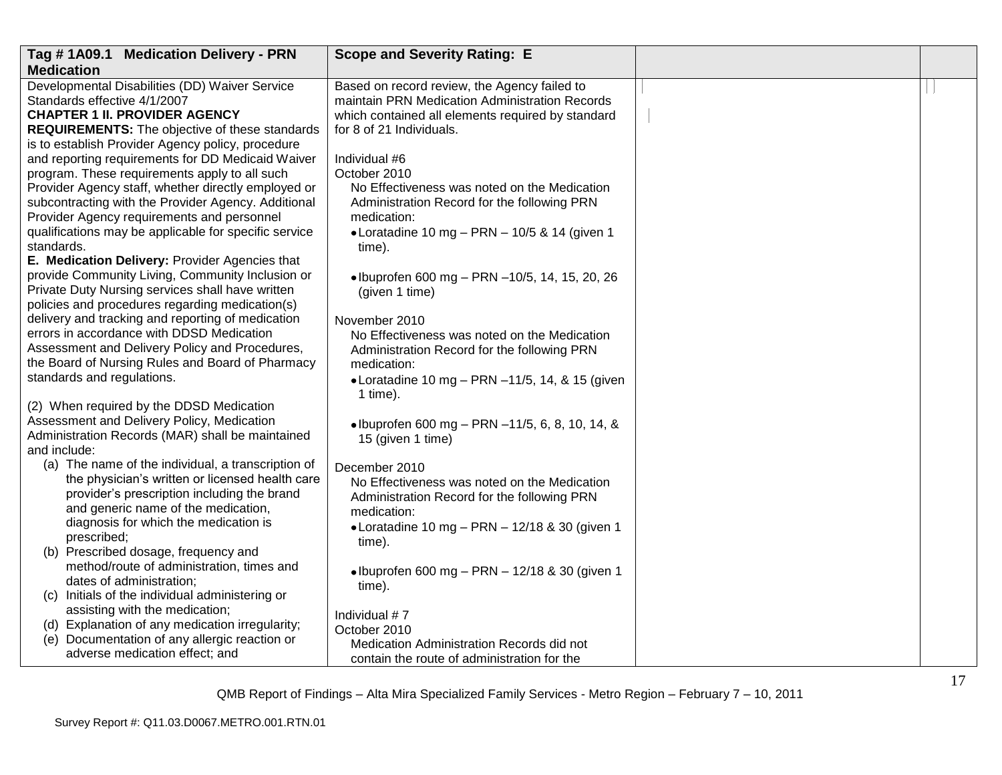| Tag #1A09.1 Medication Delivery - PRN                 | <b>Scope and Severity Rating: E</b>                     |  |
|-------------------------------------------------------|---------------------------------------------------------|--|
| <b>Medication</b>                                     |                                                         |  |
| Developmental Disabilities (DD) Waiver Service        | Based on record review, the Agency failed to            |  |
| Standards effective 4/1/2007                          | maintain PRN Medication Administration Records          |  |
| <b>CHAPTER 1 II. PROVIDER AGENCY</b>                  | which contained all elements required by standard       |  |
| <b>REQUIREMENTS:</b> The objective of these standards | for 8 of 21 Individuals.                                |  |
| is to establish Provider Agency policy, procedure     |                                                         |  |
| and reporting requirements for DD Medicaid Waiver     | Individual #6                                           |  |
| program. These requirements apply to all such         | October 2010                                            |  |
| Provider Agency staff, whether directly employed or   | No Effectiveness was noted on the Medication            |  |
| subcontracting with the Provider Agency. Additional   | Administration Record for the following PRN             |  |
| Provider Agency requirements and personnel            | medication:                                             |  |
| qualifications may be applicable for specific service | • Loratadine 10 mg - PRN - 10/5 & 14 (given 1           |  |
| standards.                                            | time).                                                  |  |
| E. Medication Delivery: Provider Agencies that        |                                                         |  |
| provide Community Living, Community Inclusion or      | • Ibuprofen 600 mg – PRN –10/5, 14, 15, 20, 26          |  |
| Private Duty Nursing services shall have written      | (given 1 time)                                          |  |
| policies and procedures regarding medication(s)       |                                                         |  |
| delivery and tracking and reporting of medication     | November 2010                                           |  |
| errors in accordance with DDSD Medication             | No Effectiveness was noted on the Medication            |  |
| Assessment and Delivery Policy and Procedures,        | Administration Record for the following PRN             |  |
| the Board of Nursing Rules and Board of Pharmacy      | medication:                                             |  |
| standards and regulations.                            | $\bullet$ Loratadine 10 mg - PRN -11/5, 14, & 15 (given |  |
|                                                       | 1 time).                                                |  |
| (2) When required by the DDSD Medication              |                                                         |  |
| Assessment and Delivery Policy, Medication            | • Ibuprofen 600 mg - PRN -11/5, 6, 8, 10, 14, &         |  |
| Administration Records (MAR) shall be maintained      | 15 (given 1 time)                                       |  |
| and include:                                          |                                                         |  |
| (a) The name of the individual, a transcription of    | December 2010                                           |  |
| the physician's written or licensed health care       | No Effectiveness was noted on the Medication            |  |
| provider's prescription including the brand           | Administration Record for the following PRN             |  |
| and generic name of the medication,                   | medication:                                             |  |
| diagnosis for which the medication is                 | • Loratadine 10 mg - PRN - 12/18 & 30 (given 1          |  |
| prescribed;                                           | time).                                                  |  |
| (b) Prescribed dosage, frequency and                  |                                                         |  |
| method/route of administration, times and             | • Ibuprofen 600 mg - PRN - 12/18 & 30 (given 1          |  |
| dates of administration;                              | time).                                                  |  |
| (c) Initials of the individual administering or       |                                                         |  |
| assisting with the medication;                        | Individual #7                                           |  |
| (d) Explanation of any medication irregularity;       | October 2010                                            |  |
| (e) Documentation of any allergic reaction or         | Medication Administration Records did not               |  |
| adverse medication effect; and                        | contain the route of administration for the             |  |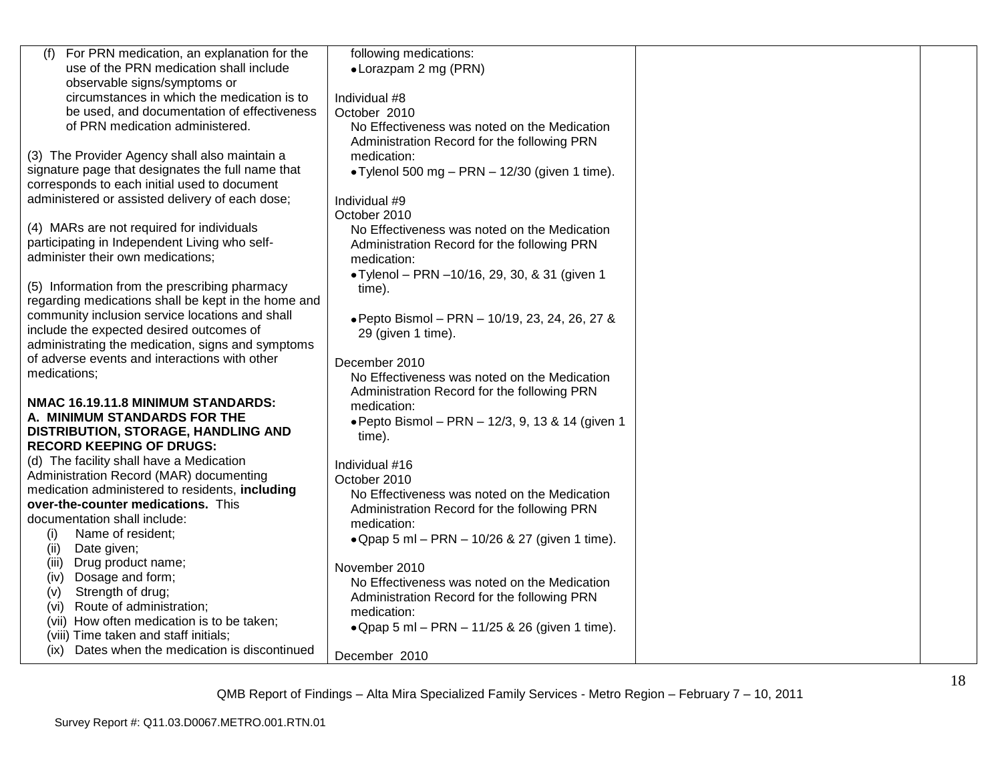| use of the PRN medication shall include<br>• Lorazpam 2 mg (PRN)<br>observable signs/symptoms or<br>circumstances in which the medication is to<br>Individual #8<br>be used, and documentation of effectiveness<br>October 2010<br>of PRN medication administered.<br>No Effectiveness was noted on the Medication<br>Administration Record for the following PRN<br>(3) The Provider Agency shall also maintain a<br>medication:<br>signature page that designates the full name that<br>• Tylenol 500 mg $-$ PRN $-$ 12/30 (given 1 time).<br>corresponds to each initial used to document<br>administered or assisted delivery of each dose;<br>Individual #9<br>October 2010<br>(4) MARs are not required for individuals<br>No Effectiveness was noted on the Medication<br>participating in Independent Living who self-<br>Administration Record for the following PRN<br>administer their own medications;<br>medication:<br>• Tylenol - PRN -10/16, 29, 30, & 31 (given 1<br>(5) Information from the prescribing pharmacy<br>time).<br>regarding medications shall be kept in the home and<br>community inclusion service locations and shall<br>• Pepto Bismol - PRN - 10/19, 23, 24, 26, 27 &<br>include the expected desired outcomes of<br>29 (given 1 time).<br>administrating the medication, signs and symptoms<br>of adverse events and interactions with other<br>December 2010<br>No Effectiveness was noted on the Medication<br>Administration Record for the following PRN<br>medication:<br>· Pepto Bismol - PRN - 12/3, 9, 13 & 14 (given 1<br>time).<br>Individual #16<br>Administration Record (MAR) documenting<br>October 2010<br>medication administered to residents, including<br>No Effectiveness was noted on the Medication<br>Administration Record for the following PRN<br>documentation shall include:<br>medication:<br>Name of resident;<br>(i)<br>• Qpap 5 ml - PRN - 10/26 & 27 (given 1 time).<br>(ii)<br>Date given;<br>Drug product name;<br>(iii)<br>November 2010<br>Dosage and form;<br>(iv)<br>No Effectiveness was noted on the Medication<br>Strength of drug;<br>(v)<br>Administration Record for the following PRN<br>Route of administration;<br>(vi)<br>medication:<br>(vii) How often medication is to be taken;<br>• Qpap 5 ml - PRN - 11/25 & 26 (given 1 time).<br>(viii) Time taken and staff initials;<br>Dates when the medication is discontinued<br>(ix)<br>December 2010 |                                            |                        |  |
|--------------------------------------------------------------------------------------------------------------------------------------------------------------------------------------------------------------------------------------------------------------------------------------------------------------------------------------------------------------------------------------------------------------------------------------------------------------------------------------------------------------------------------------------------------------------------------------------------------------------------------------------------------------------------------------------------------------------------------------------------------------------------------------------------------------------------------------------------------------------------------------------------------------------------------------------------------------------------------------------------------------------------------------------------------------------------------------------------------------------------------------------------------------------------------------------------------------------------------------------------------------------------------------------------------------------------------------------------------------------------------------------------------------------------------------------------------------------------------------------------------------------------------------------------------------------------------------------------------------------------------------------------------------------------------------------------------------------------------------------------------------------------------------------------------------------------------------------------------------------------------------------------------------------------------------------------------------------------------------------------------------------------------------------------------------------------------------------------------------------------------------------------------------------------------------------------------------------------------------------------------------------------------------------------------------------------------------------------------------------------------------------------------------------------------------------|--------------------------------------------|------------------------|--|
|                                                                                                                                                                                                                                                                                                                                                                                                                                                                                                                                                                                                                                                                                                                                                                                                                                                                                                                                                                                                                                                                                                                                                                                                                                                                                                                                                                                                                                                                                                                                                                                                                                                                                                                                                                                                                                                                                                                                                                                                                                                                                                                                                                                                                                                                                                                                                                                                                                            | For PRN medication, an explanation for the | following medications: |  |
|                                                                                                                                                                                                                                                                                                                                                                                                                                                                                                                                                                                                                                                                                                                                                                                                                                                                                                                                                                                                                                                                                                                                                                                                                                                                                                                                                                                                                                                                                                                                                                                                                                                                                                                                                                                                                                                                                                                                                                                                                                                                                                                                                                                                                                                                                                                                                                                                                                            |                                            |                        |  |
|                                                                                                                                                                                                                                                                                                                                                                                                                                                                                                                                                                                                                                                                                                                                                                                                                                                                                                                                                                                                                                                                                                                                                                                                                                                                                                                                                                                                                                                                                                                                                                                                                                                                                                                                                                                                                                                                                                                                                                                                                                                                                                                                                                                                                                                                                                                                                                                                                                            |                                            |                        |  |
|                                                                                                                                                                                                                                                                                                                                                                                                                                                                                                                                                                                                                                                                                                                                                                                                                                                                                                                                                                                                                                                                                                                                                                                                                                                                                                                                                                                                                                                                                                                                                                                                                                                                                                                                                                                                                                                                                                                                                                                                                                                                                                                                                                                                                                                                                                                                                                                                                                            |                                            |                        |  |
|                                                                                                                                                                                                                                                                                                                                                                                                                                                                                                                                                                                                                                                                                                                                                                                                                                                                                                                                                                                                                                                                                                                                                                                                                                                                                                                                                                                                                                                                                                                                                                                                                                                                                                                                                                                                                                                                                                                                                                                                                                                                                                                                                                                                                                                                                                                                                                                                                                            |                                            |                        |  |
|                                                                                                                                                                                                                                                                                                                                                                                                                                                                                                                                                                                                                                                                                                                                                                                                                                                                                                                                                                                                                                                                                                                                                                                                                                                                                                                                                                                                                                                                                                                                                                                                                                                                                                                                                                                                                                                                                                                                                                                                                                                                                                                                                                                                                                                                                                                                                                                                                                            |                                            |                        |  |
|                                                                                                                                                                                                                                                                                                                                                                                                                                                                                                                                                                                                                                                                                                                                                                                                                                                                                                                                                                                                                                                                                                                                                                                                                                                                                                                                                                                                                                                                                                                                                                                                                                                                                                                                                                                                                                                                                                                                                                                                                                                                                                                                                                                                                                                                                                                                                                                                                                            |                                            |                        |  |
|                                                                                                                                                                                                                                                                                                                                                                                                                                                                                                                                                                                                                                                                                                                                                                                                                                                                                                                                                                                                                                                                                                                                                                                                                                                                                                                                                                                                                                                                                                                                                                                                                                                                                                                                                                                                                                                                                                                                                                                                                                                                                                                                                                                                                                                                                                                                                                                                                                            |                                            |                        |  |
|                                                                                                                                                                                                                                                                                                                                                                                                                                                                                                                                                                                                                                                                                                                                                                                                                                                                                                                                                                                                                                                                                                                                                                                                                                                                                                                                                                                                                                                                                                                                                                                                                                                                                                                                                                                                                                                                                                                                                                                                                                                                                                                                                                                                                                                                                                                                                                                                                                            |                                            |                        |  |
|                                                                                                                                                                                                                                                                                                                                                                                                                                                                                                                                                                                                                                                                                                                                                                                                                                                                                                                                                                                                                                                                                                                                                                                                                                                                                                                                                                                                                                                                                                                                                                                                                                                                                                                                                                                                                                                                                                                                                                                                                                                                                                                                                                                                                                                                                                                                                                                                                                            |                                            |                        |  |
|                                                                                                                                                                                                                                                                                                                                                                                                                                                                                                                                                                                                                                                                                                                                                                                                                                                                                                                                                                                                                                                                                                                                                                                                                                                                                                                                                                                                                                                                                                                                                                                                                                                                                                                                                                                                                                                                                                                                                                                                                                                                                                                                                                                                                                                                                                                                                                                                                                            |                                            |                        |  |
|                                                                                                                                                                                                                                                                                                                                                                                                                                                                                                                                                                                                                                                                                                                                                                                                                                                                                                                                                                                                                                                                                                                                                                                                                                                                                                                                                                                                                                                                                                                                                                                                                                                                                                                                                                                                                                                                                                                                                                                                                                                                                                                                                                                                                                                                                                                                                                                                                                            |                                            |                        |  |
|                                                                                                                                                                                                                                                                                                                                                                                                                                                                                                                                                                                                                                                                                                                                                                                                                                                                                                                                                                                                                                                                                                                                                                                                                                                                                                                                                                                                                                                                                                                                                                                                                                                                                                                                                                                                                                                                                                                                                                                                                                                                                                                                                                                                                                                                                                                                                                                                                                            |                                            |                        |  |
|                                                                                                                                                                                                                                                                                                                                                                                                                                                                                                                                                                                                                                                                                                                                                                                                                                                                                                                                                                                                                                                                                                                                                                                                                                                                                                                                                                                                                                                                                                                                                                                                                                                                                                                                                                                                                                                                                                                                                                                                                                                                                                                                                                                                                                                                                                                                                                                                                                            |                                            |                        |  |
|                                                                                                                                                                                                                                                                                                                                                                                                                                                                                                                                                                                                                                                                                                                                                                                                                                                                                                                                                                                                                                                                                                                                                                                                                                                                                                                                                                                                                                                                                                                                                                                                                                                                                                                                                                                                                                                                                                                                                                                                                                                                                                                                                                                                                                                                                                                                                                                                                                            |                                            |                        |  |
|                                                                                                                                                                                                                                                                                                                                                                                                                                                                                                                                                                                                                                                                                                                                                                                                                                                                                                                                                                                                                                                                                                                                                                                                                                                                                                                                                                                                                                                                                                                                                                                                                                                                                                                                                                                                                                                                                                                                                                                                                                                                                                                                                                                                                                                                                                                                                                                                                                            |                                            |                        |  |
|                                                                                                                                                                                                                                                                                                                                                                                                                                                                                                                                                                                                                                                                                                                                                                                                                                                                                                                                                                                                                                                                                                                                                                                                                                                                                                                                                                                                                                                                                                                                                                                                                                                                                                                                                                                                                                                                                                                                                                                                                                                                                                                                                                                                                                                                                                                                                                                                                                            |                                            |                        |  |
|                                                                                                                                                                                                                                                                                                                                                                                                                                                                                                                                                                                                                                                                                                                                                                                                                                                                                                                                                                                                                                                                                                                                                                                                                                                                                                                                                                                                                                                                                                                                                                                                                                                                                                                                                                                                                                                                                                                                                                                                                                                                                                                                                                                                                                                                                                                                                                                                                                            |                                            |                        |  |
|                                                                                                                                                                                                                                                                                                                                                                                                                                                                                                                                                                                                                                                                                                                                                                                                                                                                                                                                                                                                                                                                                                                                                                                                                                                                                                                                                                                                                                                                                                                                                                                                                                                                                                                                                                                                                                                                                                                                                                                                                                                                                                                                                                                                                                                                                                                                                                                                                                            |                                            |                        |  |
|                                                                                                                                                                                                                                                                                                                                                                                                                                                                                                                                                                                                                                                                                                                                                                                                                                                                                                                                                                                                                                                                                                                                                                                                                                                                                                                                                                                                                                                                                                                                                                                                                                                                                                                                                                                                                                                                                                                                                                                                                                                                                                                                                                                                                                                                                                                                                                                                                                            |                                            |                        |  |
|                                                                                                                                                                                                                                                                                                                                                                                                                                                                                                                                                                                                                                                                                                                                                                                                                                                                                                                                                                                                                                                                                                                                                                                                                                                                                                                                                                                                                                                                                                                                                                                                                                                                                                                                                                                                                                                                                                                                                                                                                                                                                                                                                                                                                                                                                                                                                                                                                                            |                                            |                        |  |
|                                                                                                                                                                                                                                                                                                                                                                                                                                                                                                                                                                                                                                                                                                                                                                                                                                                                                                                                                                                                                                                                                                                                                                                                                                                                                                                                                                                                                                                                                                                                                                                                                                                                                                                                                                                                                                                                                                                                                                                                                                                                                                                                                                                                                                                                                                                                                                                                                                            |                                            |                        |  |
|                                                                                                                                                                                                                                                                                                                                                                                                                                                                                                                                                                                                                                                                                                                                                                                                                                                                                                                                                                                                                                                                                                                                                                                                                                                                                                                                                                                                                                                                                                                                                                                                                                                                                                                                                                                                                                                                                                                                                                                                                                                                                                                                                                                                                                                                                                                                                                                                                                            |                                            |                        |  |
|                                                                                                                                                                                                                                                                                                                                                                                                                                                                                                                                                                                                                                                                                                                                                                                                                                                                                                                                                                                                                                                                                                                                                                                                                                                                                                                                                                                                                                                                                                                                                                                                                                                                                                                                                                                                                                                                                                                                                                                                                                                                                                                                                                                                                                                                                                                                                                                                                                            | medications;                               |                        |  |
|                                                                                                                                                                                                                                                                                                                                                                                                                                                                                                                                                                                                                                                                                                                                                                                                                                                                                                                                                                                                                                                                                                                                                                                                                                                                                                                                                                                                                                                                                                                                                                                                                                                                                                                                                                                                                                                                                                                                                                                                                                                                                                                                                                                                                                                                                                                                                                                                                                            |                                            |                        |  |
|                                                                                                                                                                                                                                                                                                                                                                                                                                                                                                                                                                                                                                                                                                                                                                                                                                                                                                                                                                                                                                                                                                                                                                                                                                                                                                                                                                                                                                                                                                                                                                                                                                                                                                                                                                                                                                                                                                                                                                                                                                                                                                                                                                                                                                                                                                                                                                                                                                            | NMAC 16.19.11.8 MINIMUM STANDARDS:         |                        |  |
|                                                                                                                                                                                                                                                                                                                                                                                                                                                                                                                                                                                                                                                                                                                                                                                                                                                                                                                                                                                                                                                                                                                                                                                                                                                                                                                                                                                                                                                                                                                                                                                                                                                                                                                                                                                                                                                                                                                                                                                                                                                                                                                                                                                                                                                                                                                                                                                                                                            | A. MINIMUM STANDARDS FOR THE               |                        |  |
|                                                                                                                                                                                                                                                                                                                                                                                                                                                                                                                                                                                                                                                                                                                                                                                                                                                                                                                                                                                                                                                                                                                                                                                                                                                                                                                                                                                                                                                                                                                                                                                                                                                                                                                                                                                                                                                                                                                                                                                                                                                                                                                                                                                                                                                                                                                                                                                                                                            | DISTRIBUTION, STORAGE, HANDLING AND        |                        |  |
|                                                                                                                                                                                                                                                                                                                                                                                                                                                                                                                                                                                                                                                                                                                                                                                                                                                                                                                                                                                                                                                                                                                                                                                                                                                                                                                                                                                                                                                                                                                                                                                                                                                                                                                                                                                                                                                                                                                                                                                                                                                                                                                                                                                                                                                                                                                                                                                                                                            | <b>RECORD KEEPING OF DRUGS:</b>            |                        |  |
|                                                                                                                                                                                                                                                                                                                                                                                                                                                                                                                                                                                                                                                                                                                                                                                                                                                                                                                                                                                                                                                                                                                                                                                                                                                                                                                                                                                                                                                                                                                                                                                                                                                                                                                                                                                                                                                                                                                                                                                                                                                                                                                                                                                                                                                                                                                                                                                                                                            | (d) The facility shall have a Medication   |                        |  |
|                                                                                                                                                                                                                                                                                                                                                                                                                                                                                                                                                                                                                                                                                                                                                                                                                                                                                                                                                                                                                                                                                                                                                                                                                                                                                                                                                                                                                                                                                                                                                                                                                                                                                                                                                                                                                                                                                                                                                                                                                                                                                                                                                                                                                                                                                                                                                                                                                                            |                                            |                        |  |
|                                                                                                                                                                                                                                                                                                                                                                                                                                                                                                                                                                                                                                                                                                                                                                                                                                                                                                                                                                                                                                                                                                                                                                                                                                                                                                                                                                                                                                                                                                                                                                                                                                                                                                                                                                                                                                                                                                                                                                                                                                                                                                                                                                                                                                                                                                                                                                                                                                            |                                            |                        |  |
|                                                                                                                                                                                                                                                                                                                                                                                                                                                                                                                                                                                                                                                                                                                                                                                                                                                                                                                                                                                                                                                                                                                                                                                                                                                                                                                                                                                                                                                                                                                                                                                                                                                                                                                                                                                                                                                                                                                                                                                                                                                                                                                                                                                                                                                                                                                                                                                                                                            | over-the-counter medications. This         |                        |  |
|                                                                                                                                                                                                                                                                                                                                                                                                                                                                                                                                                                                                                                                                                                                                                                                                                                                                                                                                                                                                                                                                                                                                                                                                                                                                                                                                                                                                                                                                                                                                                                                                                                                                                                                                                                                                                                                                                                                                                                                                                                                                                                                                                                                                                                                                                                                                                                                                                                            |                                            |                        |  |
|                                                                                                                                                                                                                                                                                                                                                                                                                                                                                                                                                                                                                                                                                                                                                                                                                                                                                                                                                                                                                                                                                                                                                                                                                                                                                                                                                                                                                                                                                                                                                                                                                                                                                                                                                                                                                                                                                                                                                                                                                                                                                                                                                                                                                                                                                                                                                                                                                                            |                                            |                        |  |
|                                                                                                                                                                                                                                                                                                                                                                                                                                                                                                                                                                                                                                                                                                                                                                                                                                                                                                                                                                                                                                                                                                                                                                                                                                                                                                                                                                                                                                                                                                                                                                                                                                                                                                                                                                                                                                                                                                                                                                                                                                                                                                                                                                                                                                                                                                                                                                                                                                            |                                            |                        |  |
|                                                                                                                                                                                                                                                                                                                                                                                                                                                                                                                                                                                                                                                                                                                                                                                                                                                                                                                                                                                                                                                                                                                                                                                                                                                                                                                                                                                                                                                                                                                                                                                                                                                                                                                                                                                                                                                                                                                                                                                                                                                                                                                                                                                                                                                                                                                                                                                                                                            |                                            |                        |  |
|                                                                                                                                                                                                                                                                                                                                                                                                                                                                                                                                                                                                                                                                                                                                                                                                                                                                                                                                                                                                                                                                                                                                                                                                                                                                                                                                                                                                                                                                                                                                                                                                                                                                                                                                                                                                                                                                                                                                                                                                                                                                                                                                                                                                                                                                                                                                                                                                                                            |                                            |                        |  |
|                                                                                                                                                                                                                                                                                                                                                                                                                                                                                                                                                                                                                                                                                                                                                                                                                                                                                                                                                                                                                                                                                                                                                                                                                                                                                                                                                                                                                                                                                                                                                                                                                                                                                                                                                                                                                                                                                                                                                                                                                                                                                                                                                                                                                                                                                                                                                                                                                                            |                                            |                        |  |
|                                                                                                                                                                                                                                                                                                                                                                                                                                                                                                                                                                                                                                                                                                                                                                                                                                                                                                                                                                                                                                                                                                                                                                                                                                                                                                                                                                                                                                                                                                                                                                                                                                                                                                                                                                                                                                                                                                                                                                                                                                                                                                                                                                                                                                                                                                                                                                                                                                            |                                            |                        |  |
|                                                                                                                                                                                                                                                                                                                                                                                                                                                                                                                                                                                                                                                                                                                                                                                                                                                                                                                                                                                                                                                                                                                                                                                                                                                                                                                                                                                                                                                                                                                                                                                                                                                                                                                                                                                                                                                                                                                                                                                                                                                                                                                                                                                                                                                                                                                                                                                                                                            |                                            |                        |  |
|                                                                                                                                                                                                                                                                                                                                                                                                                                                                                                                                                                                                                                                                                                                                                                                                                                                                                                                                                                                                                                                                                                                                                                                                                                                                                                                                                                                                                                                                                                                                                                                                                                                                                                                                                                                                                                                                                                                                                                                                                                                                                                                                                                                                                                                                                                                                                                                                                                            |                                            |                        |  |
|                                                                                                                                                                                                                                                                                                                                                                                                                                                                                                                                                                                                                                                                                                                                                                                                                                                                                                                                                                                                                                                                                                                                                                                                                                                                                                                                                                                                                                                                                                                                                                                                                                                                                                                                                                                                                                                                                                                                                                                                                                                                                                                                                                                                                                                                                                                                                                                                                                            |                                            |                        |  |
|                                                                                                                                                                                                                                                                                                                                                                                                                                                                                                                                                                                                                                                                                                                                                                                                                                                                                                                                                                                                                                                                                                                                                                                                                                                                                                                                                                                                                                                                                                                                                                                                                                                                                                                                                                                                                                                                                                                                                                                                                                                                                                                                                                                                                                                                                                                                                                                                                                            |                                            |                        |  |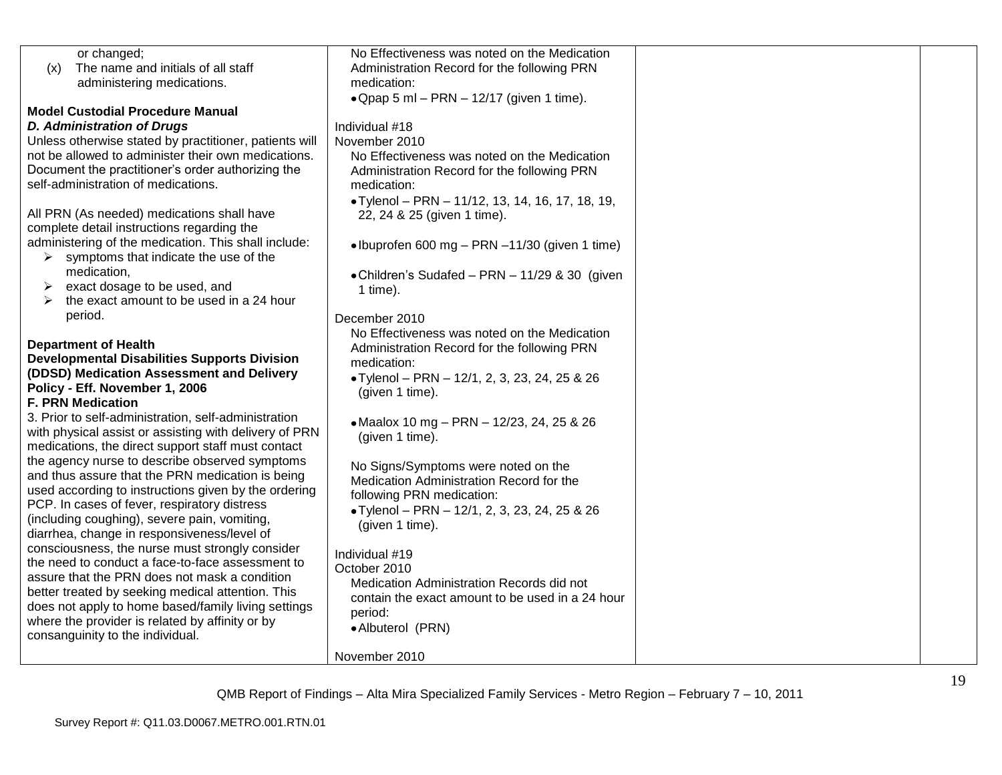| or changed;                                                                        | No Effectiveness was noted on the Medication     |  |
|------------------------------------------------------------------------------------|--------------------------------------------------|--|
| The name and initials of all staff<br>(x)                                          | Administration Record for the following PRN      |  |
| administering medications.                                                         | medication:                                      |  |
|                                                                                    | • Qpap 5 ml – PRN – 12/17 (given 1 time).        |  |
| <b>Model Custodial Procedure Manual</b>                                            |                                                  |  |
| <b>D. Administration of Drugs</b>                                                  | Individual #18                                   |  |
| Unless otherwise stated by practitioner, patients will                             | November 2010                                    |  |
| not be allowed to administer their own medications.                                | No Effectiveness was noted on the Medication     |  |
| Document the practitioner's order authorizing the                                  | Administration Record for the following PRN      |  |
| self-administration of medications.                                                | medication:                                      |  |
|                                                                                    | • Tylenol - PRN - 11/12, 13, 14, 16, 17, 18, 19, |  |
| All PRN (As needed) medications shall have                                         | 22, 24 & 25 (given 1 time).                      |  |
| complete detail instructions regarding the                                         |                                                  |  |
| administering of the medication. This shall include:                               | • Ibuprofen 600 mg - PRN -11/30 (given 1 time)   |  |
| symptoms that indicate the use of the                                              |                                                  |  |
| medication,                                                                        | • Children's Sudafed - PRN - 11/29 & 30 (given   |  |
| exact dosage to be used, and<br>➤                                                  | 1 time).                                         |  |
| the exact amount to be used in a 24 hour                                           |                                                  |  |
| period.                                                                            | December 2010                                    |  |
|                                                                                    | No Effectiveness was noted on the Medication     |  |
| <b>Department of Health</b><br><b>Developmental Disabilities Supports Division</b> | Administration Record for the following PRN      |  |
| (DDSD) Medication Assessment and Delivery                                          | medication:                                      |  |
| Policy - Eff. November 1, 2006                                                     | • Tylenol - PRN - 12/1, 2, 3, 23, 24, 25 & 26    |  |
| <b>F. PRN Medication</b>                                                           | (given 1 time).                                  |  |
| 3. Prior to self-administration, self-administration                               |                                                  |  |
| with physical assist or assisting with delivery of PRN                             | • Maalox 10 mg - PRN - 12/23, 24, 25 & 26        |  |
| medications, the direct support staff must contact                                 | (given 1 time).                                  |  |
| the agency nurse to describe observed symptoms                                     |                                                  |  |
| and thus assure that the PRN medication is being                                   | No Signs/Symptoms were noted on the              |  |
| used according to instructions given by the ordering                               | Medication Administration Record for the         |  |
| PCP. In cases of fever, respiratory distress                                       | following PRN medication:                        |  |
| (including coughing), severe pain, vomiting,                                       | • Tylenol - PRN - 12/1, 2, 3, 23, 24, 25 & 26    |  |
| diarrhea, change in responsiveness/level of                                        | (given 1 time).                                  |  |
| consciousness, the nurse must strongly consider                                    |                                                  |  |
| the need to conduct a face-to-face assessment to                                   | Individual #19                                   |  |
| assure that the PRN does not mask a condition                                      | October 2010                                     |  |
| better treated by seeking medical attention. This                                  | Medication Administration Records did not        |  |
| does not apply to home based/family living settings                                | contain the exact amount to be used in a 24 hour |  |
| where the provider is related by affinity or by                                    | period:                                          |  |
| consanguinity to the individual.                                                   | • Albuterol (PRN)                                |  |
|                                                                                    |                                                  |  |
|                                                                                    | November 2010                                    |  |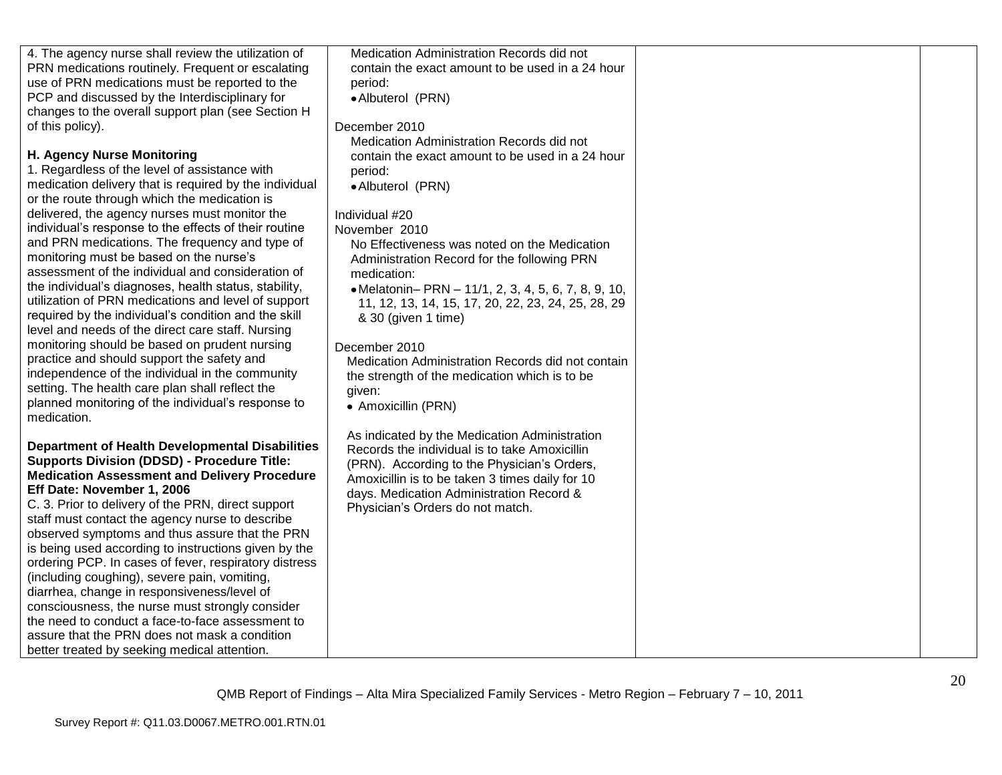| 4. The agency nurse shall review the utilization of    | Medication Administration Records did not                                    |  |
|--------------------------------------------------------|------------------------------------------------------------------------------|--|
| PRN medications routinely. Frequent or escalating      | contain the exact amount to be used in a 24 hour                             |  |
| use of PRN medications must be reported to the         | period:                                                                      |  |
| PCP and discussed by the Interdisciplinary for         | • Albuterol (PRN)                                                            |  |
| changes to the overall support plan (see Section H     |                                                                              |  |
| of this policy).                                       | December 2010                                                                |  |
|                                                        | Medication Administration Records did not                                    |  |
| <b>H. Agency Nurse Monitoring</b>                      | contain the exact amount to be used in a 24 hour                             |  |
| 1. Regardless of the level of assistance with          | period:                                                                      |  |
| medication delivery that is required by the individual | • Albuterol (PRN)                                                            |  |
| or the route through which the medication is           |                                                                              |  |
| delivered, the agency nurses must monitor the          | Individual #20                                                               |  |
| individual's response to the effects of their routine  | November 2010                                                                |  |
| and PRN medications. The frequency and type of         | No Effectiveness was noted on the Medication                                 |  |
| monitoring must be based on the nurse's                | Administration Record for the following PRN                                  |  |
| assessment of the individual and consideration of      | medication:                                                                  |  |
| the individual's diagnoses, health status, stability,  | • Melatonin- PRN - 11/1, 2, 3, 4, 5, 6, 7, 8, 9, 10,                         |  |
| utilization of PRN medications and level of support    | 11, 12, 13, 14, 15, 17, 20, 22, 23, 24, 25, 28, 29                           |  |
| required by the individual's condition and the skill   | & 30 (given 1 time)                                                          |  |
| level and needs of the direct care staff. Nursing      |                                                                              |  |
| monitoring should be based on prudent nursing          | December 2010                                                                |  |
| practice and should support the safety and             | Medication Administration Records did not contain                            |  |
| independence of the individual in the community        | the strength of the medication which is to be                                |  |
| setting. The health care plan shall reflect the        | given:                                                                       |  |
| planned monitoring of the individual's response to     | • Amoxicillin (PRN)                                                          |  |
| medication.                                            |                                                                              |  |
| <b>Department of Health Developmental Disabilities</b> | As indicated by the Medication Administration                                |  |
| <b>Supports Division (DDSD) - Procedure Title:</b>     | Records the individual is to take Amoxicillin                                |  |
| <b>Medication Assessment and Delivery Procedure</b>    | (PRN). According to the Physician's Orders,                                  |  |
| Eff Date: November 1, 2006                             | Amoxicillin is to be taken 3 times daily for 10                              |  |
| C. 3. Prior to delivery of the PRN, direct support     | days. Medication Administration Record &<br>Physician's Orders do not match. |  |
| staff must contact the agency nurse to describe        |                                                                              |  |
| observed symptoms and thus assure that the PRN         |                                                                              |  |
| is being used according to instructions given by the   |                                                                              |  |
| ordering PCP. In cases of fever, respiratory distress  |                                                                              |  |
| (including coughing), severe pain, vomiting,           |                                                                              |  |
| diarrhea, change in responsiveness/level of            |                                                                              |  |
| consciousness, the nurse must strongly consider        |                                                                              |  |
| the need to conduct a face-to-face assessment to       |                                                                              |  |
| assure that the PRN does not mask a condition          |                                                                              |  |
| better treated by seeking medical attention.           |                                                                              |  |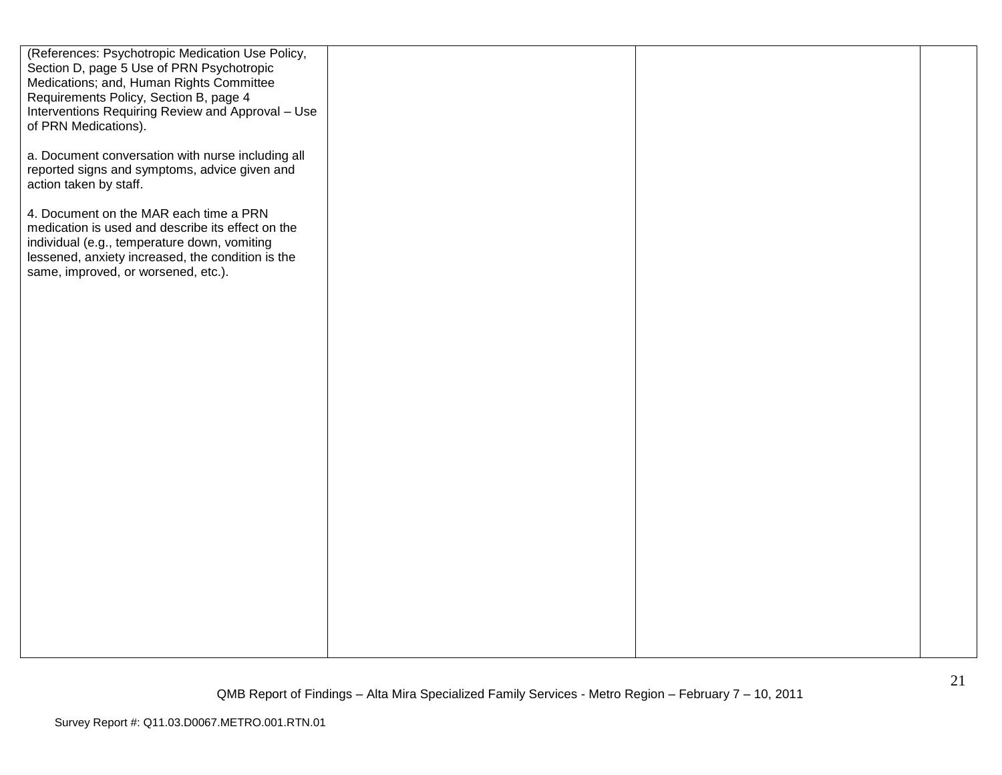| (References: Psychotropic Medication Use Policy,<br>Section D, page 5 Use of PRN Psychotropic<br>Medications; and, Human Rights Committee<br>Requirements Policy, Section B, page 4<br>Interventions Requiring Review and Approval - Use<br>of PRN Medications). |  |  |
|------------------------------------------------------------------------------------------------------------------------------------------------------------------------------------------------------------------------------------------------------------------|--|--|
| a. Document conversation with nurse including all<br>reported signs and symptoms, advice given and<br>action taken by staff.                                                                                                                                     |  |  |
| 4. Document on the MAR each time a PRN<br>medication is used and describe its effect on the<br>individual (e.g., temperature down, vomiting<br>lessened, anxiety increased, the condition is the<br>same, improved, or worsened, etc.).                          |  |  |
|                                                                                                                                                                                                                                                                  |  |  |
|                                                                                                                                                                                                                                                                  |  |  |
|                                                                                                                                                                                                                                                                  |  |  |
|                                                                                                                                                                                                                                                                  |  |  |
|                                                                                                                                                                                                                                                                  |  |  |
|                                                                                                                                                                                                                                                                  |  |  |
|                                                                                                                                                                                                                                                                  |  |  |
|                                                                                                                                                                                                                                                                  |  |  |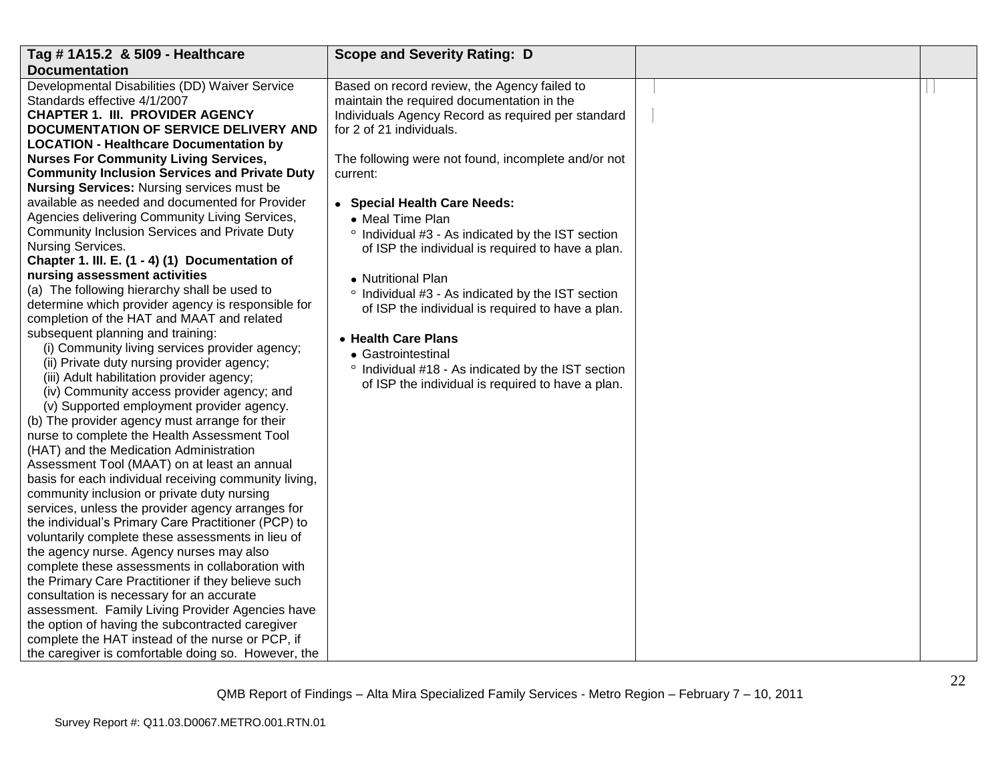| Tag # 1A15.2 & 5109 - Healthcare                      | <b>Scope and Severity Rating: D</b>                           |  |
|-------------------------------------------------------|---------------------------------------------------------------|--|
| <b>Documentation</b>                                  |                                                               |  |
| Developmental Disabilities (DD) Waiver Service        | Based on record review, the Agency failed to                  |  |
| Standards effective 4/1/2007                          | maintain the required documentation in the                    |  |
| <b>CHAPTER 1. III. PROVIDER AGENCY</b>                | Individuals Agency Record as required per standard            |  |
| DOCUMENTATION OF SERVICE DELIVERY AND                 | for 2 of 21 individuals.                                      |  |
| <b>LOCATION - Healthcare Documentation by</b>         |                                                               |  |
| <b>Nurses For Community Living Services,</b>          | The following were not found, incomplete and/or not           |  |
| <b>Community Inclusion Services and Private Duty</b>  | current:                                                      |  |
| <b>Nursing Services: Nursing services must be</b>     |                                                               |  |
| available as needed and documented for Provider       | • Special Health Care Needs:                                  |  |
| Agencies delivering Community Living Services,        | • Meal Time Plan                                              |  |
| Community Inclusion Services and Private Duty         | ° Individual #3 - As indicated by the IST section             |  |
| Nursing Services.                                     | of ISP the individual is required to have a plan.             |  |
| Chapter 1. III. E. (1 - 4) (1) Documentation of       |                                                               |  |
| nursing assessment activities                         | • Nutritional Plan                                            |  |
| (a) The following hierarchy shall be used to          | ° Individual #3 - As indicated by the IST section             |  |
| determine which provider agency is responsible for    | of ISP the individual is required to have a plan.             |  |
| completion of the HAT and MAAT and related            |                                                               |  |
| subsequent planning and training:                     | • Health Care Plans                                           |  |
| (i) Community living services provider agency;        | • Gastrointestinal                                            |  |
| (ii) Private duty nursing provider agency;            | <sup>o</sup> Individual #18 - As indicated by the IST section |  |
| (iii) Adult habilitation provider agency;             | of ISP the individual is required to have a plan.             |  |
| (iv) Community access provider agency; and            |                                                               |  |
| (v) Supported employment provider agency.             |                                                               |  |
| (b) The provider agency must arrange for their        |                                                               |  |
| nurse to complete the Health Assessment Tool          |                                                               |  |
| (HAT) and the Medication Administration               |                                                               |  |
| Assessment Tool (MAAT) on at least an annual          |                                                               |  |
| basis for each individual receiving community living, |                                                               |  |
| community inclusion or private duty nursing           |                                                               |  |
| services, unless the provider agency arranges for     |                                                               |  |
| the individual's Primary Care Practitioner (PCP) to   |                                                               |  |
| voluntarily complete these assessments in lieu of     |                                                               |  |
| the agency nurse. Agency nurses may also              |                                                               |  |
| complete these assessments in collaboration with      |                                                               |  |
| the Primary Care Practitioner if they believe such    |                                                               |  |
| consultation is necessary for an accurate             |                                                               |  |
| assessment. Family Living Provider Agencies have      |                                                               |  |
| the option of having the subcontracted caregiver      |                                                               |  |
| complete the HAT instead of the nurse or PCP, if      |                                                               |  |
| the caregiver is comfortable doing so. However, the   |                                                               |  |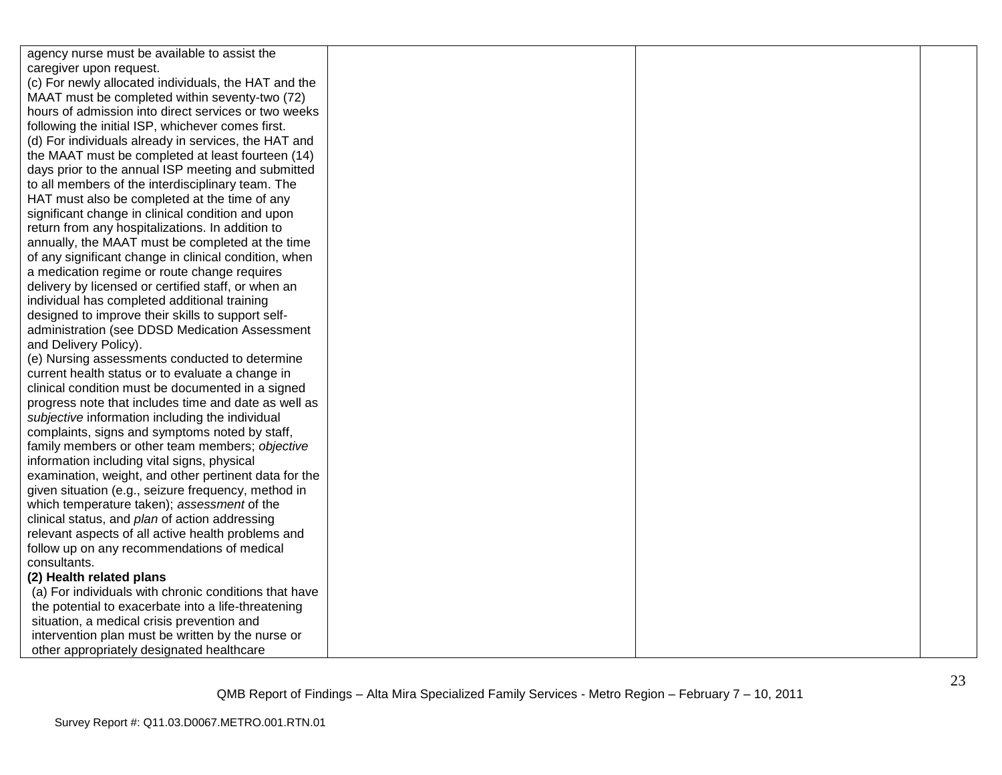| agency nurse must be available to assist the          |  |  |
|-------------------------------------------------------|--|--|
| caregiver upon request.                               |  |  |
| (c) For newly allocated individuals, the HAT and the  |  |  |
| MAAT must be completed within seventy-two (72)        |  |  |
| hours of admission into direct services or two weeks  |  |  |
| following the initial ISP, whichever comes first.     |  |  |
| (d) For individuals already in services, the HAT and  |  |  |
| the MAAT must be completed at least fourteen (14)     |  |  |
| days prior to the annual ISP meeting and submitted    |  |  |
| to all members of the interdisciplinary team. The     |  |  |
| HAT must also be completed at the time of any         |  |  |
| significant change in clinical condition and upon     |  |  |
| return from any hospitalizations. In addition to      |  |  |
| annually, the MAAT must be completed at the time      |  |  |
| of any significant change in clinical condition, when |  |  |
| a medication regime or route change requires          |  |  |
| delivery by licensed or certified staff, or when an   |  |  |
| individual has completed additional training          |  |  |
| designed to improve their skills to support self-     |  |  |
| administration (see DDSD Medication Assessment        |  |  |
| and Delivery Policy).                                 |  |  |
| (e) Nursing assessments conducted to determine        |  |  |
| current health status or to evaluate a change in      |  |  |
| clinical condition must be documented in a signed     |  |  |
| progress note that includes time and date as well as  |  |  |
| subjective information including the individual       |  |  |
| complaints, signs and symptoms noted by staff,        |  |  |
| family members or other team members; objective       |  |  |
| information including vital signs, physical           |  |  |
| examination, weight, and other pertinent data for the |  |  |
| given situation (e.g., seizure frequency, method in   |  |  |
| which temperature taken); assessment of the           |  |  |
| clinical status, and plan of action addressing        |  |  |
| relevant aspects of all active health problems and    |  |  |
| follow up on any recommendations of medical           |  |  |
| consultants.                                          |  |  |
| (2) Health related plans                              |  |  |
| (a) For individuals with chronic conditions that have |  |  |
| the potential to exacerbate into a life-threatening   |  |  |
| situation, a medical crisis prevention and            |  |  |
| intervention plan must be written by the nurse or     |  |  |
| other appropriately designated healthcare             |  |  |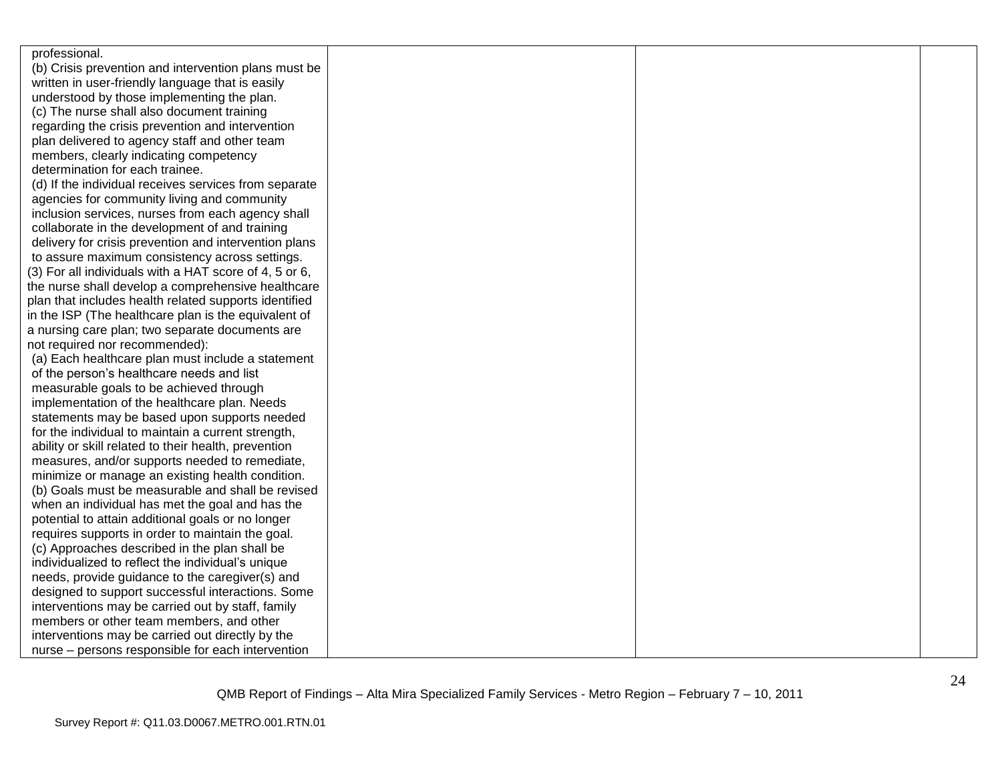| professional.                                          |  |  |
|--------------------------------------------------------|--|--|
| (b) Crisis prevention and intervention plans must be   |  |  |
| written in user-friendly language that is easily       |  |  |
| understood by those implementing the plan.             |  |  |
| (c) The nurse shall also document training             |  |  |
| regarding the crisis prevention and intervention       |  |  |
| plan delivered to agency staff and other team          |  |  |
| members, clearly indicating competency                 |  |  |
| determination for each trainee.                        |  |  |
| (d) If the individual receives services from separate  |  |  |
| agencies for community living and community            |  |  |
| inclusion services, nurses from each agency shall      |  |  |
| collaborate in the development of and training         |  |  |
| delivery for crisis prevention and intervention plans  |  |  |
| to assure maximum consistency across settings.         |  |  |
| (3) For all individuals with a HAT score of 4, 5 or 6, |  |  |
| the nurse shall develop a comprehensive healthcare     |  |  |
| plan that includes health related supports identified  |  |  |
| in the ISP (The healthcare plan is the equivalent of   |  |  |
| a nursing care plan; two separate documents are        |  |  |
| not required nor recommended):                         |  |  |
| (a) Each healthcare plan must include a statement      |  |  |
| of the person's healthcare needs and list              |  |  |
| measurable goals to be achieved through                |  |  |
| implementation of the healthcare plan. Needs           |  |  |
| statements may be based upon supports needed           |  |  |
| for the individual to maintain a current strength,     |  |  |
| ability or skill related to their health, prevention   |  |  |
| measures, and/or supports needed to remediate,         |  |  |
| minimize or manage an existing health condition.       |  |  |
| (b) Goals must be measurable and shall be revised      |  |  |
| when an individual has met the goal and has the        |  |  |
| potential to attain additional goals or no longer      |  |  |
| requires supports in order to maintain the goal.       |  |  |
| (c) Approaches described in the plan shall be          |  |  |
| individualized to reflect the individual's unique      |  |  |
| needs, provide guidance to the caregiver(s) and        |  |  |
| designed to support successful interactions. Some      |  |  |
| interventions may be carried out by staff, family      |  |  |
| members or other team members, and other               |  |  |
| interventions may be carried out directly by the       |  |  |
| nurse - persons responsible for each intervention      |  |  |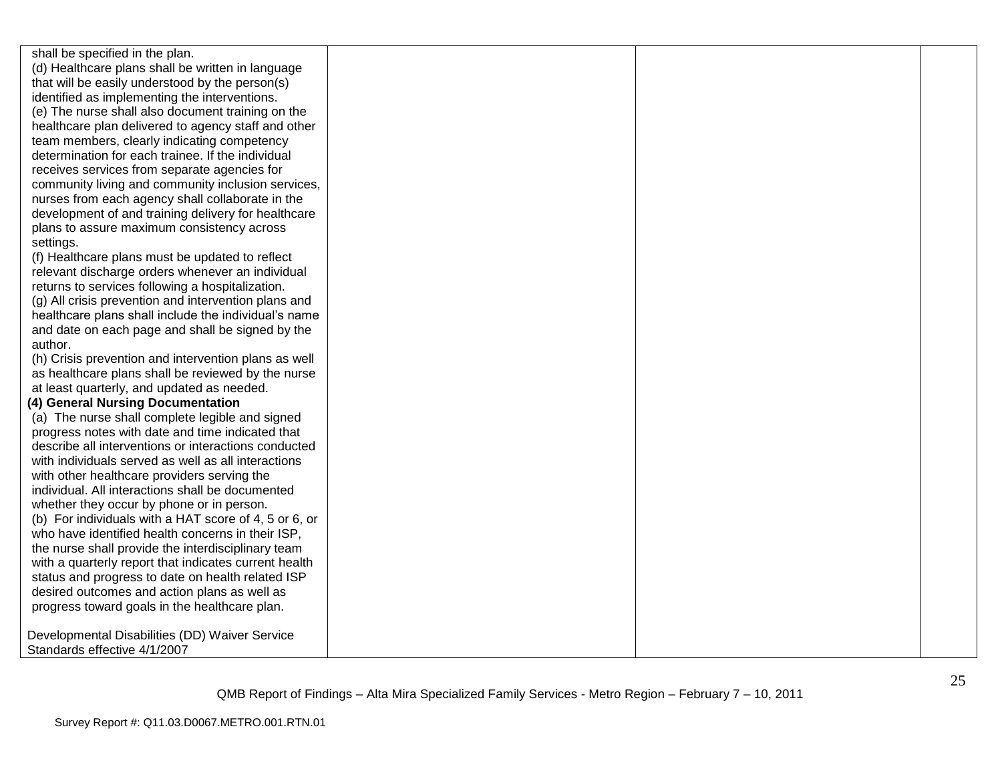shall be specified in the plan. (d) Healthcare plans shall be written in language that will be easily understood by the person(s) identified as implementing the interventions. (e) The nurse shall also document training on the healthcare plan delivered to agency staff and other team members, clearly indicating competency determination for each trainee. If the individual receives services from separate agencies for community living and community inclusion services, nurses from each agency shall collaborate in the development of and training delivery for healthcare plans to assure maximum consistency across settings.

(f) Healthcare plans must be updated to reflect relevant discharge orders whenever an individual returns to services following a hospitalization.

(g) All crisis prevention and intervention plans and healthcare plans shall include the individual's name and date on each page and shall be signed by the author.

(h) Crisis prevention and intervention plans as well as healthcare plans shall be reviewed by the nurse at least quarterly, and updated as needed.

#### **(4) General Nursing Documentation**

(a) The nurse shall complete legible and signed progress notes with date and time indicated that describe all interventions or interactions conducted with individuals served as well as all interactions with other healthcare providers serving the individual. All interactions shall be documented whether they occur by phone or in person. (b) For individuals with a HAT score of 4, 5 or 6, or who have identified health concerns in their ISP, the nurse shall provide the interdisciplinary team with a quarterly report that indicates current health status and progress to date on health related ISP desired outcomes and action plans as well as progress toward goals in the healthcare plan.

Developmental Disabilities (DD) Waiver Service Standards effective 4/1/2007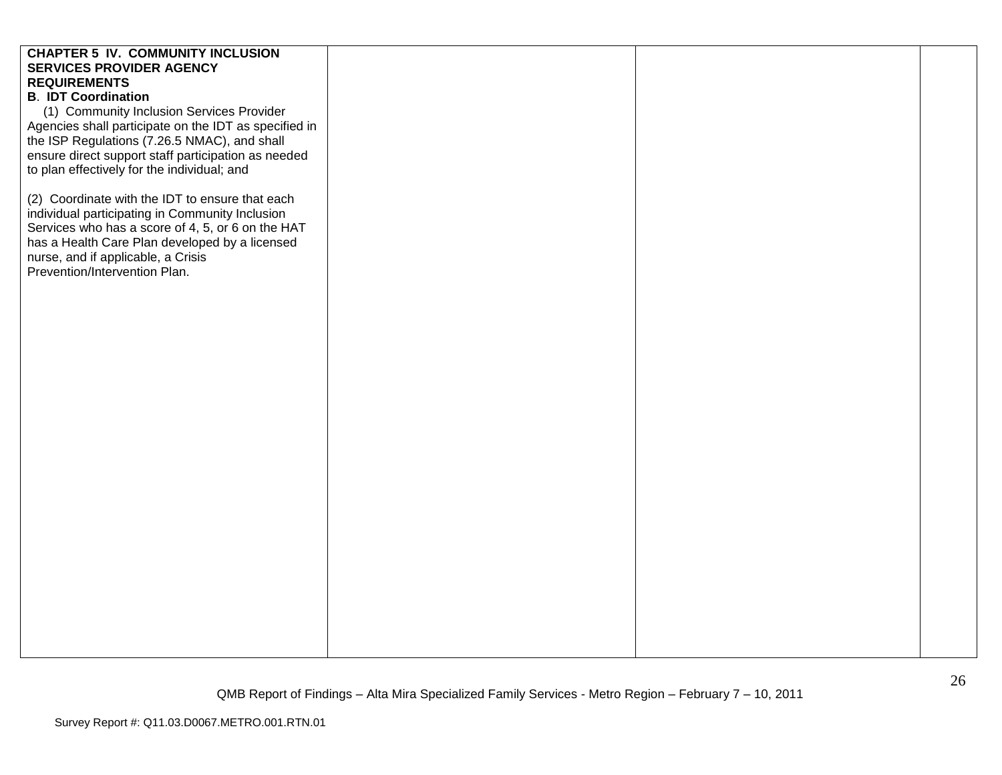| <b>CHAPTER 5 IV. COMMUNITY INCLUSION</b>                                                           |  |  |
|----------------------------------------------------------------------------------------------------|--|--|
| <b>SERVICES PROVIDER AGENCY</b><br><b>REQUIREMENTS</b>                                             |  |  |
| <b>B. IDT Coordination</b>                                                                         |  |  |
| (1) Community Inclusion Services Provider                                                          |  |  |
| Agencies shall participate on the IDT as specified in                                              |  |  |
| the ISP Regulations (7.26.5 NMAC), and shall                                                       |  |  |
| ensure direct support staff participation as needed                                                |  |  |
| to plan effectively for the individual; and                                                        |  |  |
|                                                                                                    |  |  |
| (2) Coordinate with the IDT to ensure that each<br>individual participating in Community Inclusion |  |  |
| Services who has a score of 4, 5, or 6 on the HAT                                                  |  |  |
| has a Health Care Plan developed by a licensed                                                     |  |  |
| nurse, and if applicable, a Crisis                                                                 |  |  |
| Prevention/Intervention Plan.                                                                      |  |  |
|                                                                                                    |  |  |
|                                                                                                    |  |  |
|                                                                                                    |  |  |
|                                                                                                    |  |  |
|                                                                                                    |  |  |
|                                                                                                    |  |  |
|                                                                                                    |  |  |
|                                                                                                    |  |  |
|                                                                                                    |  |  |
|                                                                                                    |  |  |
|                                                                                                    |  |  |
|                                                                                                    |  |  |
|                                                                                                    |  |  |
|                                                                                                    |  |  |
|                                                                                                    |  |  |
|                                                                                                    |  |  |
|                                                                                                    |  |  |
|                                                                                                    |  |  |
|                                                                                                    |  |  |
|                                                                                                    |  |  |
|                                                                                                    |  |  |
|                                                                                                    |  |  |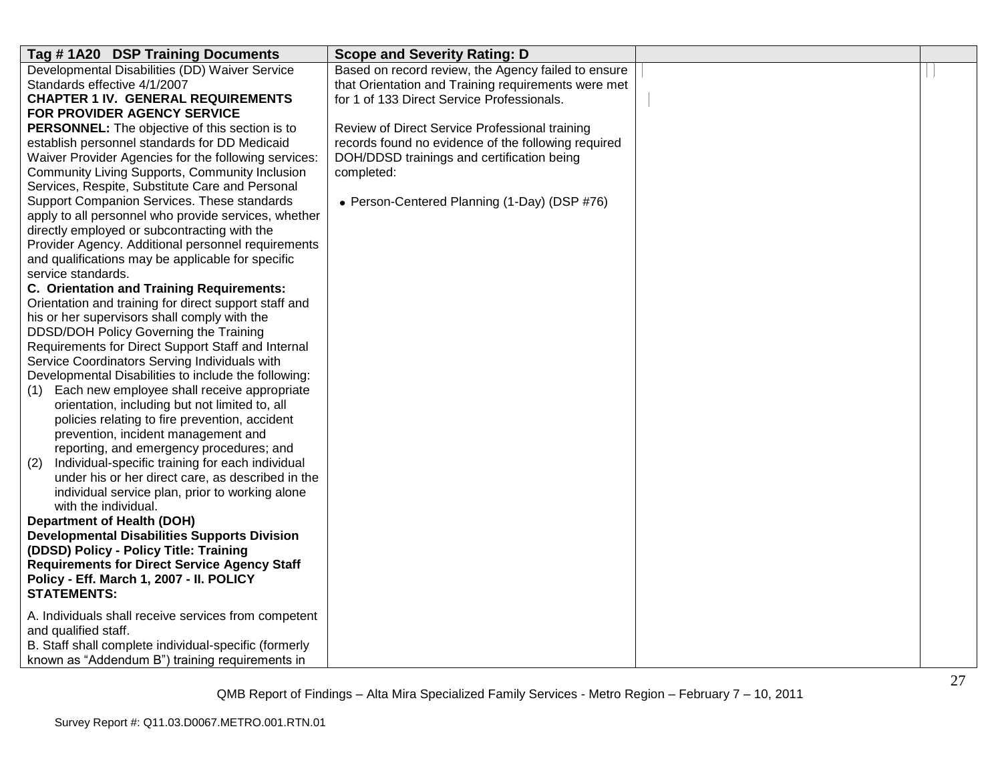| Tag #1A20 DSP Training Documents                                                             | <b>Scope and Severity Rating: D</b>                 |  |
|----------------------------------------------------------------------------------------------|-----------------------------------------------------|--|
| Developmental Disabilities (DD) Waiver Service                                               | Based on record review, the Agency failed to ensure |  |
| Standards effective 4/1/2007                                                                 | that Orientation and Training requirements were met |  |
| <b>CHAPTER 1 IV. GENERAL REQUIREMENTS</b>                                                    | for 1 of 133 Direct Service Professionals.          |  |
| FOR PROVIDER AGENCY SERVICE                                                                  |                                                     |  |
| <b>PERSONNEL:</b> The objective of this section is to                                        | Review of Direct Service Professional training      |  |
| establish personnel standards for DD Medicaid                                                | records found no evidence of the following required |  |
| Waiver Provider Agencies for the following services:                                         | DOH/DDSD trainings and certification being          |  |
| Community Living Supports, Community Inclusion                                               | completed:                                          |  |
| Services, Respite, Substitute Care and Personal                                              |                                                     |  |
| Support Companion Services. These standards                                                  | • Person-Centered Planning (1-Day) (DSP #76)        |  |
| apply to all personnel who provide services, whether                                         |                                                     |  |
| directly employed or subcontracting with the                                                 |                                                     |  |
| Provider Agency. Additional personnel requirements                                           |                                                     |  |
| and qualifications may be applicable for specific                                            |                                                     |  |
| service standards.                                                                           |                                                     |  |
| <b>C. Orientation and Training Requirements:</b>                                             |                                                     |  |
| Orientation and training for direct support staff and                                        |                                                     |  |
| his or her supervisors shall comply with the                                                 |                                                     |  |
| DDSD/DOH Policy Governing the Training                                                       |                                                     |  |
| Requirements for Direct Support Staff and Internal                                           |                                                     |  |
| Service Coordinators Serving Individuals with                                                |                                                     |  |
| Developmental Disabilities to include the following:                                         |                                                     |  |
| (1) Each new employee shall receive appropriate                                              |                                                     |  |
| orientation, including but not limited to, all                                               |                                                     |  |
| policies relating to fire prevention, accident                                               |                                                     |  |
| prevention, incident management and                                                          |                                                     |  |
| reporting, and emergency procedures; and<br>Individual-specific training for each individual |                                                     |  |
| (2)<br>under his or her direct care, as described in the                                     |                                                     |  |
| individual service plan, prior to working alone                                              |                                                     |  |
| with the individual.                                                                         |                                                     |  |
| <b>Department of Health (DOH)</b>                                                            |                                                     |  |
| <b>Developmental Disabilities Supports Division</b>                                          |                                                     |  |
| (DDSD) Policy - Policy Title: Training                                                       |                                                     |  |
| <b>Requirements for Direct Service Agency Staff</b>                                          |                                                     |  |
| Policy - Eff. March 1, 2007 - II. POLICY                                                     |                                                     |  |
| <b>STATEMENTS:</b>                                                                           |                                                     |  |
|                                                                                              |                                                     |  |
| A. Individuals shall receive services from competent                                         |                                                     |  |
| and qualified staff.                                                                         |                                                     |  |
| B. Staff shall complete individual-specific (formerly                                        |                                                     |  |
| known as "Addendum B") training requirements in                                              |                                                     |  |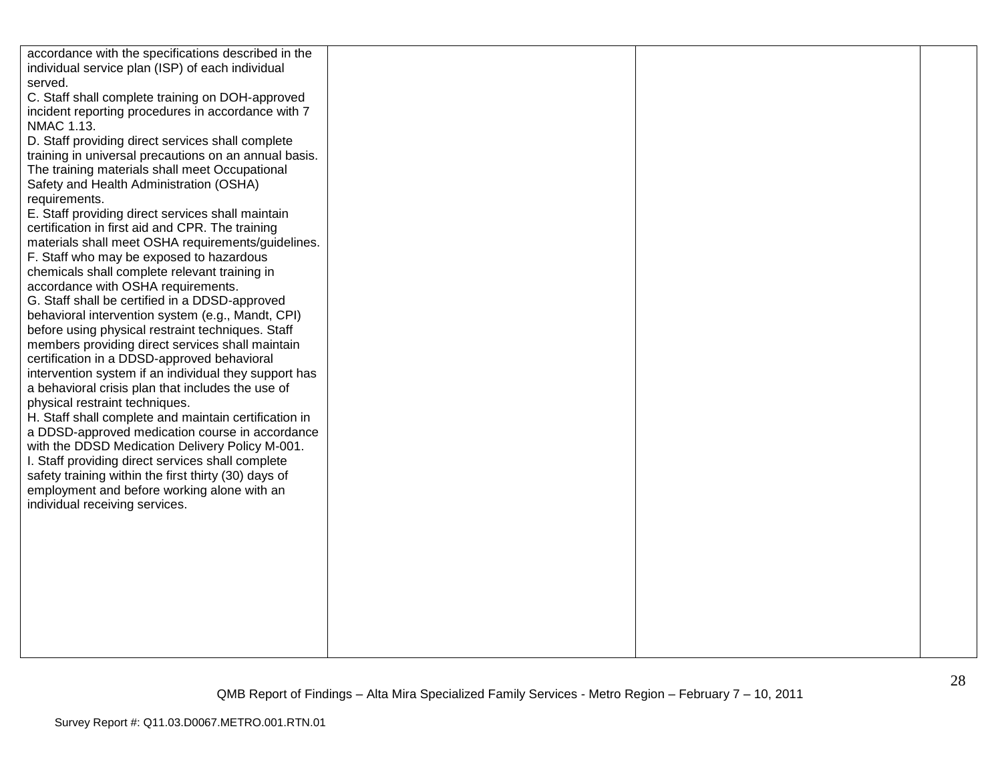| accordance with the specifications described in the   |  |  |
|-------------------------------------------------------|--|--|
| individual service plan (ISP) of each individual      |  |  |
| served.                                               |  |  |
| C. Staff shall complete training on DOH-approved      |  |  |
| incident reporting procedures in accordance with 7    |  |  |
| <b>NMAC 1.13.</b>                                     |  |  |
| D. Staff providing direct services shall complete     |  |  |
| training in universal precautions on an annual basis. |  |  |
| The training materials shall meet Occupational        |  |  |
| Safety and Health Administration (OSHA)               |  |  |
| requirements.                                         |  |  |
| E. Staff providing direct services shall maintain     |  |  |
| certification in first aid and CPR. The training      |  |  |
| materials shall meet OSHA requirements/guidelines.    |  |  |
| F. Staff who may be exposed to hazardous              |  |  |
| chemicals shall complete relevant training in         |  |  |
| accordance with OSHA requirements.                    |  |  |
| G. Staff shall be certified in a DDSD-approved        |  |  |
| behavioral intervention system (e.g., Mandt, CPI)     |  |  |
| before using physical restraint techniques. Staff     |  |  |
| members providing direct services shall maintain      |  |  |
| certification in a DDSD-approved behavioral           |  |  |
| intervention system if an individual they support has |  |  |
| a behavioral crisis plan that includes the use of     |  |  |
| physical restraint techniques.                        |  |  |
| H. Staff shall complete and maintain certification in |  |  |
| a DDSD-approved medication course in accordance       |  |  |
| with the DDSD Medication Delivery Policy M-001.       |  |  |
| I. Staff providing direct services shall complete     |  |  |
| safety training within the first thirty (30) days of  |  |  |
| employment and before working alone with an           |  |  |
| individual receiving services.                        |  |  |
|                                                       |  |  |
|                                                       |  |  |
|                                                       |  |  |
|                                                       |  |  |
|                                                       |  |  |
|                                                       |  |  |
|                                                       |  |  |
|                                                       |  |  |
|                                                       |  |  |
|                                                       |  |  |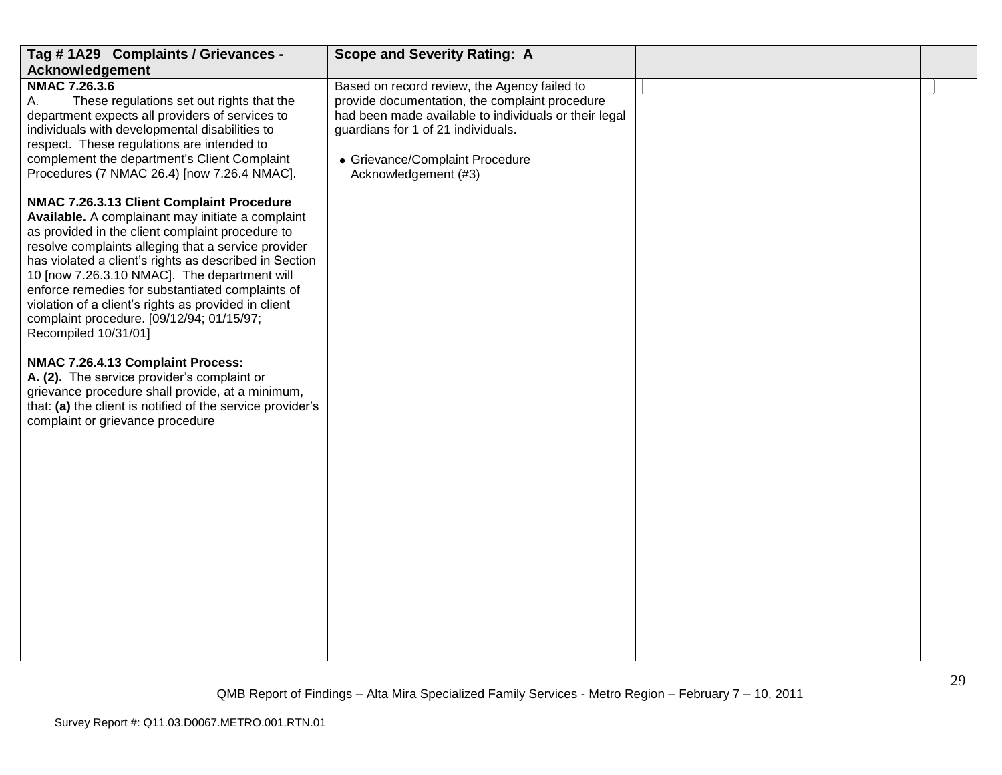| Tag #1A29 Complaints / Grievances -                                                                                                                                                                                                                                                                                                                                                                                                                                                                  | <b>Scope and Severity Rating: A</b>                                                                                                                                                                                                                      |                |
|------------------------------------------------------------------------------------------------------------------------------------------------------------------------------------------------------------------------------------------------------------------------------------------------------------------------------------------------------------------------------------------------------------------------------------------------------------------------------------------------------|----------------------------------------------------------------------------------------------------------------------------------------------------------------------------------------------------------------------------------------------------------|----------------|
| Acknowledgement                                                                                                                                                                                                                                                                                                                                                                                                                                                                                      |                                                                                                                                                                                                                                                          |                |
| <b>NMAC 7.26.3.6</b><br>These regulations set out rights that the<br>А.<br>department expects all providers of services to<br>individuals with developmental disabilities to<br>respect. These regulations are intended to<br>complement the department's Client Complaint<br>Procedures (7 NMAC 26.4) [now 7.26.4 NMAC].                                                                                                                                                                            | Based on record review, the Agency failed to<br>provide documentation, the complaint procedure<br>had been made available to individuals or their legal<br>guardians for 1 of 21 individuals.<br>• Grievance/Complaint Procedure<br>Acknowledgement (#3) |                |
| NMAC 7.26.3.13 Client Complaint Procedure<br>Available. A complainant may initiate a complaint<br>as provided in the client complaint procedure to<br>resolve complaints alleging that a service provider<br>has violated a client's rights as described in Section<br>10 [now 7.26.3.10 NMAC]. The department will<br>enforce remedies for substantiated complaints of<br>violation of a client's rights as provided in client<br>complaint procedure. [09/12/94; 01/15/97;<br>Recompiled 10/31/01] |                                                                                                                                                                                                                                                          |                |
| NMAC 7.26.4.13 Complaint Process:<br>A. (2). The service provider's complaint or<br>grievance procedure shall provide, at a minimum,<br>that: (a) the client is notified of the service provider's<br>complaint or grievance procedure                                                                                                                                                                                                                                                               |                                                                                                                                                                                                                                                          |                |
|                                                                                                                                                                                                                                                                                                                                                                                                                                                                                                      |                                                                                                                                                                                                                                                          | $\mathfrak{D}$ |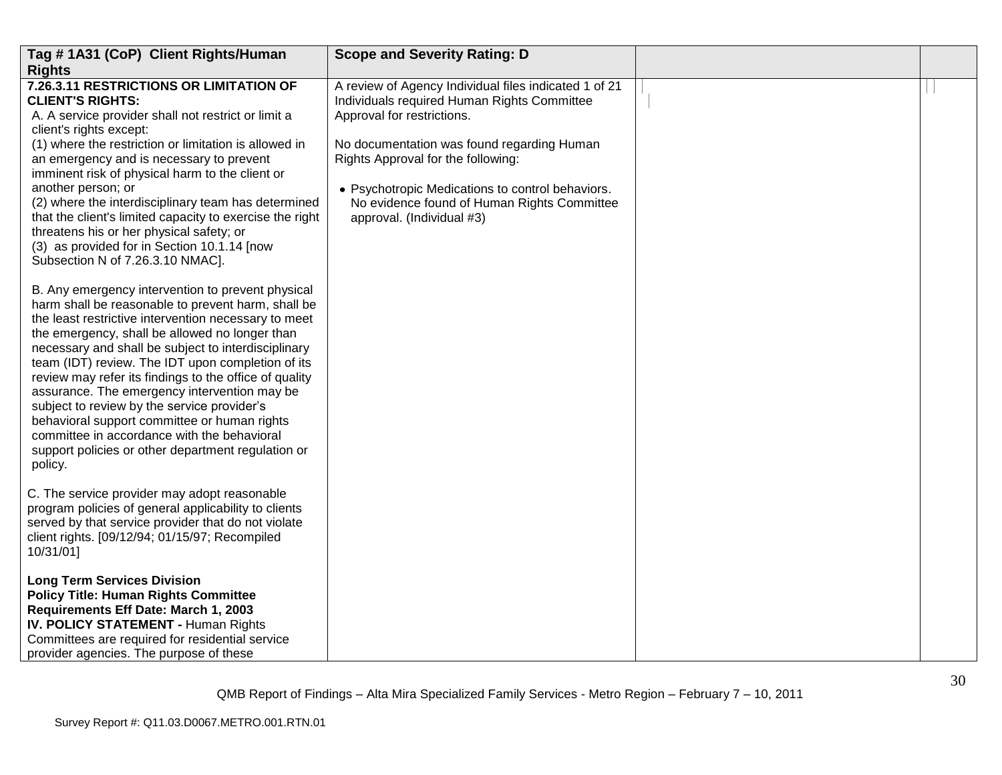| Tag #1A31 (CoP) Client Rights/Human                                                                                                                                                                                                                                                                                                                                                                                                                                                                                                                                                                                                                    | <b>Scope and Severity Rating: D</b>                                                                                                                                                                              |  |
|--------------------------------------------------------------------------------------------------------------------------------------------------------------------------------------------------------------------------------------------------------------------------------------------------------------------------------------------------------------------------------------------------------------------------------------------------------------------------------------------------------------------------------------------------------------------------------------------------------------------------------------------------------|------------------------------------------------------------------------------------------------------------------------------------------------------------------------------------------------------------------|--|
| <b>Rights</b>                                                                                                                                                                                                                                                                                                                                                                                                                                                                                                                                                                                                                                          |                                                                                                                                                                                                                  |  |
| 7.26.3.11 RESTRICTIONS OR LIMITATION OF<br><b>CLIENT'S RIGHTS:</b><br>A. A service provider shall not restrict or limit a<br>client's rights except:                                                                                                                                                                                                                                                                                                                                                                                                                                                                                                   | A review of Agency Individual files indicated 1 of 21<br>Individuals required Human Rights Committee<br>Approval for restrictions.                                                                               |  |
| (1) where the restriction or limitation is allowed in<br>an emergency and is necessary to prevent<br>imminent risk of physical harm to the client or<br>another person; or<br>(2) where the interdisciplinary team has determined<br>that the client's limited capacity to exercise the right<br>threatens his or her physical safety; or<br>(3) as provided for in Section 10.1.14 [now<br>Subsection N of 7.26.3.10 NMAC].                                                                                                                                                                                                                           | No documentation was found regarding Human<br>Rights Approval for the following:<br>• Psychotropic Medications to control behaviors.<br>No evidence found of Human Rights Committee<br>approval. (Individual #3) |  |
| B. Any emergency intervention to prevent physical<br>harm shall be reasonable to prevent harm, shall be<br>the least restrictive intervention necessary to meet<br>the emergency, shall be allowed no longer than<br>necessary and shall be subject to interdisciplinary<br>team (IDT) review. The IDT upon completion of its<br>review may refer its findings to the office of quality<br>assurance. The emergency intervention may be<br>subject to review by the service provider's<br>behavioral support committee or human rights<br>committee in accordance with the behavioral<br>support policies or other department regulation or<br>policy. |                                                                                                                                                                                                                  |  |
| C. The service provider may adopt reasonable<br>program policies of general applicability to clients<br>served by that service provider that do not violate<br>client rights. [09/12/94; 01/15/97; Recompiled<br>10/31/01]                                                                                                                                                                                                                                                                                                                                                                                                                             |                                                                                                                                                                                                                  |  |
| <b>Long Term Services Division</b><br><b>Policy Title: Human Rights Committee</b><br>Requirements Eff Date: March 1, 2003<br><b>IV. POLICY STATEMENT - Human Rights</b><br>Committees are required for residential service<br>provider agencies. The purpose of these                                                                                                                                                                                                                                                                                                                                                                                  |                                                                                                                                                                                                                  |  |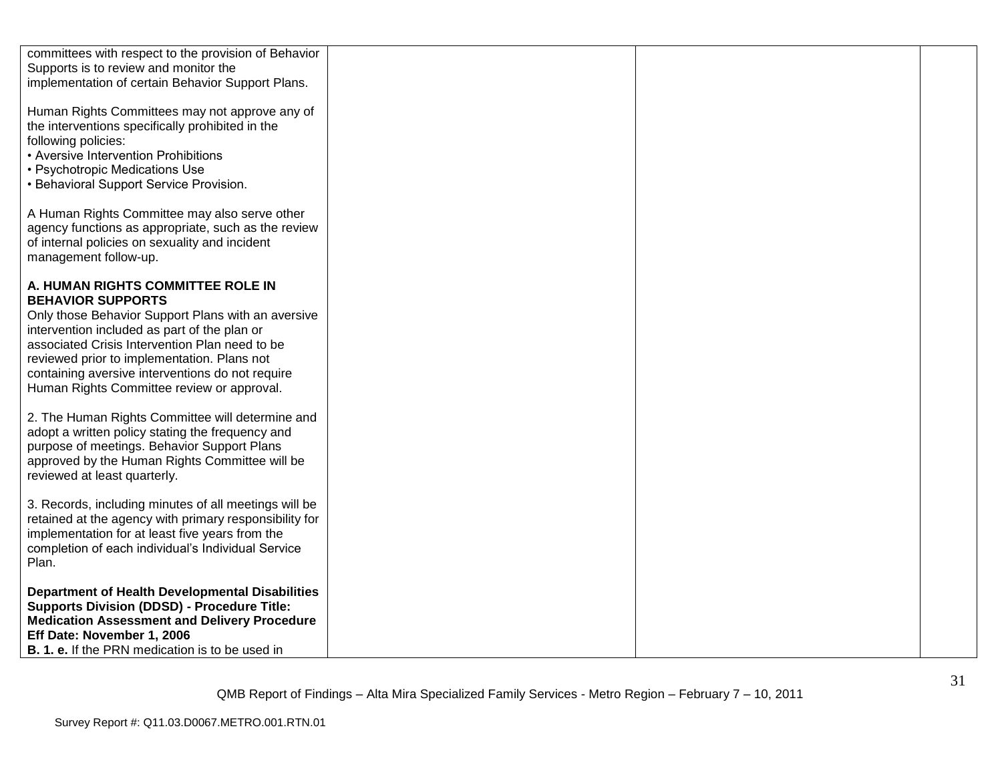| committees with respect to the provision of Behavior<br>Supports is to review and monitor the<br>implementation of certain Behavior Support Plans.                                                                                                                                                                                                                     |  |  |
|------------------------------------------------------------------------------------------------------------------------------------------------------------------------------------------------------------------------------------------------------------------------------------------------------------------------------------------------------------------------|--|--|
| Human Rights Committees may not approve any of<br>the interventions specifically prohibited in the<br>following policies:<br>• Aversive Intervention Prohibitions<br>• Psychotropic Medications Use<br>• Behavioral Support Service Provision.                                                                                                                         |  |  |
| A Human Rights Committee may also serve other<br>agency functions as appropriate, such as the review<br>of internal policies on sexuality and incident<br>management follow-up.                                                                                                                                                                                        |  |  |
| A. HUMAN RIGHTS COMMITTEE ROLE IN<br><b>BEHAVIOR SUPPORTS</b><br>Only those Behavior Support Plans with an aversive<br>intervention included as part of the plan or<br>associated Crisis Intervention Plan need to be<br>reviewed prior to implementation. Plans not<br>containing aversive interventions do not require<br>Human Rights Committee review or approval. |  |  |
| 2. The Human Rights Committee will determine and<br>adopt a written policy stating the frequency and<br>purpose of meetings. Behavior Support Plans<br>approved by the Human Rights Committee will be<br>reviewed at least quarterly.                                                                                                                                  |  |  |
| 3. Records, including minutes of all meetings will be<br>retained at the agency with primary responsibility for<br>implementation for at least five years from the<br>completion of each individual's Individual Service<br>Plan.                                                                                                                                      |  |  |
| <b>Department of Health Developmental Disabilities</b><br><b>Supports Division (DDSD) - Procedure Title:</b><br><b>Medication Assessment and Delivery Procedure</b><br>Eff Date: November 1, 2006<br><b>B. 1. e.</b> If the PRN medication is to be used in                                                                                                            |  |  |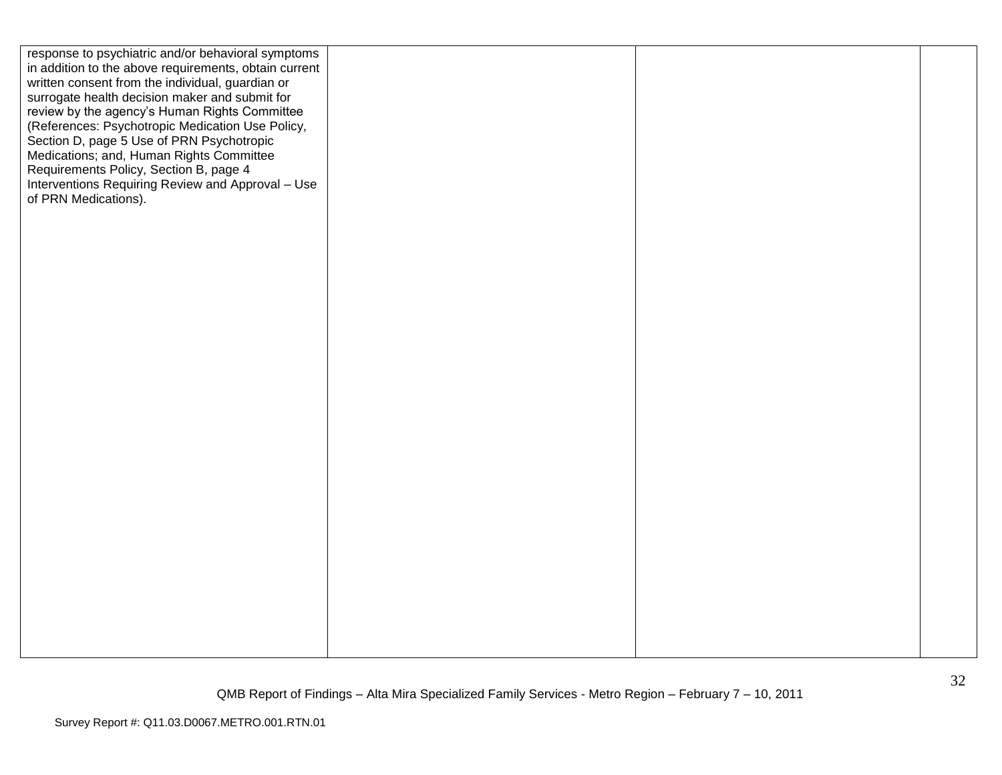| response to psychiatric and/or behavioral symptoms    |  |  |
|-------------------------------------------------------|--|--|
| in addition to the above requirements, obtain current |  |  |
| written consent from the individual, guardian or      |  |  |
| surrogate health decision maker and submit for        |  |  |
| review by the agency's Human Rights Committee         |  |  |
| (References: Psychotropic Medication Use Policy,      |  |  |
| Section D, page 5 Use of PRN Psychotropic             |  |  |
|                                                       |  |  |
| Medications; and, Human Rights Committee              |  |  |
| Requirements Policy, Section B, page 4                |  |  |
| Interventions Requiring Review and Approval - Use     |  |  |
| of PRN Medications).                                  |  |  |
|                                                       |  |  |
|                                                       |  |  |
|                                                       |  |  |
|                                                       |  |  |
|                                                       |  |  |
|                                                       |  |  |
|                                                       |  |  |
|                                                       |  |  |
|                                                       |  |  |
|                                                       |  |  |
|                                                       |  |  |
|                                                       |  |  |
|                                                       |  |  |
|                                                       |  |  |
|                                                       |  |  |
|                                                       |  |  |
|                                                       |  |  |
|                                                       |  |  |
|                                                       |  |  |
|                                                       |  |  |
|                                                       |  |  |
|                                                       |  |  |
|                                                       |  |  |
|                                                       |  |  |
|                                                       |  |  |
|                                                       |  |  |
|                                                       |  |  |
|                                                       |  |  |
|                                                       |  |  |
|                                                       |  |  |
|                                                       |  |  |
|                                                       |  |  |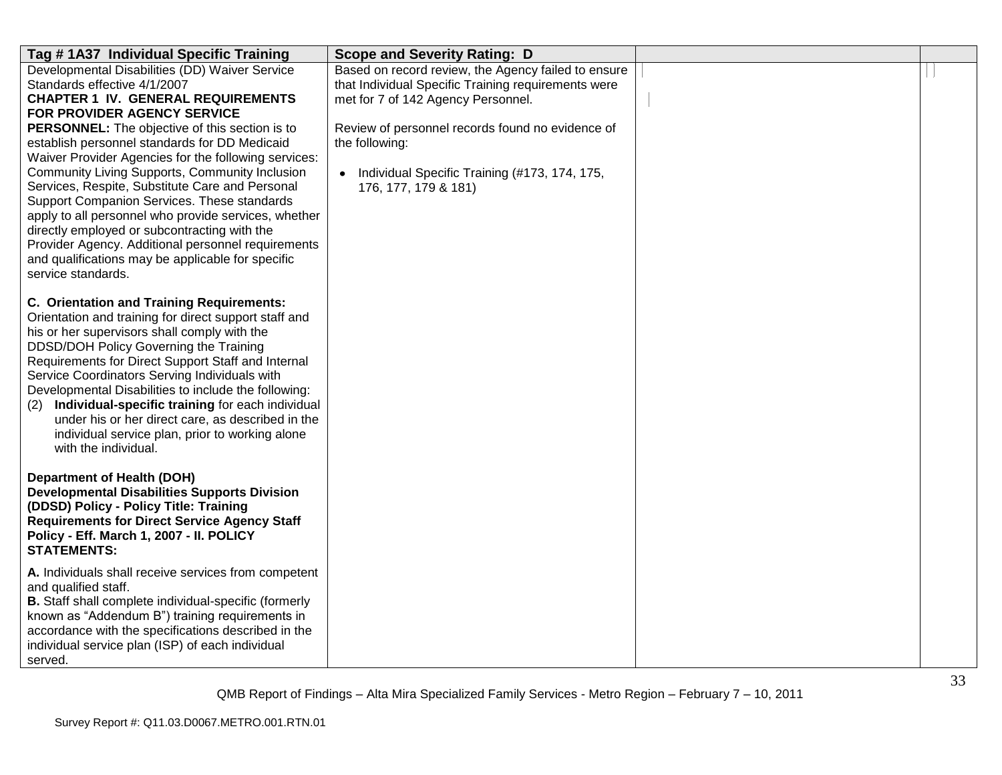| Tag #1A37 Individual Specific Training                                                                                                                                                                                                                                                                                                                                                                                                                                                                                                                                                                                                                                                                                           | <b>Scope and Severity Rating: D</b>                                                                                                                                                                                                                                                               |  |
|----------------------------------------------------------------------------------------------------------------------------------------------------------------------------------------------------------------------------------------------------------------------------------------------------------------------------------------------------------------------------------------------------------------------------------------------------------------------------------------------------------------------------------------------------------------------------------------------------------------------------------------------------------------------------------------------------------------------------------|---------------------------------------------------------------------------------------------------------------------------------------------------------------------------------------------------------------------------------------------------------------------------------------------------|--|
| Developmental Disabilities (DD) Waiver Service<br>Standards effective 4/1/2007<br><b>CHAPTER 1 IV. GENERAL REQUIREMENTS</b><br>FOR PROVIDER AGENCY SERVICE<br><b>PERSONNEL:</b> The objective of this section is to<br>establish personnel standards for DD Medicaid<br>Waiver Provider Agencies for the following services:<br><b>Community Living Supports, Community Inclusion</b><br>Services, Respite, Substitute Care and Personal<br>Support Companion Services. These standards<br>apply to all personnel who provide services, whether<br>directly employed or subcontracting with the<br>Provider Agency. Additional personnel requirements<br>and qualifications may be applicable for specific<br>service standards. | Based on record review, the Agency failed to ensure<br>that Individual Specific Training requirements were<br>met for 7 of 142 Agency Personnel.<br>Review of personnel records found no evidence of<br>the following:<br>• Individual Specific Training (#173, 174, 175,<br>176, 177, 179 & 181) |  |
| <b>C. Orientation and Training Requirements:</b><br>Orientation and training for direct support staff and<br>his or her supervisors shall comply with the<br>DDSD/DOH Policy Governing the Training<br>Requirements for Direct Support Staff and Internal<br>Service Coordinators Serving Individuals with<br>Developmental Disabilities to include the following:<br>Individual-specific training for each individual<br>(2)<br>under his or her direct care, as described in the<br>individual service plan, prior to working alone<br>with the individual.                                                                                                                                                                    |                                                                                                                                                                                                                                                                                                   |  |
| <b>Department of Health (DOH)</b><br><b>Developmental Disabilities Supports Division</b><br>(DDSD) Policy - Policy Title: Training<br><b>Requirements for Direct Service Agency Staff</b><br>Policy - Eff. March 1, 2007 - II. POLICY<br><b>STATEMENTS:</b>                                                                                                                                                                                                                                                                                                                                                                                                                                                                      |                                                                                                                                                                                                                                                                                                   |  |
| A. Individuals shall receive services from competent<br>and qualified staff.<br><b>B.</b> Staff shall complete individual-specific (formerly<br>known as "Addendum B") training requirements in<br>accordance with the specifications described in the<br>individual service plan (ISP) of each individual<br>served.                                                                                                                                                                                                                                                                                                                                                                                                            |                                                                                                                                                                                                                                                                                                   |  |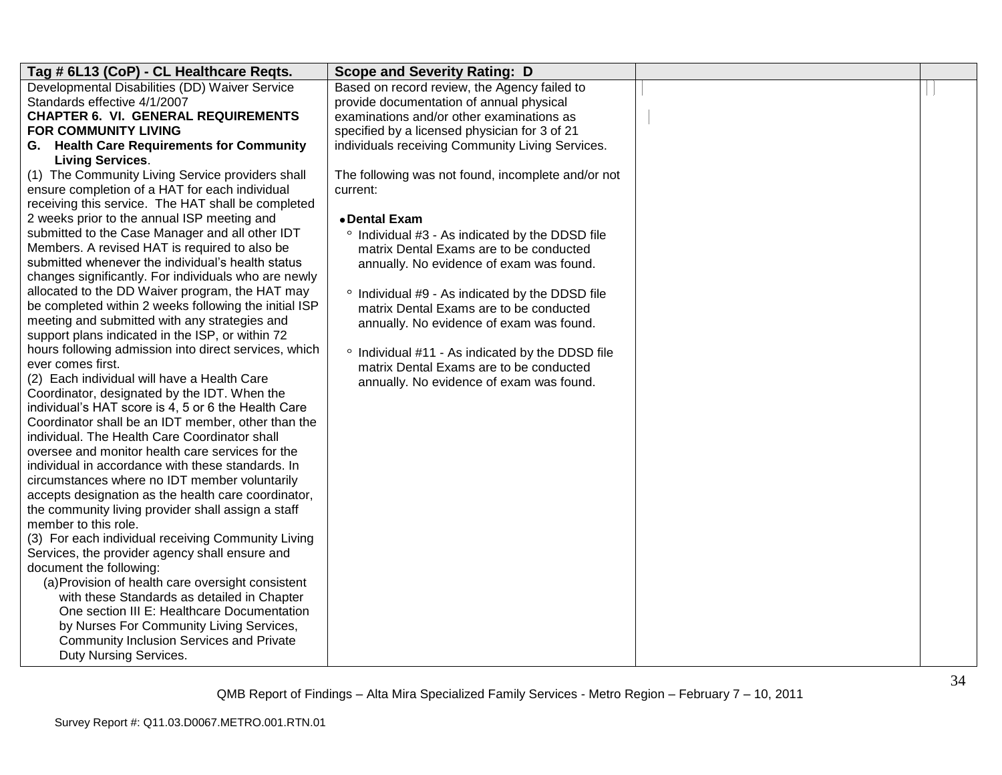| Tag # 6L13 (CoP) - CL Healthcare Reqts.                                                           | <b>Scope and Severity Rating: D</b>                |  |
|---------------------------------------------------------------------------------------------------|----------------------------------------------------|--|
| Developmental Disabilities (DD) Waiver Service                                                    | Based on record review, the Agency failed to       |  |
| Standards effective 4/1/2007                                                                      | provide documentation of annual physical           |  |
| <b>CHAPTER 6. VI. GENERAL REQUIREMENTS</b>                                                        | examinations and/or other examinations as          |  |
| <b>FOR COMMUNITY LIVING</b>                                                                       | specified by a licensed physician for 3 of 21      |  |
| G. Health Care Requirements for Community                                                         | individuals receiving Community Living Services.   |  |
| <b>Living Services.</b>                                                                           |                                                    |  |
| (1) The Community Living Service providers shall                                                  | The following was not found, incomplete and/or not |  |
| ensure completion of a HAT for each individual                                                    | current:                                           |  |
| receiving this service. The HAT shall be completed                                                |                                                    |  |
| 2 weeks prior to the annual ISP meeting and                                                       | • Dental Exam                                      |  |
| submitted to the Case Manager and all other IDT                                                   | ° Individual #3 - As indicated by the DDSD file    |  |
| Members. A revised HAT is required to also be                                                     | matrix Dental Exams are to be conducted            |  |
| submitted whenever the individual's health status                                                 | annually. No evidence of exam was found.           |  |
| changes significantly. For individuals who are newly                                              |                                                    |  |
| allocated to the DD Waiver program, the HAT may                                                   | ° Individual #9 - As indicated by the DDSD file    |  |
| be completed within 2 weeks following the initial ISP                                             | matrix Dental Exams are to be conducted            |  |
| meeting and submitted with any strategies and<br>support plans indicated in the ISP, or within 72 | annually. No evidence of exam was found.           |  |
| hours following admission into direct services, which                                             |                                                    |  |
| ever comes first.                                                                                 | ° Individual #11 - As indicated by the DDSD file   |  |
| (2) Each individual will have a Health Care                                                       | matrix Dental Exams are to be conducted            |  |
| Coordinator, designated by the IDT. When the                                                      | annually. No evidence of exam was found.           |  |
| individual's HAT score is 4, 5 or 6 the Health Care                                               |                                                    |  |
| Coordinator shall be an IDT member, other than the                                                |                                                    |  |
| individual. The Health Care Coordinator shall                                                     |                                                    |  |
| oversee and monitor health care services for the                                                  |                                                    |  |
| individual in accordance with these standards. In                                                 |                                                    |  |
| circumstances where no IDT member voluntarily                                                     |                                                    |  |
| accepts designation as the health care coordinator,                                               |                                                    |  |
| the community living provider shall assign a staff                                                |                                                    |  |
| member to this role.                                                                              |                                                    |  |
| (3) For each individual receiving Community Living                                                |                                                    |  |
| Services, the provider agency shall ensure and                                                    |                                                    |  |
| document the following:                                                                           |                                                    |  |
| (a) Provision of health care oversight consistent                                                 |                                                    |  |
| with these Standards as detailed in Chapter                                                       |                                                    |  |
| One section III E: Healthcare Documentation                                                       |                                                    |  |
| by Nurses For Community Living Services,                                                          |                                                    |  |
| <b>Community Inclusion Services and Private</b>                                                   |                                                    |  |
| Duty Nursing Services.                                                                            |                                                    |  |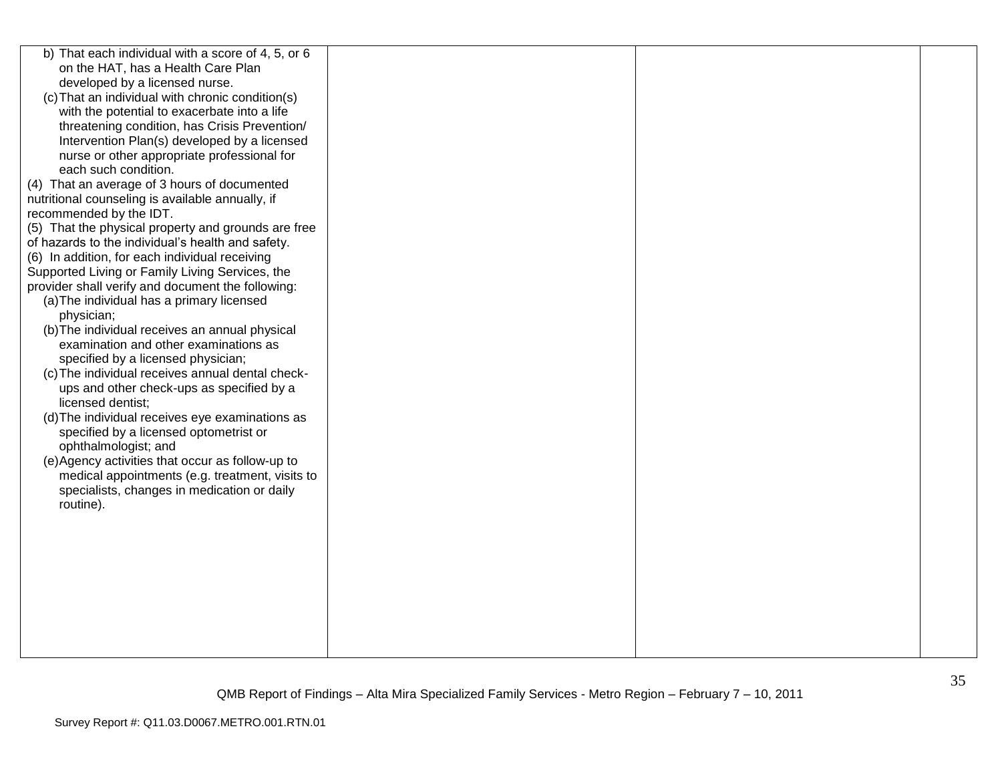| b) That each individual with a score of 4, 5, or 6  |  |  |
|-----------------------------------------------------|--|--|
| on the HAT, has a Health Care Plan                  |  |  |
| developed by a licensed nurse.                      |  |  |
| (c) That an individual with chronic condition(s)    |  |  |
| with the potential to exacerbate into a life        |  |  |
| threatening condition, has Crisis Prevention/       |  |  |
| Intervention Plan(s) developed by a licensed        |  |  |
| nurse or other appropriate professional for         |  |  |
| each such condition.                                |  |  |
| (4) That an average of 3 hours of documented        |  |  |
| nutritional counseling is available annually, if    |  |  |
| recommended by the IDT.                             |  |  |
| (5) That the physical property and grounds are free |  |  |
| of hazards to the individual's health and safety.   |  |  |
| (6) In addition, for each individual receiving      |  |  |
| Supported Living or Family Living Services, the     |  |  |
| provider shall verify and document the following:   |  |  |
| (a) The individual has a primary licensed           |  |  |
| physician;                                          |  |  |
| (b) The individual receives an annual physical      |  |  |
| examination and other examinations as               |  |  |
| specified by a licensed physician;                  |  |  |
| (c) The individual receives annual dental check-    |  |  |
| ups and other check-ups as specified by a           |  |  |
| licensed dentist;                                   |  |  |
|                                                     |  |  |
| (d) The individual receives eye examinations as     |  |  |
| specified by a licensed optometrist or              |  |  |
| ophthalmologist; and                                |  |  |
| (e) Agency activities that occur as follow-up to    |  |  |
| medical appointments (e.g. treatment, visits to     |  |  |
| specialists, changes in medication or daily         |  |  |
| routine).                                           |  |  |
|                                                     |  |  |
|                                                     |  |  |
|                                                     |  |  |
|                                                     |  |  |
|                                                     |  |  |
|                                                     |  |  |
|                                                     |  |  |
|                                                     |  |  |
|                                                     |  |  |
|                                                     |  |  |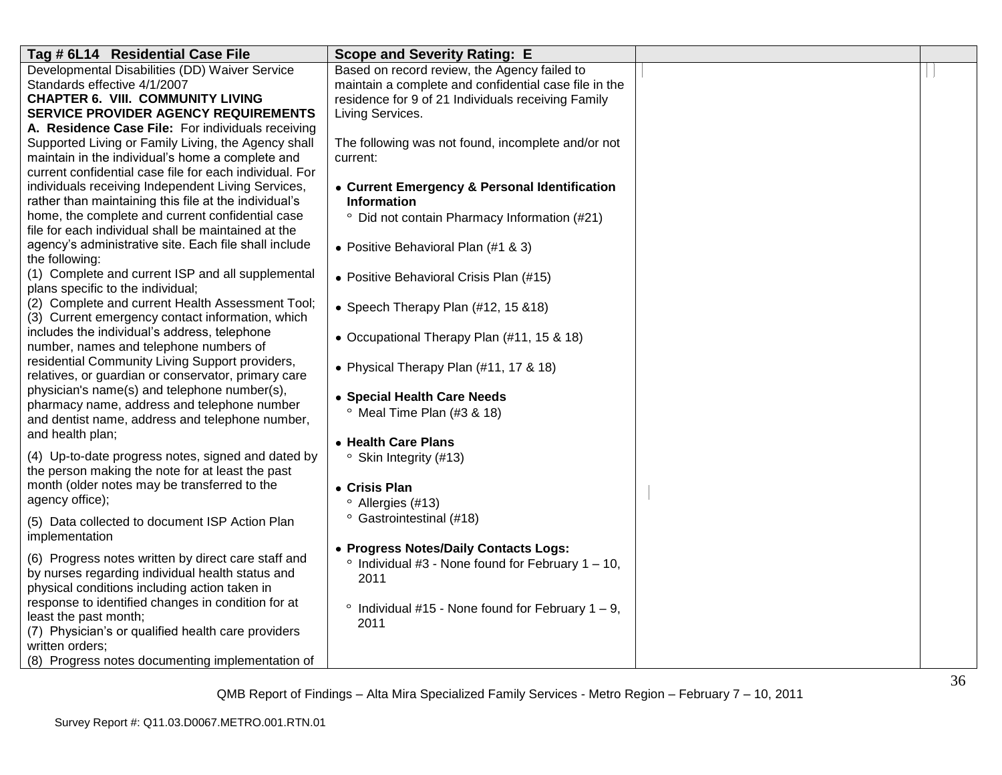| Tag # 6L14 Residential Case File                                                               | <b>Scope and Severity Rating: E</b>                           |  |
|------------------------------------------------------------------------------------------------|---------------------------------------------------------------|--|
| Developmental Disabilities (DD) Waiver Service                                                 | Based on record review, the Agency failed to                  |  |
| Standards effective 4/1/2007                                                                   | maintain a complete and confidential case file in the         |  |
| <b>CHAPTER 6. VIII. COMMUNITY LIVING</b><br><b>SERVICE PROVIDER AGENCY REQUIREMENTS</b>        | residence for 9 of 21 Individuals receiving Family            |  |
| A. Residence Case File: For individuals receiving                                              | Living Services.                                              |  |
| Supported Living or Family Living, the Agency shall                                            | The following was not found, incomplete and/or not            |  |
| maintain in the individual's home a complete and                                               | current:                                                      |  |
| current confidential case file for each individual. For                                        |                                                               |  |
| individuals receiving Independent Living Services,                                             | • Current Emergency & Personal Identification                 |  |
| rather than maintaining this file at the individual's                                          | Information                                                   |  |
| home, the complete and current confidential case                                               | $\circ$<br>Did not contain Pharmacy Information (#21)         |  |
| file for each individual shall be maintained at the                                            |                                                               |  |
| agency's administrative site. Each file shall include                                          | • Positive Behavioral Plan (#1 & 3)                           |  |
| the following:<br>(1) Complete and current ISP and all supplemental                            |                                                               |  |
| plans specific to the individual;                                                              | • Positive Behavioral Crisis Plan (#15)                       |  |
| (2) Complete and current Health Assessment Tool;                                               |                                                               |  |
| (3) Current emergency contact information, which                                               | • Speech Therapy Plan (#12, 15 & 18)                          |  |
| includes the individual's address, telephone                                                   | • Occupational Therapy Plan (#11, 15 & 18)                    |  |
| number, names and telephone numbers of                                                         |                                                               |  |
| residential Community Living Support providers,                                                | • Physical Therapy Plan (#11, 17 & 18)                        |  |
| relatives, or guardian or conservator, primary care                                            |                                                               |  |
| physician's name(s) and telephone number(s),                                                   | • Special Health Care Needs                                   |  |
| pharmacy name, address and telephone number<br>and dentist name, address and telephone number, | Meal Time Plan (#3 & 18)                                      |  |
| and health plan;                                                                               |                                                               |  |
|                                                                                                | • Health Care Plans                                           |  |
| (4) Up-to-date progress notes, signed and dated by                                             | Skin Integrity (#13)                                          |  |
| the person making the note for at least the past                                               |                                                               |  |
| month (older notes may be transferred to the<br>agency office);                                | • Crisis Plan                                                 |  |
|                                                                                                | Allergies (#13)                                               |  |
| (5) Data collected to document ISP Action Plan                                                 | Gastrointestinal (#18)                                        |  |
| implementation                                                                                 | • Progress Notes/Daily Contacts Logs:                         |  |
| (6) Progress notes written by direct care staff and                                            | Individual #3 - None found for February $1 - 10$ ,<br>$\circ$ |  |
| by nurses regarding individual health status and                                               | 2011                                                          |  |
| physical conditions including action taken in                                                  |                                                               |  |
| response to identified changes in condition for at                                             | Individual #15 - None found for February $1 - 9$ ,            |  |
| least the past month;                                                                          | 2011                                                          |  |
| (7) Physician's or qualified health care providers<br>written orders;                          |                                                               |  |
| (8) Progress notes documenting implementation of                                               |                                                               |  |
|                                                                                                |                                                               |  |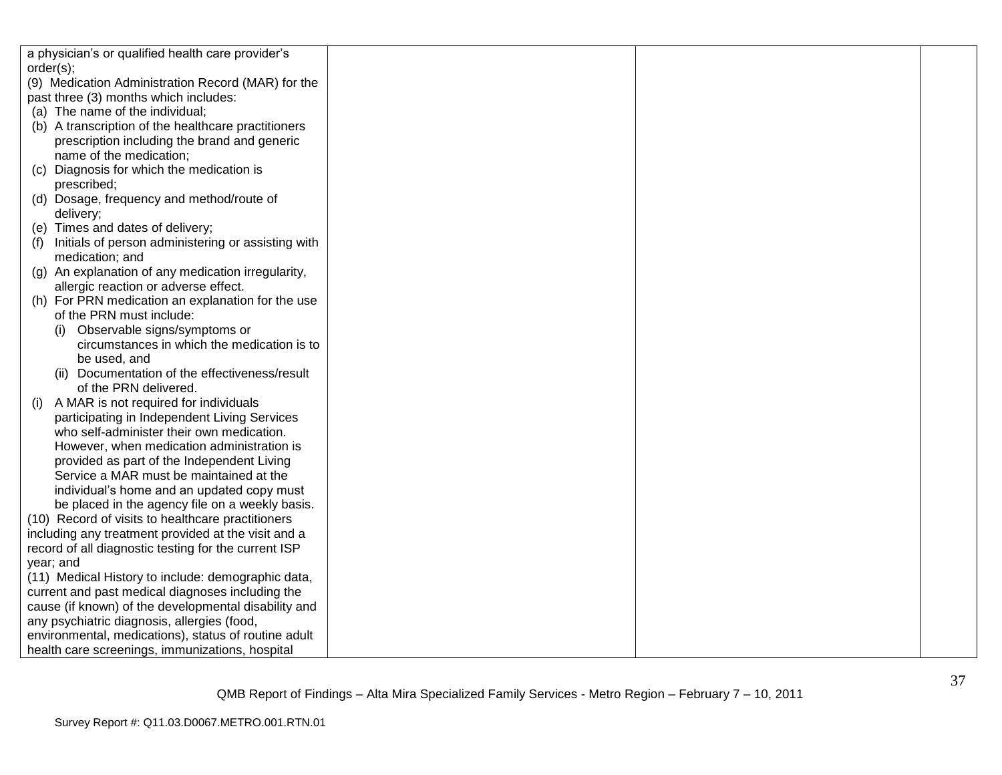| a physician's or qualified health care provider's    |  |  |
|------------------------------------------------------|--|--|
| order(s);                                            |  |  |
| (9) Medication Administration Record (MAR) for the   |  |  |
| past three (3) months which includes:                |  |  |
| (a) The name of the individual;                      |  |  |
| (b) A transcription of the healthcare practitioners  |  |  |
| prescription including the brand and generic         |  |  |
| name of the medication;                              |  |  |
| Diagnosis for which the medication is<br>(C)         |  |  |
| prescribed;                                          |  |  |
| (d) Dosage, frequency and method/route of            |  |  |
| delivery;                                            |  |  |
| (e) Times and dates of delivery;                     |  |  |
| Initials of person administering or assisting with   |  |  |
| medication; and                                      |  |  |
| (g) An explanation of any medication irregularity,   |  |  |
| allergic reaction or adverse effect.                 |  |  |
| (h) For PRN medication an explanation for the use    |  |  |
| of the PRN must include:                             |  |  |
| (i) Observable signs/symptoms or                     |  |  |
| circumstances in which the medication is to          |  |  |
| be used, and                                         |  |  |
| (ii) Documentation of the effectiveness/result       |  |  |
| of the PRN delivered.                                |  |  |
| A MAR is not required for individuals<br>(1)         |  |  |
| participating in Independent Living Services         |  |  |
| who self-administer their own medication.            |  |  |
| However, when medication administration is           |  |  |
| provided as part of the Independent Living           |  |  |
| Service a MAR must be maintained at the              |  |  |
| individual's home and an updated copy must           |  |  |
| be placed in the agency file on a weekly basis.      |  |  |
| (10) Record of visits to healthcare practitioners    |  |  |
| including any treatment provided at the visit and a  |  |  |
| record of all diagnostic testing for the current ISP |  |  |
| year; and                                            |  |  |
| (11) Medical History to include: demographic data,   |  |  |
| current and past medical diagnoses including the     |  |  |
| cause (if known) of the developmental disability and |  |  |
| any psychiatric diagnosis, allergies (food,          |  |  |
| environmental, medications), status of routine adult |  |  |
| health care screenings, immunizations, hospital      |  |  |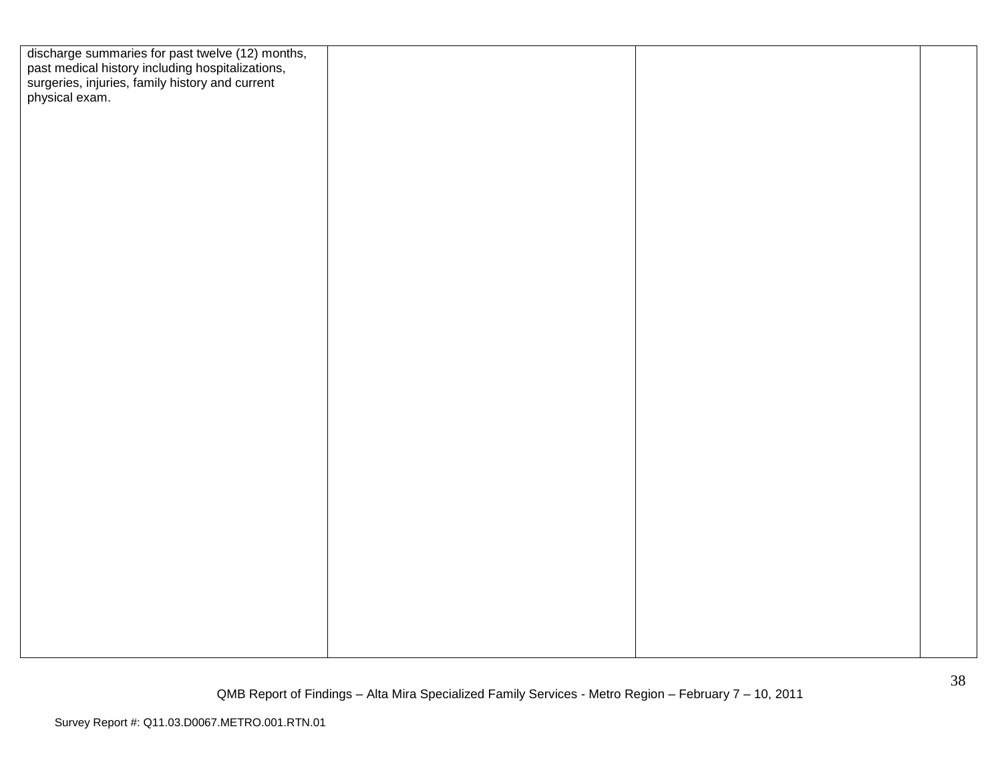| discharge summaries for past twelve (12) months,<br>past medical history including hospitalizations,<br>surgeries, injuries, family history and current<br>physical exam. |  |  |
|---------------------------------------------------------------------------------------------------------------------------------------------------------------------------|--|--|
|                                                                                                                                                                           |  |  |
|                                                                                                                                                                           |  |  |
|                                                                                                                                                                           |  |  |
|                                                                                                                                                                           |  |  |
|                                                                                                                                                                           |  |  |
|                                                                                                                                                                           |  |  |
|                                                                                                                                                                           |  |  |
|                                                                                                                                                                           |  |  |
|                                                                                                                                                                           |  |  |
|                                                                                                                                                                           |  |  |
|                                                                                                                                                                           |  |  |
|                                                                                                                                                                           |  |  |
|                                                                                                                                                                           |  |  |
|                                                                                                                                                                           |  |  |
|                                                                                                                                                                           |  |  |
|                                                                                                                                                                           |  |  |
|                                                                                                                                                                           |  |  |
|                                                                                                                                                                           |  |  |
|                                                                                                                                                                           |  |  |
|                                                                                                                                                                           |  |  |
|                                                                                                                                                                           |  |  |
|                                                                                                                                                                           |  |  |
|                                                                                                                                                                           |  |  |
|                                                                                                                                                                           |  |  |
|                                                                                                                                                                           |  |  |
|                                                                                                                                                                           |  |  |
|                                                                                                                                                                           |  |  |
|                                                                                                                                                                           |  |  |
|                                                                                                                                                                           |  |  |
|                                                                                                                                                                           |  |  |
|                                                                                                                                                                           |  |  |
|                                                                                                                                                                           |  |  |
|                                                                                                                                                                           |  |  |
|                                                                                                                                                                           |  |  |
|                                                                                                                                                                           |  |  |
|                                                                                                                                                                           |  |  |
|                                                                                                                                                                           |  |  |
|                                                                                                                                                                           |  |  |
|                                                                                                                                                                           |  |  |
|                                                                                                                                                                           |  |  |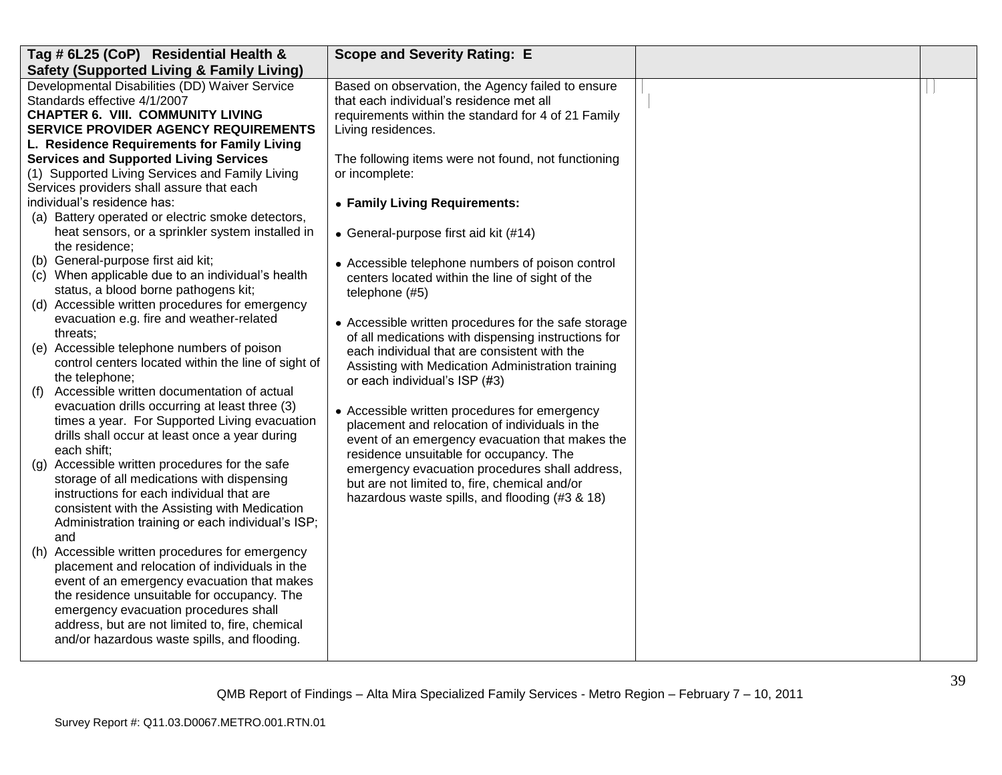| Tag # 6L25 (CoP) Residential Health &                                                           | <b>Scope and Severity Rating: E</b>                  |  |
|-------------------------------------------------------------------------------------------------|------------------------------------------------------|--|
| <b>Safety (Supported Living &amp; Family Living)</b>                                            |                                                      |  |
| Developmental Disabilities (DD) Waiver Service                                                  | Based on observation, the Agency failed to ensure    |  |
| Standards effective 4/1/2007                                                                    | that each individual's residence met all             |  |
| <b>CHAPTER 6. VIII. COMMUNITY LIVING</b>                                                        | requirements within the standard for 4 of 21 Family  |  |
| <b>SERVICE PROVIDER AGENCY REQUIREMENTS</b>                                                     | Living residences.                                   |  |
| L. Residence Requirements for Family Living                                                     |                                                      |  |
| <b>Services and Supported Living Services</b>                                                   | The following items were not found, not functioning  |  |
| (1) Supported Living Services and Family Living                                                 | or incomplete:                                       |  |
| Services providers shall assure that each                                                       |                                                      |  |
| individual's residence has:                                                                     | • Family Living Requirements:                        |  |
| (a) Battery operated or electric smoke detectors,                                               |                                                      |  |
| heat sensors, or a sprinkler system installed in                                                | • General-purpose first aid kit (#14)                |  |
| the residence;                                                                                  |                                                      |  |
| (b) General-purpose first aid kit;                                                              | • Accessible telephone numbers of poison control     |  |
| (c) When applicable due to an individual's health                                               | centers located within the line of sight of the      |  |
| status, a blood borne pathogens kit;                                                            | telephone (#5)                                       |  |
| (d) Accessible written procedures for emergency                                                 |                                                      |  |
| evacuation e.g. fire and weather-related                                                        | • Accessible written procedures for the safe storage |  |
| threats;                                                                                        | of all medications with dispensing instructions for  |  |
| (e) Accessible telephone numbers of poison                                                      | each individual that are consistent with the         |  |
| control centers located within the line of sight of                                             | Assisting with Medication Administration training    |  |
| the telephone;                                                                                  | or each individual's ISP (#3)                        |  |
| Accessible written documentation of actual<br>(f)                                               |                                                      |  |
| evacuation drills occurring at least three (3)<br>times a year. For Supported Living evacuation | • Accessible written procedures for emergency        |  |
| drills shall occur at least once a year during                                                  | placement and relocation of individuals in the       |  |
| each shift;                                                                                     | event of an emergency evacuation that makes the      |  |
| Accessible written procedures for the safe                                                      | residence unsuitable for occupancy. The              |  |
| $\left( \mathbf{q} \right)$<br>storage of all medications with dispensing                       | emergency evacuation procedures shall address,       |  |
| instructions for each individual that are                                                       | but are not limited to, fire, chemical and/or        |  |
| consistent with the Assisting with Medication                                                   | hazardous waste spills, and flooding (#3 & 18)       |  |
| Administration training or each individual's ISP;                                               |                                                      |  |
| and                                                                                             |                                                      |  |
| (h) Accessible written procedures for emergency                                                 |                                                      |  |
| placement and relocation of individuals in the                                                  |                                                      |  |
| event of an emergency evacuation that makes                                                     |                                                      |  |
| the residence unsuitable for occupancy. The                                                     |                                                      |  |
| emergency evacuation procedures shall                                                           |                                                      |  |
| address, but are not limited to, fire, chemical                                                 |                                                      |  |
| and/or hazardous waste spills, and flooding.                                                    |                                                      |  |
|                                                                                                 |                                                      |  |
|                                                                                                 |                                                      |  |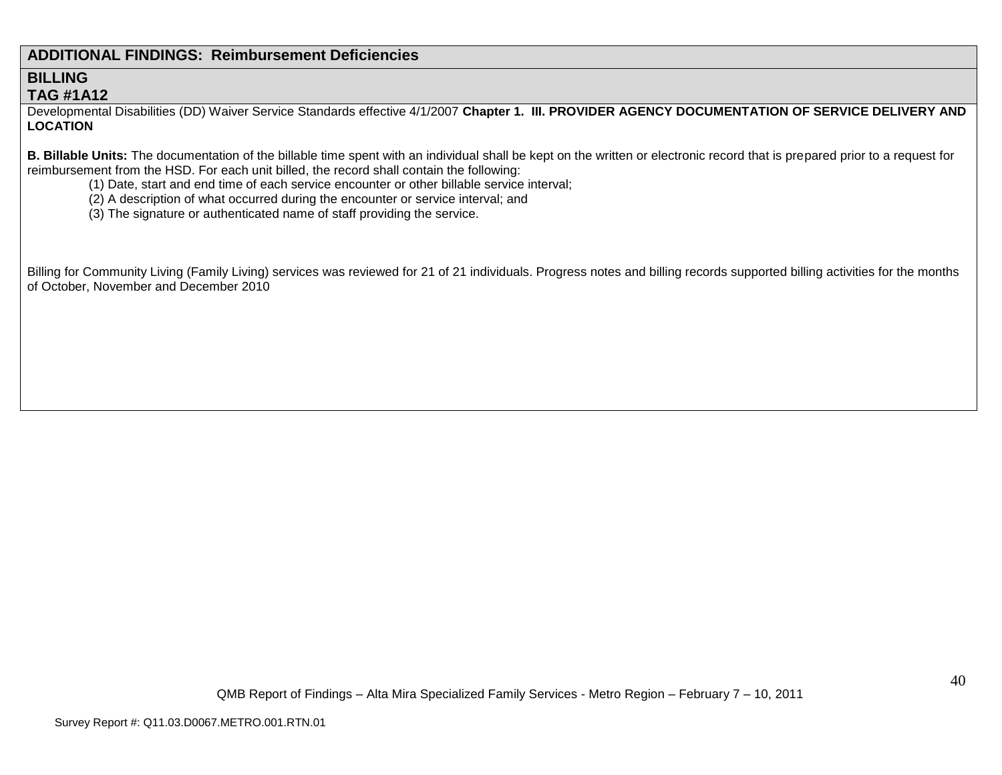## **ADDITIONAL FINDINGS: Reimbursement Deficiencies**

### **BILLING TAG #1A12**

Developmental Disabilities (DD) Waiver Service Standards effective 4/1/2007 **Chapter 1. III. PROVIDER AGENCY DOCUMENTATION OF SERVICE DELIVERY AND LOCATION**

**B. Billable Units:** The documentation of the billable time spent with an individual shall be kept on the written or electronic record that is prepared prior to a request for reimbursement from the HSD. For each unit billed, the record shall contain the following:

- (1) Date, start and end time of each service encounter or other billable service interval;
- (2) A description of what occurred during the encounter or service interval; and
- (3) The signature or authenticated name of staff providing the service.

Billing for Community Living (Family Living) services was reviewed for 21 of 21 individuals. Progress notes and billing records supported billing activities for the months of October, November and December 2010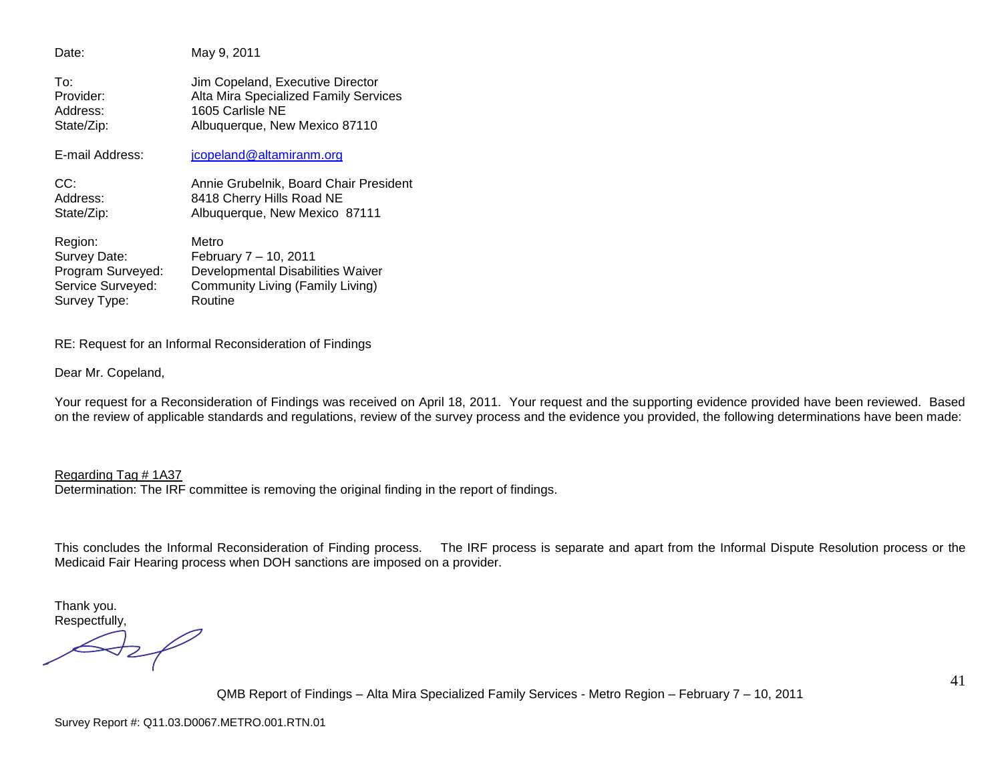Date: May 9, 2011 To: Jim Copeland, Executive Director Provider: Alta Mira Specialized Family Services Address: 1605 Carlisle NE State/Zip: Albuquerque, New Mexico 87110 E-mail Address: [jcopeland@altamiranm.org](mailto:jcopeland@altamiranm.org) CC: Annie Grubelnik, Board Chair President Address: 8418 Cherry Hills Road NE State/Zip: Albuquerque, New Mexico 87111 Region: Metro Survey Date: February 7 – 10, 2011<br>Program Surveyed: Developmental Disabil Developmental Disabilities Waiver Service Surveyed: Community Living (Family Living) Survey Type: Routine

RE: Request for an Informal Reconsideration of Findings

Dear Mr. Copeland,

Your request for a Reconsideration of Findings was received on April 18, 2011. Your request and the supporting evidence provided have been reviewed. Based on the review of applicable standards and regulations, review of the survey process and the evidence you provided, the following determinations have been made:

Regarding Tag # 1A37 Determination: The IRF committee is removing the original finding in the report of findings.

This concludes the Informal Reconsideration of Finding process. The IRF process is separate and apart from the Informal Dispute Resolution process or the Medicaid Fair Hearing process when DOH sanctions are imposed on a provider.

Thank you. Respectfully,